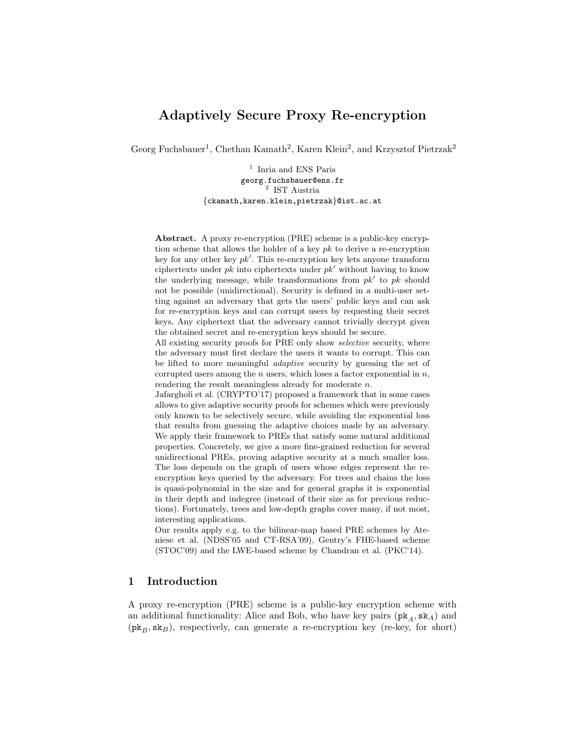# Adaptively Secure Proxy Re-encryption

Georg Fuchsbauer<sup>1</sup>, Chethan Kamath<sup>2</sup>, Karen Klein<sup>2</sup>, and Krzysztof Pietrzak<sup>2</sup>

<sup>1</sup> Inria and ENS Paris georg.fuchsbauer@ens.fr 2 IST Austria {ckamath,karen.klein,pietrzak}@ist.ac.at

Abstract. A proxy re-encryption (PRE) scheme is a public-key encryption scheme that allows the holder of a key  $pk$  to derive a re-encryption key for any other key  $pk'$ . This re-encryption key lets anyone transform ciphertexts under  $pk$  into ciphertexts under  $pk'$  without having to know the underlying message, while transformations from  $pk'$  to  $pk$  should not be possible (unidirectional). Security is defined in a multi-user setting against an adversary that gets the users' public keys and can ask for re-encryption keys and can corrupt users by requesting their secret keys. Any ciphertext that the adversary cannot trivially decrypt given the obtained secret and re-encryption keys should be secure.

All existing security proofs for PRE only show *selective* security, where the adversary must first declare the users it wants to corrupt. This can be lifted to more meaningful adaptive security by guessing the set of corrupted users among the  $n$  users, which loses a factor exponential in  $n$ , rendering the result meaningless already for moderate n.

Jafargholi et al. (CRYPTO'17) proposed a framework that in some cases allows to give adaptive security proofs for schemes which were previously only known to be selectively secure, while avoiding the exponential loss that results from guessing the adaptive choices made by an adversary. We apply their framework to PREs that satisfy some natural additional properties. Concretely, we give a more fine-grained reduction for several unidirectional PREs, proving adaptive security at a much smaller loss. The loss depends on the graph of users whose edges represent the reencryption keys queried by the adversary. For trees and chains the loss is quasi-polynomial in the size and for general graphs it is exponential in their depth and indegree (instead of their size as for previous reductions). Fortunately, trees and low-depth graphs cover many, if not most, interesting applications.

Our results apply e.g. to the bilinear-map based PRE schemes by Ateniese et al. (NDSS'05 and CT-RSA'09), Gentry's FHE-based scheme (STOC'09) and the LWE-based scheme by Chandran et al. (PKC'14).

# 1 Introduction

A proxy re-encryption (PRE) scheme is a public-key encryption scheme with an additional functionality: Alice and Bob, who have key pairs  $(\mathbf{pk}_A, \mathbf{sk}_A)$  and  $(\mathbf{pk}_B, \mathbf{sk}_B)$ , respectively, can generate a re-encryption key (re-key, for short)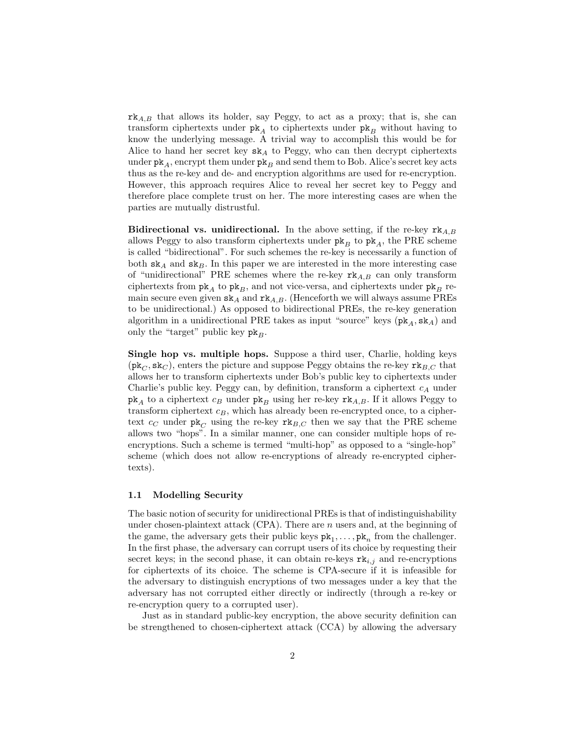${\rm rk}_{A,B}$  that allows its holder, say Peggy, to act as a proxy; that is, she can transform ciphertexts under  $pk_A$  to ciphertexts under  $pk_B$  without having to know the underlying message. A trivial way to accomplish this would be for Alice to hand her secret key  $sk_A$  to Peggy, who can then decrypt ciphertexts under  $pk_A$ , encrypt them under  $pk_B$  and send them to Bob. Alice's secret key acts thus as the re-key and de- and encryption algorithms are used for re-encryption. However, this approach requires Alice to reveal her secret key to Peggy and therefore place complete trust on her. The more interesting cases are when the parties are mutually distrustful.

Bidirectional vs. unidirectional. In the above setting, if the re-key  $rk_{A,B}$ allows Peggy to also transform ciphertexts under  $pk_B$  to  $pk_A$ , the PRE scheme is called "bidirectional". For such schemes the re-key is necessarily a function of both  $sk_A$  and  $sk_B$ . In this paper we are interested in the more interesting case of "unidirectional" PRE schemes where the re-key  $\mathbf{rk}_{A,B}$  can only transform ciphertexts from  $pk_A$  to  $pk_B$ , and not vice-versa, and ciphertexts under  $pk_B$  remain secure even given  $s_{A}$  and  $r_{A,B}$ . (Henceforth we will always assume PREs to be unidirectional.) As opposed to bidirectional PREs, the re-key generation algorithm in a unidirectional PRE takes as input "source" keys  $(\mathsf{pk}_A, \mathsf{sk}_A)$  and only the "target" public key  $pk_B$ .

Single hop vs. multiple hops. Suppose a third user, Charlie, holding keys  $(\mathsf{pk}_C, \mathsf{sk}_C)$ , enters the picture and suppose Peggy obtains the re-key  $\mathsf{rk}_{B,C}$  that allows her to transform ciphertexts under Bob's public key to ciphertexts under Charlie's public key. Peggy can, by definition, transform a ciphertext  $c_A$  under  $pk_A$  to a ciphertext  $c_B$  under  $pk_B$  using her re-key  $rk_{A,B}$ . If it allows Peggy to transform ciphertext  $c_B$ , which has already been re-encrypted once, to a ciphertext  $c_C$  under  $pk_C$  using the re-key  $rk_{B,C}$  then we say that the PRE scheme allows two "hops". In a similar manner, one can consider multiple hops of reencryptions. Such a scheme is termed "multi-hop" as opposed to a "single-hop" scheme (which does not allow re-encryptions of already re-encrypted ciphertexts).

#### 1.1 Modelling Security

The basic notion of security for unidirectional PREs is that of indistinguishability under chosen-plaintext attack (CPA). There are  $n$  users and, at the beginning of the game, the adversary gets their public keys  $pk_1, \ldots, pk_n$  from the challenger. In the first phase, the adversary can corrupt users of its choice by requesting their secret keys; in the second phase, it can obtain re-keys  $rk_{i,j}$  and re-encryptions for ciphertexts of its choice. The scheme is CPA-secure if it is infeasible for the adversary to distinguish encryptions of two messages under a key that the adversary has not corrupted either directly or indirectly (through a re-key or re-encryption query to a corrupted user).

Just as in standard public-key encryption, the above security definition can be strengthened to chosen-ciphertext attack (CCA) by allowing the adversary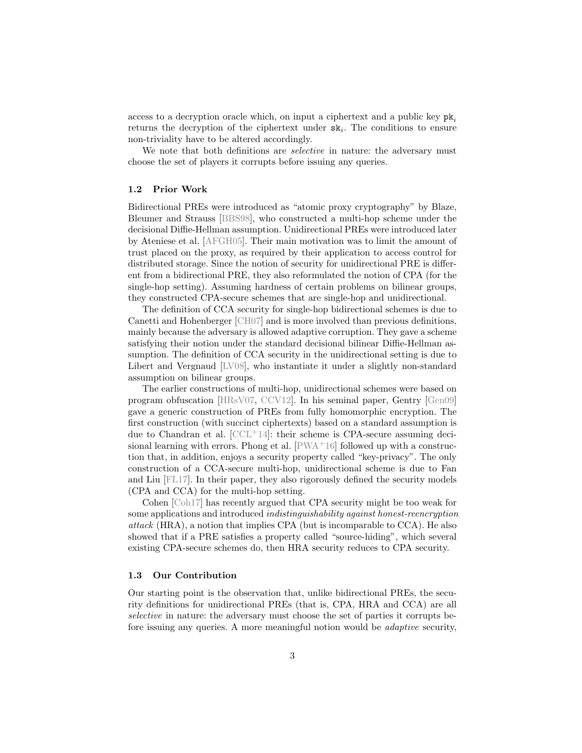access to a decryption oracle which, on input a ciphertext and a public key  $pk_{\lambda}$ returns the decryption of the ciphertext under  $sk_i$ . The conditions to ensure non-triviality have to be altered accordingly.

We note that both definitions are *selective* in nature: the adversary must choose the set of players it corrupts before issuing any queries.

#### 1.2 Prior Work

Bidirectional PREs were introduced as "atomic proxy cryptography" by Blaze, Bleumer and Strauss [\[BBS98\]](#page-42-0), who constructed a multi-hop scheme under the decisional Diffie-Hellman assumption. Unidirectional PREs were introduced later by Ateniese et al. [\[AFGH05\]](#page-42-1). Their main motivation was to limit the amount of trust placed on the proxy, as required by their application to access control for distributed storage. Since the notion of security for unidirectional PRE is different from a bidirectional PRE, they also reformulated the notion of CPA (for the single-hop setting). Assuming hardness of certain problems on bilinear groups, they constructed CPA-secure schemes that are single-hop and unidirectional.

The definition of CCA security for single-hop bidirectional schemes is due to Canetti and Hohenberger [\[CH07\]](#page-42-2) and is more involved than previous definitions, mainly because the adversary is allowed adaptive corruption. They gave a scheme satisfying their notion under the standard decisional bilinear Diffie-Hellman assumption. The definition of CCA security in the unidirectional setting is due to Libert and Vergnaud [\[LV08\]](#page-43-0), who instantiate it under a slightly non-standard assumption on bilinear groups.

The earlier constructions of multi-hop, unidirectional schemes were based on program obfuscation [\[HRsV07,](#page-43-1) [CCV12\]](#page-42-3). In his seminal paper, Gentry [\[Gen09\]](#page-43-2) gave a generic construction of PREs from fully homomorphic encryption. The first construction (with succinct ciphertexts) based on a standard assumption is due to Chandran et al.  $[CL+14]$ : their scheme is CPA-secure assuming decisional learning with errors. Phong et al.  $[PWA<sup>+</sup>16]$  $[PWA<sup>+</sup>16]$  followed up with a construction that, in addition, enjoys a security property called "key-privacy". The only construction of a CCA-secure multi-hop, unidirectional scheme is due to Fan and Liu [\[FL17\]](#page-43-4). In their paper, they also rigorously defined the security models (CPA and CCA) for the multi-hop setting.

Cohen [\[Coh17\]](#page-42-5) has recently argued that CPA security might be too weak for some applications and introduced indistinguishability against honest-reencryption attack (HRA), a notion that implies CPA (but is incomparable to CCA). He also showed that if a PRE satisfies a property called "source-hiding", which several existing CPA-secure schemes do, then HRA security reduces to CPA security.

#### 1.3 Our Contribution

Our starting point is the observation that, unlike bidirectional PREs, the security definitions for unidirectional PREs (that is, CPA, HRA and CCA) are all selective in nature: the adversary must choose the set of parties it corrupts before issuing any queries. A more meaningful notion would be adaptive security,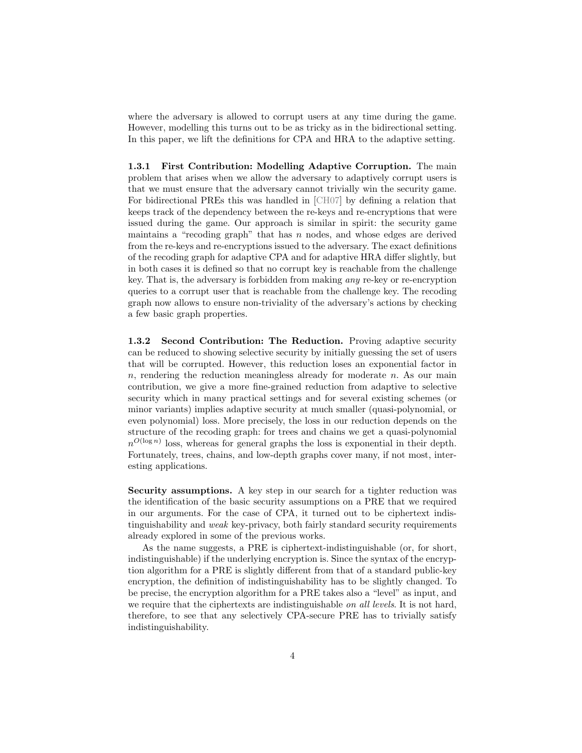where the adversary is allowed to corrupt users at any time during the game. However, modelling this turns out to be as tricky as in the bidirectional setting. In this paper, we lift the definitions for CPA and HRA to the adaptive setting.

1.3.1 First Contribution: Modelling Adaptive Corruption. The main problem that arises when we allow the adversary to adaptively corrupt users is that we must ensure that the adversary cannot trivially win the security game. For bidirectional PREs this was handled in [\[CH07\]](#page-42-2) by defining a relation that keeps track of the dependency between the re-keys and re-encryptions that were issued during the game. Our approach is similar in spirit: the security game maintains a "recoding graph" that has  $n$  nodes, and whose edges are derived from the re-keys and re-encryptions issued to the adversary. The exact definitions of the recoding graph for adaptive CPA and for adaptive HRA differ slightly, but in both cases it is defined so that no corrupt key is reachable from the challenge key. That is, the adversary is forbidden from making any re-key or re-encryption queries to a corrupt user that is reachable from the challenge key. The recoding graph now allows to ensure non-triviality of the adversary's actions by checking a few basic graph properties.

1.3.2 Second Contribution: The Reduction. Proving adaptive security can be reduced to showing selective security by initially guessing the set of users that will be corrupted. However, this reduction loses an exponential factor in  $n$ , rendering the reduction meaningless already for moderate n. As our main contribution, we give a more fine-grained reduction from adaptive to selective security which in many practical settings and for several existing schemes (or minor variants) implies adaptive security at much smaller (quasi-polynomial, or even polynomial) loss. More precisely, the loss in our reduction depends on the structure of the recoding graph: for trees and chains we get a quasi-polynomial  $n^{O(\log n)}$  loss, whereas for general graphs the loss is exponential in their depth. Fortunately, trees, chains, and low-depth graphs cover many, if not most, interesting applications.

Security assumptions. A key step in our search for a tighter reduction was the identification of the basic security assumptions on a PRE that we required in our arguments. For the case of CPA, it turned out to be ciphertext indistinguishability and weak key-privacy, both fairly standard security requirements already explored in some of the previous works.

As the name suggests, a PRE is ciphertext-indistinguishable (or, for short, indistinguishable) if the underlying encryption is. Since the syntax of the encryption algorithm for a PRE is slightly different from that of a standard public-key encryption, the definition of indistinguishability has to be slightly changed. To be precise, the encryption algorithm for a PRE takes also a "level" as input, and we require that the ciphertexts are indistinguishable *on all levels*. It is not hard, therefore, to see that any selectively CPA-secure PRE has to trivially satisfy indistinguishability.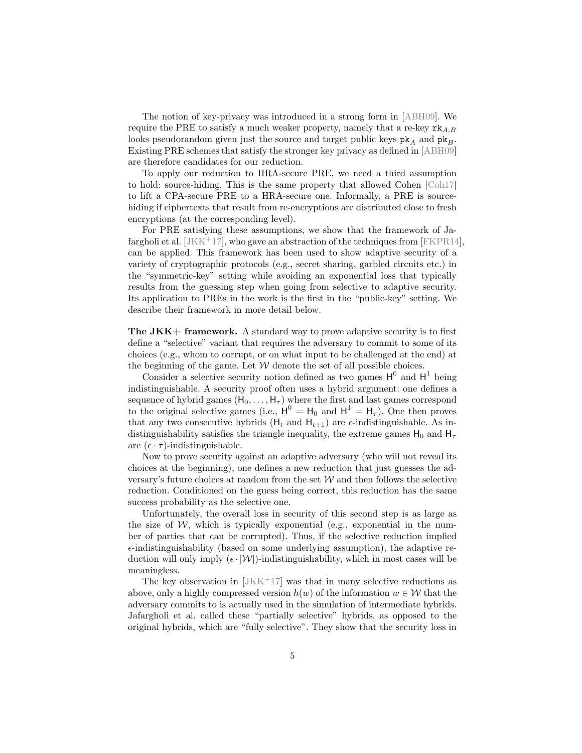The notion of key-privacy was introduced in a strong form in [\[ABH09\]](#page-42-6). We require the PRE to satisfy a much weaker property, namely that a re-key  $\mathbf{rk}_{A,B}$ looks pseudorandom given just the source and target public keys  $pk_A$  and  $pk_B$ . Existing PRE schemes that satisfy the stronger key privacy as defined in [\[ABH09\]](#page-42-6) are therefore candidates for our reduction.

To apply our reduction to HRA-secure PRE, we need a third assumption to hold: source-hiding. This is the same property that allowed Cohen [\[Coh17\]](#page-42-5) to lift a CPA-secure PRE to a HRA-secure one. Informally, a PRE is sourcehiding if ciphertexts that result from re-encryptions are distributed close to fresh encryptions (at the corresponding level).

For PRE satisfying these assumptions, we show that the framework of Ja-fargholi et al. [\[JKK](#page-43-5)+17], who gave an abstraction of the techniques from [\[FKPR14\]](#page-43-6). can be applied. This framework has been used to show adaptive security of a variety of cryptographic protocols (e.g., secret sharing, garbled circuits etc.) in the "symmetric-key" setting while avoiding an exponential loss that typically results from the guessing step when going from selective to adaptive security. Its application to PREs in the work is the first in the "public-key" setting. We describe their framework in more detail below.

The  $JKK+$  framework. A standard way to prove adaptive security is to first define a "selective" variant that requires the adversary to commit to some of its choices (e.g., whom to corrupt, or on what input to be challenged at the end) at the beginning of the game. Let  $W$  denote the set of all possible choices.

Consider a selective security notion defined as two games  $H^0$  and  $H^1$  being indistinguishable. A security proof often uses a hybrid argument: one defines a sequence of hybrid games  $(H_0, \ldots, H_\tau)$  where the first and last games correspond to the original selective games (i.e.,  $H^0 = H_0$  and  $H^1 = H_\tau$ ). One then proves that any two consecutive hybrids ( $H_t$  and  $H_{t+1}$ ) are  $\epsilon$ -indistinguishable. As indistinguishability satisfies the triangle inequality, the extreme games  $H_0$  and  $H_t$ are  $(\epsilon \cdot \tau)$ -indistinguishable.

Now to prove security against an adaptive adversary (who will not reveal its choices at the beginning), one defines a new reduction that just guesses the adversary's future choices at random from the set  $\mathcal W$  and then follows the selective reduction. Conditioned on the guess being correct, this reduction has the same success probability as the selective one.

Unfortunately, the overall loss in security of this second step is as large as the size of  $W$ , which is typically exponential (e.g., exponential in the number of parties that can be corrupted). Thus, if the selective reduction implied  $\epsilon$ -indistinguishability (based on some underlying assumption), the adaptive reduction will only imply  $(\epsilon \cdot |W|)$ -indistinguishability, which in most cases will be meaningless.

The key observation in  $[JKK^+17]$  $[JKK^+17]$  was that in many selective reductions as above, only a highly compressed version  $h(w)$  of the information  $w \in \mathcal{W}$  that the adversary commits to is actually used in the simulation of intermediate hybrids. Jafargholi et al. called these "partially selective" hybrids, as opposed to the original hybrids, which are "fully selective". They show that the security loss in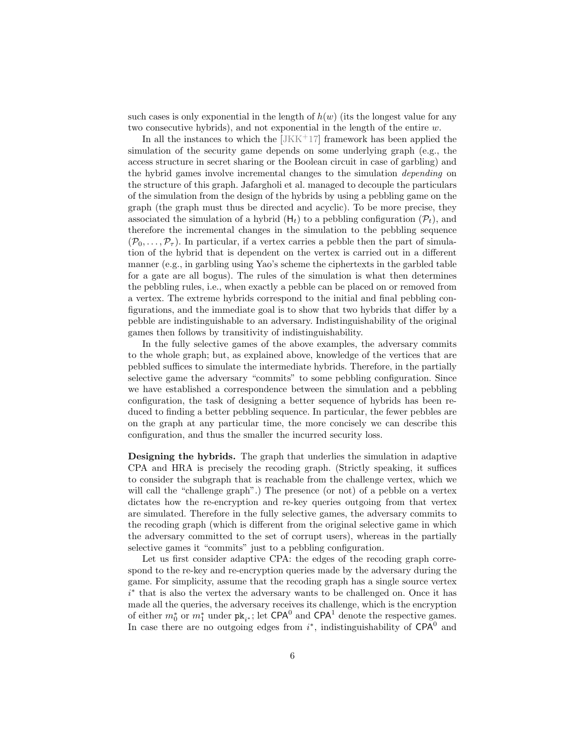such cases is only exponential in the length of  $h(w)$  (its the longest value for any two consecutive hybrids), and not exponential in the length of the entire w.

In all the instances to which the  $|JKK^+17|$  framework has been applied the simulation of the security game depends on some underlying graph (e.g., the access structure in secret sharing or the Boolean circuit in case of garbling) and the hybrid games involve incremental changes to the simulation depending on the structure of this graph. Jafargholi et al. managed to decouple the particulars of the simulation from the design of the hybrids by using a pebbling game on the graph (the graph must thus be directed and acyclic). To be more precise, they associated the simulation of a hybrid  $(H_t)$  to a pebbling configuration  $(\mathcal{P}_t)$ , and therefore the incremental changes in the simulation to the pebbling sequence  $(\mathcal{P}_0, \ldots, \mathcal{P}_\tau)$ . In particular, if a vertex carries a pebble then the part of simulation of the hybrid that is dependent on the vertex is carried out in a different manner (e.g., in garbling using Yao's scheme the ciphertexts in the garbled table for a gate are all bogus). The rules of the simulation is what then determines the pebbling rules, i.e., when exactly a pebble can be placed on or removed from a vertex. The extreme hybrids correspond to the initial and final pebbling configurations, and the immediate goal is to show that two hybrids that differ by a pebble are indistinguishable to an adversary. Indistinguishability of the original games then follows by transitivity of indistinguishability.

In the fully selective games of the above examples, the adversary commits to the whole graph; but, as explained above, knowledge of the vertices that are pebbled suffices to simulate the intermediate hybrids. Therefore, in the partially selective game the adversary "commits" to some pebbling configuration. Since we have established a correspondence between the simulation and a pebbling configuration, the task of designing a better sequence of hybrids has been reduced to finding a better pebbling sequence. In particular, the fewer pebbles are on the graph at any particular time, the more concisely we can describe this configuration, and thus the smaller the incurred security loss.

Designing the hybrids. The graph that underlies the simulation in adaptive CPA and HRA is precisely the recoding graph. (Strictly speaking, it suffices to consider the subgraph that is reachable from the challenge vertex, which we will call the "challenge graph".) The presence (or not) of a pebble on a vertex dictates how the re-encryption and re-key queries outgoing from that vertex are simulated. Therefore in the fully selective games, the adversary commits to the recoding graph (which is different from the original selective game in which the adversary committed to the set of corrupt users), whereas in the partially selective games it "commits" just to a pebbling configuration.

Let us first consider adaptive CPA: the edges of the recoding graph correspond to the re-key and re-encryption queries made by the adversary during the game. For simplicity, assume that the recoding graph has a single source vertex i<sup>\*</sup> that is also the vertex the adversary wants to be challenged on. Once it has made all the queries, the adversary receives its challenge, which is the encryption of either  $m_0^*$  or  $m_1^*$  under  $pk_{i^*}$ ; let  $\text{CPA}^0$  and  $\text{CPA}^1$  denote the respective games. In case there are no outgoing edges from  $i^*$ , indistinguishability of CPA<sup>0</sup> and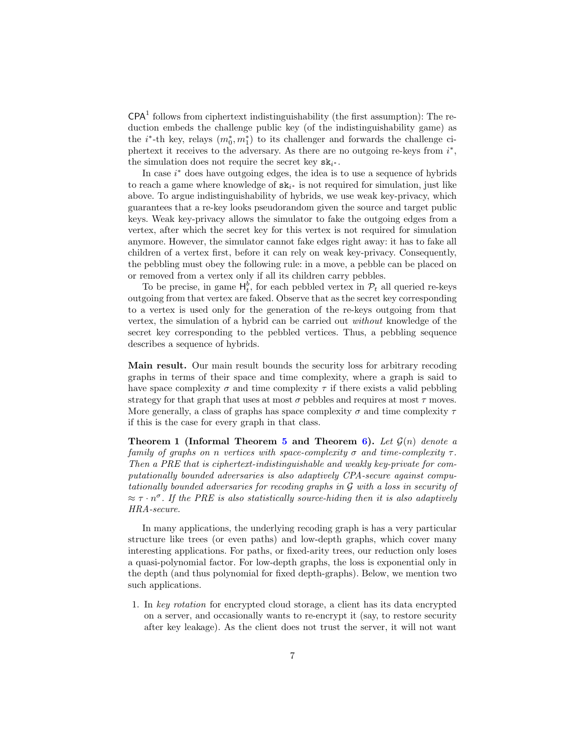$\mathsf{CPA}^1$  follows from ciphertext indistinguishability (the first assumption): The reduction embeds the challenge public key (of the indistinguishability game) as the *i*<sup>\*</sup>-th key, relays  $(m_0^*, m_1^*)$  to its challenger and forwards the challenge ciphertext it receives to the adversary. As there are no outgoing re-keys from  $i^*$ , the simulation does not require the secret key  $sk_{i^*}$ .

In case  $i^*$  does have outgoing edges, the idea is to use a sequence of hybrids to reach a game where knowledge of  $sk_{i^*}$  is not required for simulation, just like above. To argue indistinguishability of hybrids, we use weak key-privacy, which guarantees that a re-key looks pseudorandom given the source and target public keys. Weak key-privacy allows the simulator to fake the outgoing edges from a vertex, after which the secret key for this vertex is not required for simulation anymore. However, the simulator cannot fake edges right away: it has to fake all children of a vertex first, before it can rely on weak key-privacy. Consequently, the pebbling must obey the following rule: in a move, a pebble can be placed on or removed from a vertex only if all its children carry pebbles.

To be precise, in game  $H_t^b$ , for each pebbled vertex in  $\mathcal{P}_t$  all queried re-keys outgoing from that vertex are faked. Observe that as the secret key corresponding to a vertex is used only for the generation of the re-keys outgoing from that vertex, the simulation of a hybrid can be carried out without knowledge of the secret key corresponding to the pebbled vertices. Thus, a pebbling sequence describes a sequence of hybrids.

Main result. Our main result bounds the security loss for arbitrary recoding graphs in terms of their space and time complexity, where a graph is said to have space complexity  $\sigma$  and time complexity  $\tau$  if there exists a valid pebbling strategy for that graph that uses at most  $\sigma$  pebbles and requires at most  $\tau$  moves. More generally, a class of graphs has space complexity  $\sigma$  and time complexity  $\tau$ if this is the case for every graph in that class.

<span id="page-6-0"></span>**Theorem 1 (Informal Theorem [5](#page-24-0) and Theorem [6\)](#page-29-0).** Let  $\mathcal{G}(n)$  denote a family of graphs on n vertices with space-complexity  $\sigma$  and time-complexity  $\tau$ . Then a PRE that is ciphertext-indistinguishable and weakly key-private for computationally bounded adversaries is also adaptively CPA-secure against computationally bounded adversaries for recoding graphs in G with a loss in security of  $\approx \tau \cdot n^{\sigma}$ . If the PRE is also statistically source-hiding then it is also adaptively HRA-secure.

In many applications, the underlying recoding graph is has a very particular structure like trees (or even paths) and low-depth graphs, which cover many interesting applications. For paths, or fixed-arity trees, our reduction only loses a quasi-polynomial factor. For low-depth graphs, the loss is exponential only in the depth (and thus polynomial for fixed depth-graphs). Below, we mention two such applications.

1. In key rotation for encrypted cloud storage, a client has its data encrypted on a server, and occasionally wants to re-encrypt it (say, to restore security after key leakage). As the client does not trust the server, it will not want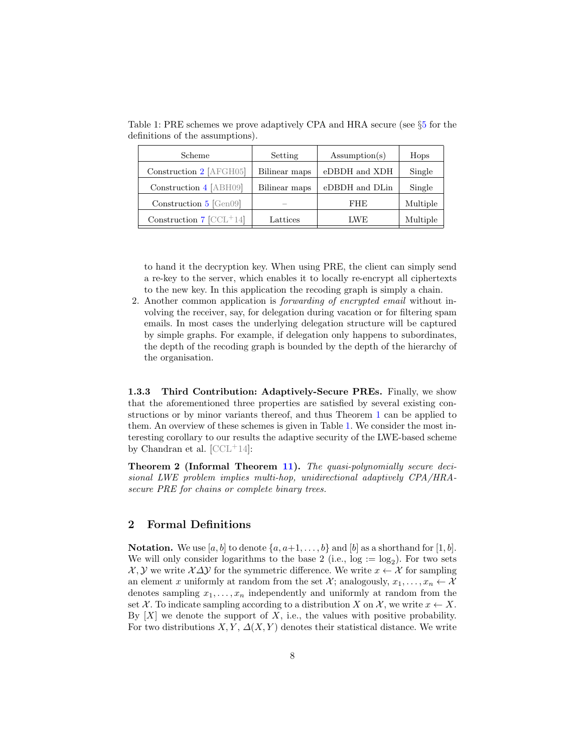| Scheme                                 | Setting       | Assumption(s)  | Hops     |
|----------------------------------------|---------------|----------------|----------|
| Construction 2 [AFGH05]                | Bilinear maps | eDBDH and XDH  | Single   |
| Construction $4$ [ABH09]               | Bilinear maps | eDBDH and DLin | Single   |
| Construction $5$ [Gen09]               |               | <b>FHE</b>     | Multiple |
| Construction $7$ [CCL <sup>+</sup> 14] | Lattices      | LWE            | Multiple |

<span id="page-7-0"></span>Table 1: PRE schemes we prove adaptively CPA and HRA secure (see §[5](#page-30-0) for the definitions of the assumptions).

to hand it the decryption key. When using PRE, the client can simply send a re-key to the server, which enables it to locally re-encrypt all ciphertexts to the new key. In this application the recoding graph is simply a chain.

2. Another common application is forwarding of encrypted email without involving the receiver, say, for delegation during vacation or for filtering spam emails. In most cases the underlying delegation structure will be captured by simple graphs. For example, if delegation only happens to subordinates, the depth of the recoding graph is bounded by the depth of the hierarchy of the organisation.

1.3.3 Third Contribution: Adaptively-Secure PREs. Finally, we show that the aforementioned three properties are satisfied by several existing constructions or by minor variants thereof, and thus Theorem [1](#page-6-0) can be applied to them. An overview of these schemes is given in Table [1.](#page-7-0) We consider the most interesting corollary to our results the adaptive security of the LWE-based scheme by Chandran et al.  $[CL+14]$ :

Theorem 2 (Informal Theorem [11\)](#page-41-0). The quasi-polynomially secure decisional LWE problem implies multi-hop, unidirectional adaptively CPA/HRAsecure PRE for chains or complete binary trees.

# 2 Formal Definitions

**Notation.** We use [a, b] to denote  $\{a, a+1, \ldots, b\}$  and [b] as a shorthand for [1, b]. We will only consider logarithms to the base 2 (i.e.,  $log := log_2$ ). For two sets  $\mathcal{X}, \mathcal{Y}$  we write  $\mathcal{X}\Delta\mathcal{Y}$  for the symmetric difference. We write  $x \leftarrow \mathcal{X}$  for sampling an element x uniformly at random from the set  $\mathcal{X}$ ; analogously,  $x_1, \ldots, x_n \leftarrow \mathcal{X}$ denotes sampling  $x_1, \ldots, x_n$  independently and uniformly at random from the set X. To indicate sampling according to a distribution X on X, we write  $x \leftarrow X$ . By  $[X]$  we denote the support of X, i.e., the values with positive probability. For two distributions  $X, Y, \Delta(X, Y)$  denotes their statistical distance. We write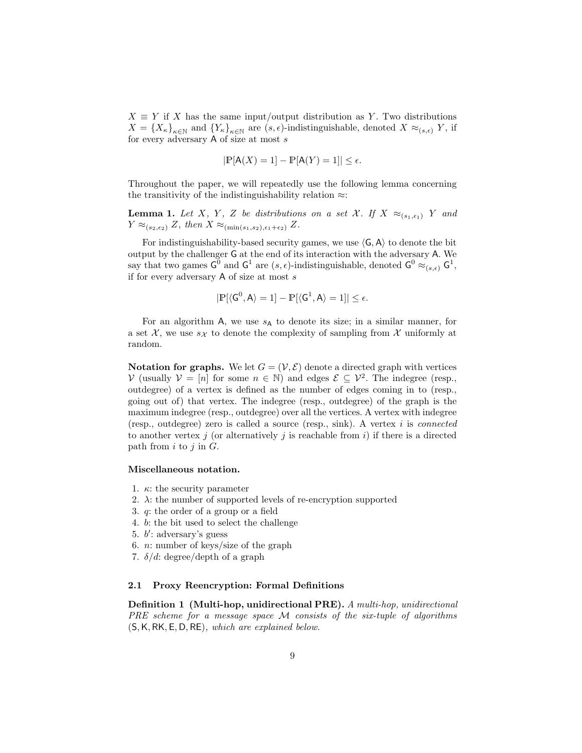$X \equiv Y$  if X has the same input/output distribution as Y. Two distributions  $X = \{X_{\kappa}\}_{\kappa \in \mathbb{N}}$  and  $\{Y_{\kappa}\}_{\kappa \in \mathbb{N}}$  are  $(s, \epsilon)$ -indistinguishable, denoted  $X \approx_{(s,\epsilon)} Y$ , if for every adversary A of size at most s

<span id="page-8-1"></span>
$$
|\mathbb{P}[\mathsf{A}(X) = 1] - \mathbb{P}[\mathsf{A}(Y) = 1]| \le \epsilon.
$$

Throughout the paper, we will repeatedly use the following lemma concerning the transitivity of the indistinguishability relation  $\approx$ :

**Lemma 1.** Let X, Y, Z be distributions on a set X. If  $X \approx_{(s_1,\epsilon_1)} Y$  and  $Y \approx_{(s_2,\epsilon_2)} Z$ , then  $X \approx_{(\min(s_1,s_2),\epsilon_1+\epsilon_2)} Z$ .

For indistinguishability-based security games, we use  $\langle G, A \rangle$  to denote the bit output by the challenger G at the end of its interaction with the adversary A. We say that two games  $G^0$  and  $G^1$  are  $(s, \epsilon)$ -indistinguishable, denoted  $G^0 \approx_{(s,\epsilon)} G^1$ , if for every adversary  $A$  of size at most  $s$ 

$$
|\mathbb{P}[\langle \mathsf{G}^0, \mathsf{A} \rangle = 1] - \mathbb{P}[\langle \mathsf{G}^1, \mathsf{A} \rangle = 1]| \le \epsilon.
$$

For an algorithm A, we use  $s_A$  to denote its size; in a similar manner, for a set X, we use  $s_X$  to denote the complexity of sampling from X uniformly at random.

Notation for graphs. We let  $G = (\mathcal{V}, \mathcal{E})$  denote a directed graph with vertices V (usually  $V = [n]$  for some  $n \in \mathbb{N}$ ) and edges  $\mathcal{E} \subseteq \mathcal{V}^2$ . The indegree (resp., outdegree) of a vertex is defined as the number of edges coming in to (resp., going out of) that vertex. The indegree (resp., outdegree) of the graph is the maximum indegree (resp., outdegree) over all the vertices. A vertex with indegree (resp., outdegree) zero is called a source (resp., sink). A vertex  $i$  is *connected* to another vertex j (or alternatively j is reachable from i) if there is a directed path from  $i$  to  $j$  in  $G$ .

#### Miscellaneous notation.

- 1.  $\kappa$ : the security parameter
- 2.  $\lambda$ : the number of supported levels of re-encryption supported
- 3. q: the order of a group or a field
- 4. b: the bit used to select the challenge
- 5.  $b'$ : adversary's guess
- 6. n: number of keys/size of the graph
- 7.  $\delta/d$ : degree/depth of a graph

### 2.1 Proxy Reencryption: Formal Definitions

<span id="page-8-0"></span>Definition 1 (Multi-hop, unidirectional PRE). A multi-hop, unidirectional PRE scheme for a message space M consists of the six-tuple of algorithms (S,K, RK, E, D, RE), which are explained below.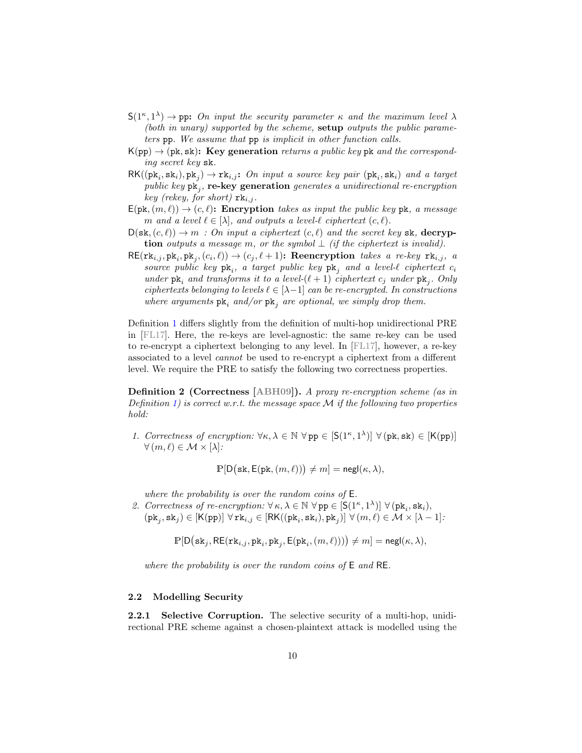- $S(1^{\kappa},1^{\lambda}) \to \text{pp}$ : On input the security parameter  $\kappa$  and the maximum level  $\lambda$ (both in unary) supported by the scheme, setup outputs the public parameters pp. We assume that pp is implicit in other function calls.
- $K(pp) \rightarrow (pk, sk)$ : Key generation returns a public key pk and the corresponding secret key sk.
- $RK((pk<sub>i</sub>, sk<sub>i</sub>), pk<sub>j</sub>) \rightarrow rk<sub>i,j</sub>$ : On input a source key pair  $(pk<sub>i</sub>, sk<sub>i</sub>)$  and a target public key  $pk_j$ , re-key generation generates a unidirectional re-encryption key (rekey, for short)  $rk_{i,j}$ .
- $\mathsf{E}(\mathsf{pk},(m,\ell)) \to (c,\ell)$ : Encryption takes as input the public key pk, a message m and a level  $\ell \in [\lambda]$ , and outputs a level- $\ell$  ciphertext  $(c, \ell)$ .
- $D(\mathbf{sk}, (c, \ell)) \rightarrow m$  : On input a ciphertext  $(c, \ell)$  and the secret key sk, decryption outputs a message m, or the symbol  $\perp$  (if the ciphertext is invalid).
- $\mathsf{RE}(\mathtt{rk}_{i,j},\mathtt{pk}_{i},\mathtt{pk}_{j},(c_i,\ell)) \rightarrow (c_j,\ell+1)$ : Reencryption takes a re-key  $\mathtt{rk}_{i,j},$  a source public key  $pk_i$ , a target public key  $pk_j$  and a level- $\ell$  ciphertext  $c_i$ under  $pk_i$  and transforms it to a level- $(\ell + 1)$  ciphertext  $c_j$  under  $pk_j$ . Only ciphertexts belonging to levels  $\ell \in [\lambda-1]$  can be re-encrypted. In constructions where arguments  $pk_i$  and/or  $pk_j$  are optional, we simply drop them.

Definition [1](#page-8-0) differs slightly from the definition of multi-hop unidirectional PRE in [\[FL17\]](#page-43-4). Here, the re-keys are level-agnostic: the same re-key can be used to re-encrypt a ciphertext belonging to any level. In [\[FL17\]](#page-43-4), however, a re-key associated to a level cannot be used to re-encrypt a ciphertext from a different level. We require the PRE to satisfy the following two correctness properties.

Definition 2 (Correctness [\[ABH09\]](#page-42-6)). A proxy re-encryption scheme (as in Definition [1\)](#page-8-0) is correct w.r.t. the message space  $\mathcal M$  if the following two properties hold:

1. Correctness of encryption:  $\forall \kappa, \lambda \in \mathbb{N} \ \forall \text{pp} \in [S(1^{\kappa}, 1^{\lambda})] \ \forall \text{ (pk, sk)} \in [K(pp)]$  $\forall (m,\ell) \in \mathcal{M} \times [\lambda]$ :

 $\mathbb{P}[\mathsf{D}(\mathsf{sk}, \mathsf{E}(\mathsf{pk}, (m, \ell))) \neq m] = \mathsf{negl}(\kappa, \lambda),$ 

where the probability is over the random coins of E.

2. Correctness of re-encryption:  $\forall \kappa, \lambda \in \mathbb{N} \ \forall \text{pp} \in [S(1^{\kappa}, 1^{\lambda})] \ \forall (\text{pk}_i, \text{sk}_i),$  $(\texttt{pk}_j,\texttt{sk}_j) \in [\mathsf{K}(\texttt{pp})] \,\, \forall \, \texttt{rk}_{i,j} \in [\mathsf{RK}((\texttt{pk}_i,\texttt{sk}_i), \texttt{pk}_j)] \,\, \forall \, (m,\ell) \in \mathcal{M} \times [\lambda-1] \colon$ 

 $\mathbb{P}[\mathsf{D}\big(\mathtt{sk}_j, \mathsf{RE}(\mathtt{rk}_{i,j}, \mathtt{pk}_i, \mathtt{pk}_j, \mathsf{E}(\mathtt{pk}_i, (m, \ell)))\big) \neq m] = \mathsf{negl}(\kappa, \lambda),$ 

where the probability is over the random coins of E and RE.

### 2.2 Modelling Security

2.2.1 Selective Corruption. The selective security of a multi-hop, unidirectional PRE scheme against a chosen-plaintext attack is modelled using the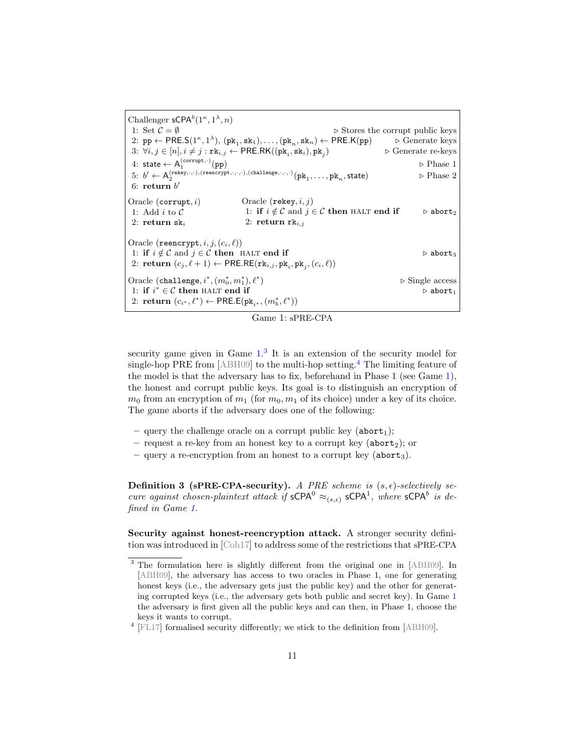<span id="page-10-0"></span>Challenger  $\mathsf{sCPA}^b(1^\kappa, 1^\lambda, n)$ 1: Set  $C = \emptyset$  b Stores the corrupt public keys 2:  $pp \leftarrow \text{PRE.S}(1^{\kappa}, 1^{\lambda}), (pk_1, sk_1), \ldots, (pk_n, sk_n) \leftarrow \text{PRE.K}(pp) \Rightarrow \text{Generate keys}$  $3: \ \forall i,j \in [n], i \neq j : \text{rk}_{i,j} \leftarrow \mathsf{PRE.RK}((\mathtt{pk}_i,\mathtt{sk}_i),\mathtt{pk}_j)$  $\triangleright$  Generate re-keys  $4: state \leftarrow A_1^{(corrupt,\cdot)}$  $(pp)$   $\triangleright$  Phase 1  $5:~b' \leftarrow \mathsf{A}_2^{(\text{rekey},\cdot,\cdot),(\text{reencypt},\cdot,\cdot,\cdot),(\text{challenge},\cdot,\cdot,\cdot)}(\text{pk}_1,\ldots,\text{pk}_n$  $\triangleright$  Phase 2 6: return  $b'$ Oracle (corrupt, i) 1: Add  $i$  to  $C$ 2: return  $sk_i$ Oracle  $(r$ ekey,  $i, j)$ 1: if  $i \notin \mathcal{C}$  and  $j \in \mathcal{C}$  then HALT end if  $\longrightarrow$  abort<sub>2</sub> 2: return  $rk_{i,j}$ Oracle (reencrypt,  $i, j, (c_i, \ell)$ ) 1: if  $i \notin \mathcal{C}$  and  $j \in \mathcal{C}$  then HALT end if  $\Box$  b abort<sub>3</sub> 2: return  $(c_j, \ell + 1) \leftarrow \mathsf{PRE}.\mathsf{RE}(\mathtt{rk}_{i,j}, \mathtt{pk}_i, \mathtt{pk}_j, (c_i, \ell))$ Oracle (challenge,  $i^*$ ,  $(m_0^*, m_1^*)$ ,  $\ell^*$  $\triangleright$  Single access 1: if  $i^* \in \mathcal{C}$  then HALT end if  $\longrightarrow$  abort<sub>1</sub> 2: return  $(c_{i^*}, \ell^*) \leftarrow \mathsf{PRE.E}(pk_{i^*}, (m_b^*, \ell^*))$ 

Game 1: sPRE-CPA

security game given in Game  $1<sup>3</sup>$  $1<sup>3</sup>$  $1<sup>3</sup>$  It is an extension of the security model for single-hop PRE from  $[ABH09]$  to the multi-hop setting.<sup>[4](#page-10-2)</sup> The limiting feature of the model is that the adversary has to fix, beforehand in Phase 1 (see Game [1\)](#page-10-0), the honest and corrupt public keys. Its goal is to distinguish an encryption of  $m_0$  from an encryption of  $m_1$  (for  $m_0, m_1$  of its choice) under a key of its choice. The game aborts if the adversary does one of the following:

- query the challenge oracle on a corrupt public key ( $abort<sub>1</sub>$ );
- request a re-key from an honest key to a corrupt key ( $abort<sub>2</sub>$ ); or
- query a re-encryption from an honest to a corrupt key ( $abort<sub>3</sub>$ ).

**Definition 3 (sPRE-CPA-security).** A PRE scheme is  $(s, \epsilon)$ -selectively secure against chosen-plaintext attack if  $\mathsf{sCPA}^0 \approx_{(s,\epsilon)} \mathsf{sCPA}^1$ , where  $\mathsf{sCPA}^b$  is defined in Game [1.](#page-10-0)

Security against honest-reencryption attack. A stronger security definition was introduced in [\[Coh17\]](#page-42-5) to address some of the restrictions that sPRE-CPA

<span id="page-10-1"></span><sup>&</sup>lt;sup>3</sup> The formulation here is slightly different from the original one in [\[ABH09\]](#page-42-6). In [\[ABH09\]](#page-42-6), the adversary has access to two oracles in Phase 1, one for generating honest keys (i.e., the adversary gets just the public key) and the other for generating corrupted keys (i.e., the adversary gets both public and secret key). In Game [1](#page-10-0) the adversary is first given all the public keys and can then, in Phase 1, choose the keys it wants to corrupt.

<span id="page-10-2"></span><sup>&</sup>lt;sup>4</sup> [\[FL17\]](#page-43-4) formalised security differently; we stick to the definition from [\[ABH09\]](#page-42-6).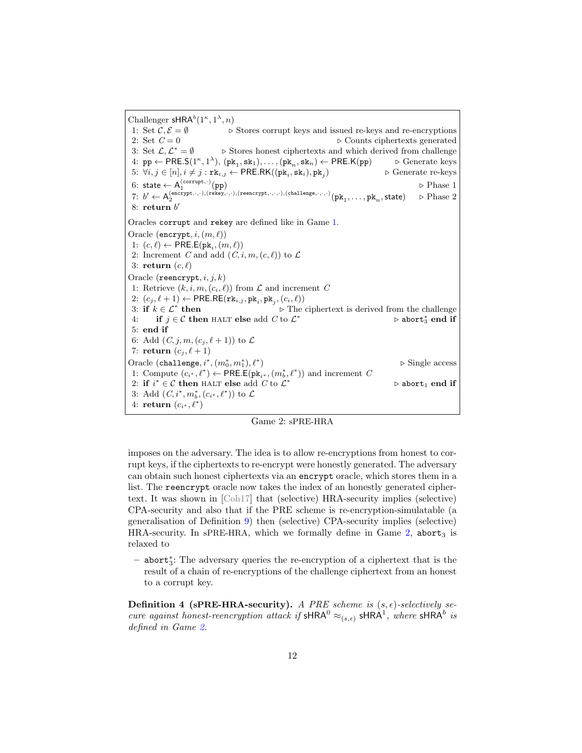<span id="page-11-0"></span>Challenger  $\textsf{sHRA}^b(1^\kappa, 1^\lambda, n)$ 1: Set  $\mathcal{C}, \mathcal{E} = \emptyset$  > Stores corrupt keys and issued re-keys and re-encryptions 2: Set  $C = 0$   $\triangleright$  Counts ciphertexts generated 3: Set  $\mathcal{L}, \mathcal{L}^* = \emptyset$ <sup>∗</sup> = ∅ . Stores honest ciphertexts and which derived from challenge  $4: pp \leftarrow \mathsf{PRE}.S(1^{\kappa}, 1^{\lambda}), (pk_1, sk_1), \ldots, (pk_n, sk_n) \leftarrow \mathsf{PRE}.K(pp) \longrightarrow \mathsf{Generate} \; \text{keys}$  $5: \ \forall i,j \in [n], i \neq j: \mathrm{rk}_{i,j} \leftarrow \mathsf{PRE.RK}((\mathtt{pk}_i,\mathtt{sk}_i),\mathtt{pk}_j)$  $\triangleright$  Generate re-keys  $6: state \leftarrow A_1^{(corrupt,\cdot)}$  $(pp)$   $\triangleright$  Phase 1 7:  $b' \leftarrow A_2^{(\text{encrypt},\dots),(\text{rekey},\dots),(\text{reencrypt},\dots),(\text{challenge},\dots,\dots)}(pk_1,\dots,pk_n$  $\triangleright$  Phase 2 8: return  $b'$ Oracles corrupt and rekey are defined like in Game [1.](#page-10-0) Oracle (encrypt,  $i, (m, \ell)$ ) 1:  $(c, \ell) \leftarrow \text{PRE.E}(\text{pk}_i, (m, \ell))$ 2: Increment C and add  $(C, i, m, (c, \ell))$  to  $\mathcal L$ 3: return  $(c, \ell)$ Oracle (reencrypt,  $i, j, k$ ) 1: Retrieve  $(k, i, m, (c_i, \ell))$  from  $\mathcal L$  and increment C 2:  $(c_j, \ell+1) \leftarrow \mathsf{PRE}.\mathsf{RE}(\mathtt{rk}_{i,j}, \mathtt{pk}_{i}, \mathtt{pk}_{j}, (c_i, \ell))$ 3: if  $k \in \mathcal{L}^*$  then  $\triangleright$  The ciphertext is derived from the challenge 4: if  $j \in \mathcal{C}$  then HALT else add  $C$  to  $\mathcal{L}^*$  $\triangleright$  abor $\mathrm{t}_3^*$  end if 5: end if 6: Add  $(C, j, m, (c_j, \ell + 1))$  to  $\mathcal L$ 7: return  $(c_j, \ell + 1)$ Oracle (challenge,  $i^*, (m_0^*, m_1^*), \ell^*$  $\triangleright$  Single access 1: Compute  $(c_{i^*}, \ell^*) \leftarrow \mathsf{PRE}\textup{.}\mathsf{E}(\mathtt{pk}_{i^*}, (m_b^*, \ell^*))$  and increment C 2: if  $i^* \in \mathcal{C}$  then HALT else add  $C$  to  $\mathcal{L}^*$  $\triangleright$  abort<sub>1</sub> end if 3: Add  $(C, i^*, m_b^*, (c_{i^*}, \ell^*))$  to  $\mathcal L$ 4: return  $(c_{i^*}, \ell^*)$ 

Game 2: sPRE-HRA

imposes on the adversary. The idea is to allow re-encryptions from honest to corrupt keys, if the ciphertexts to re-encrypt were honestly generated. The adversary can obtain such honest ciphertexts via an encrypt oracle, which stores them in a list. The reencrypt oracle now takes the index of an honestly generated ciphertext. It was shown in [\[Coh17\]](#page-42-5) that (selective) HRA-security implies (selective) CPA-security and also that if the PRE scheme is re-encryption-simulatable (a generalisation of Definition [9\)](#page-16-0) then (selective) CPA-security implies (selective) HRA-security. In sPRE-HRA, which we formally define in Game  $2$ , abort<sub>3</sub> is relaxed to

– abort<sup>∗</sup> 3 : The adversary queries the re-encryption of a ciphertext that is the result of a chain of re-encryptions of the challenge ciphertext from an honest to a corrupt key.

**Definition 4 (sPRE-HRA-security).** A PRE scheme is  $(s, \epsilon)$ -selectively secure against honest-reencryption attack if  $sHRA^0 \approx_{(s,\epsilon)} sHRA^1$ , where  $sHRA^b$  is defined in Game [2.](#page-11-0)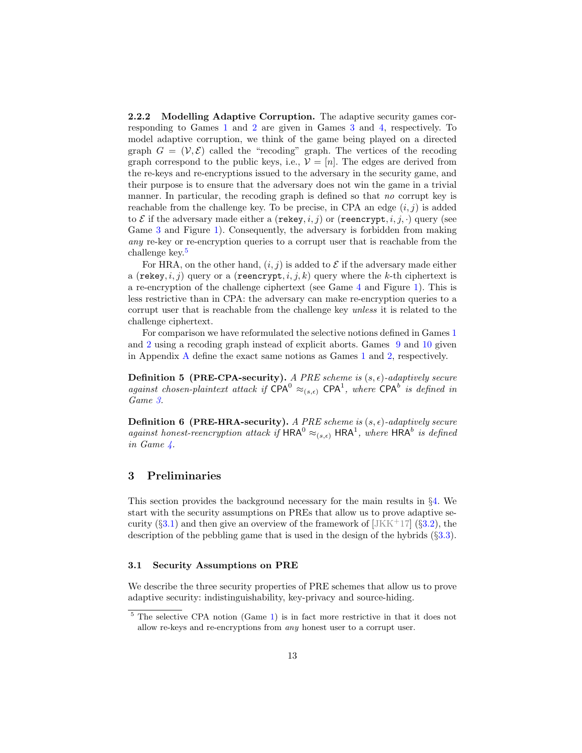2.2.2 Modelling Adaptive Corruption. The adaptive security games corresponding to Games [1](#page-10-0) and [2](#page-11-0) are given in Games [3](#page-14-0) and [4,](#page-15-0) respectively. To model adaptive corruption, we think of the game being played on a directed graph  $G = (\mathcal{V}, \mathcal{E})$  called the "recoding" graph. The vertices of the recoding graph correspond to the public keys, i.e.,  $V = [n]$ . The edges are derived from the re-keys and re-encryptions issued to the adversary in the security game, and their purpose is to ensure that the adversary does not win the game in a trivial manner. In particular, the recoding graph is defined so that no corrupt key is reachable from the challenge key. To be precise, in CPA an edge  $(i, j)$  is added to  $\mathcal E$  if the adversary made either a (rekey, i, j) or (reencrypt, i, j, ·) query (see Game [3](#page-14-0) and Figure [1\)](#page-13-0). Consequently, the adversary is forbidden from making any re-key or re-encryption queries to a corrupt user that is reachable from the challenge key.<sup>[5](#page-12-0)</sup>

For HRA, on the other hand,  $(i, j)$  is added to  $\mathcal E$  if the adversary made either a (rekey, i, j) query or a (reencrypt, i, j, k) query where the k-th ciphertext is a re-encryption of the challenge ciphertext (see Game [4](#page-15-0) and Figure [1\)](#page-13-0). This is less restrictive than in CPA: the adversary can make re-encryption queries to a corrupt user that is reachable from the challenge key *unless* it is related to the challenge ciphertext.

For comparison we have reformulated the selective notions defined in Games [1](#page-10-0) and [2](#page-11-0) using a recoding graph instead of explicit aborts. Games [9](#page-44-0) and [10](#page-45-0) given in Appendix [A](#page-43-7) define the exact same notions as Games [1](#page-10-0) and [2,](#page-11-0) respectively.

**Definition 5 (PRE-CPA-security).** A PRE scheme is  $(s, \epsilon)$ -adaptively secure against chosen-plaintext attack if  $\text{CPA}^0 \approx_{(s,\epsilon)} \text{CPA}^1$ , where  $\text{CPA}^b$  is defined in Game [3.](#page-14-0)

**Definition 6 (PRE-HRA-security).** A PRE scheme is  $(s, \epsilon)$ -adaptively secure against honest-reencryption attack if  $HRA^0 \approx_{(s,\epsilon)} HRA^1$ , where  $HRA^b$  is defined in Game [4.](#page-15-0)

# 3 Preliminaries

This section provides the background necessary for the main results in §[4.](#page-20-0) We start with the security assumptions on PREs that allow us to prove adaptive security  $(\S 3.1)$  $(\S 3.1)$  and then give an overview of the framework of [\[JKK](#page-43-5)+17]  $(\S 3.2)$  $(\S 3.2)$ , the description of the pebbling game that is used in the design of the hybrids (§[3.3\)](#page-18-0).

#### <span id="page-12-1"></span>3.1 Security Assumptions on PRE

We describe the three security properties of PRE schemes that allow us to prove adaptive security: indistinguishability, key-privacy and source-hiding.

<span id="page-12-0"></span><sup>5</sup> The selective CPA notion (Game [1\)](#page-10-0) is in fact more restrictive in that it does not allow re-keys and re-encryptions from any honest user to a corrupt user.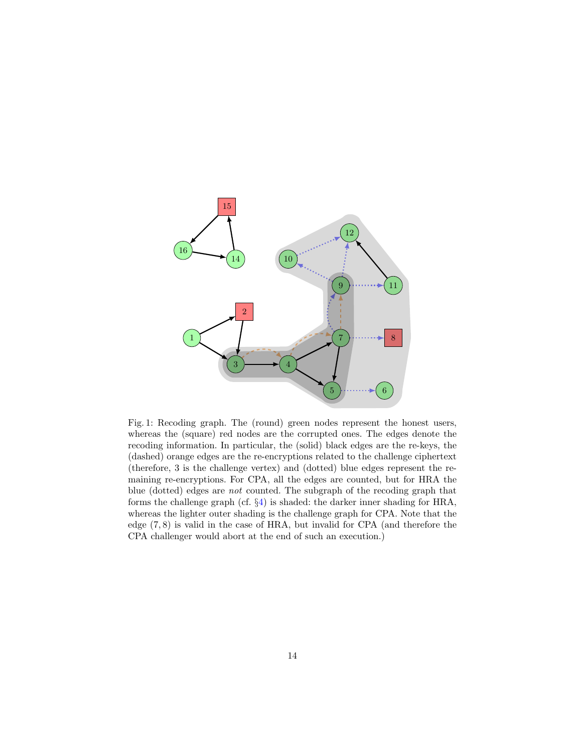<span id="page-13-0"></span>

Fig. 1: Recoding graph. The (round) green nodes represent the honest users, whereas the (square) red nodes are the corrupted ones. The edges denote the recoding information. In particular, the (solid) black edges are the re-keys, the (dashed) orange edges are the re-encryptions related to the challenge ciphertext (therefore, 3 is the challenge vertex) and (dotted) blue edges represent the remaining re-encryptions. For CPA, all the edges are counted, but for HRA the blue (dotted) edges are not counted. The subgraph of the recoding graph that forms the challenge graph (cf.  $\S4$ ) is shaded: the darker inner shading for HRA, whereas the lighter outer shading is the challenge graph for CPA. Note that the edge (7, 8) is valid in the case of HRA, but invalid for CPA (and therefore the CPA challenger would abort at the end of such an execution.)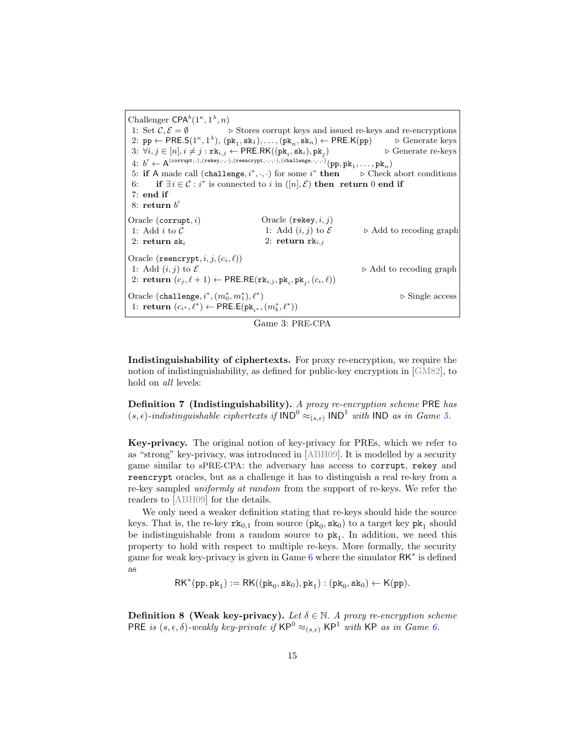<span id="page-14-0"></span>Challenger  $\text{CPA}^b(1^{\kappa}, 1^{\lambda}, n)$ 1: Set  $\mathcal{C}, \mathcal{E} = \emptyset$   $\triangleright$  Stores corrupt keys and issued re-keys and re-encryptions 2:  $pp \leftarrow \text{PRE.S}(1^{\kappa}, 1^{\lambda}), (pk_1, sk_1), \ldots, (pk_n, sk_n) \leftarrow \text{PRE.K}(pp) \Rightarrow \text{Generate keys}$  $3: \ \forall i,j \in [n], i \neq j : \text{rk}_{i,j} \leftarrow \mathsf{PRE.RK}((\mathtt{pk}_i,\mathtt{sk}_i),\mathtt{pk}_j)$  $\triangleright$  Generate re-keys  $4: b' \leftarrow A^{(corrupt,\cdot),(rekey,\cdot,\cdot),(reencypt,\cdot,\cdot,\cdot),(challenge,\cdot,\cdot,\cdot)}(pp,pk_1,\ldots,pk_n)$ 5: if A made call (challenge,  $i^*, \cdot, \cdot$ ) for some  $i^*$  $\triangleright$  Check abort conditions 6: if  $\exists i \in \mathcal{C} : i^*$  is connected to i in  $([n], \mathcal{E})$  then return 0 end if 7: end if 8: return  $b'$ Oracle (corrupt, i) 1: Add $i$  to  ${\mathcal C}$ 2: return  $sk_i$ Oracle  $(rekey, i, j)$ 1: Add  $(i, j)$  to  $\mathcal{E}$  .  $\triangleright$  Add to recoding graph 2: return  $rk_{i,j}$ Oracle (reencrypt,  $i, j, (c_i, \ell)$ ) 1: Add  $(i, j)$  to  $\mathcal E$  . Add to recoding graph 2: return  $(c_j, \ell + 1) \leftarrow \mathsf{PRE}.\mathsf{RE}(\mathtt{rk}_{i,j}, \mathtt{pk}_i, \mathtt{pk}_j, (c_i, \ell))$ Oracle (challenge,  $i^*$ ,  $(m_0^*, m_1^*)$ ,  $\ell^*$  $\triangleright$  Single access 1: return  $(c_{i^*}, \ell^*) \leftarrow \mathsf{PRE}\textup{.}\mathsf{E}(\mathtt{pk}_{i^*}, (m_b^*, \ell^*))$ 

Game 3: PRE-CPA

Indistinguishability of ciphertexts. For proxy re-encryption, we require the notion of indistinguishability, as defined for public-key encryption in [\[GM82\]](#page-43-8), to hold on all levels:

Definition 7 (Indistinguishability). A proxy re-encryption scheme PRE has  $(s, \epsilon)$ -indistinguishable ciphertexts if  $IND^0 \approx_{(s,\epsilon)} IND^1$  with IND as in Game [5.](#page-15-1)

Key-privacy. The original notion of key-privacy for PREs, which we refer to as "strong" key-privacy, was introduced in [\[ABH09\]](#page-42-6). It is modelled by a security game similar to sPRE-CPA: the adversary has access to corrupt, rekey and reencrypt oracles, but as a challenge it has to distinguish a real re-key from a re-key sampled uniformly at random from the support of re-keys. We refer the readers to [\[ABH09\]](#page-42-6) for the details.

We only need a weaker definition stating that re-keys should hide the source keys. That is, the re-key  $rk_{0,1}$  from source  $(\mathsf{pk}_0, \mathsf{sk}_0)$  to a target key  $\mathsf{pk}_1$  should be indistinguishable from a random source to  $pk<sub>1</sub>$ . In addition, we need this property to hold with respect to multiple re-keys. More formally, the security game for weak key-privacy is given in Game [6](#page-15-2) where the simulator  $RK^*$  is defined as

 $\mathsf{RK}^*(\mathrm{pp},\mathrm{pk}_1) := \mathsf{RK}((\mathrm{pk}_0,\mathrm{sk}_0),\mathrm{pk}_1) : (\mathrm{pk}_0,\mathrm{sk}_0) \leftarrow \mathsf{K}(\mathrm{pp}).$ 

**Definition 8 (Weak key-privacy).** Let  $\delta \in \mathbb{N}$ . A proxy re-encryption scheme PRE is  $(s, \epsilon, \delta)$ -weakly key-private if  $KP^0 \approx_{(s,\epsilon)} KP^1$  with KP as in Game [6.](#page-15-2)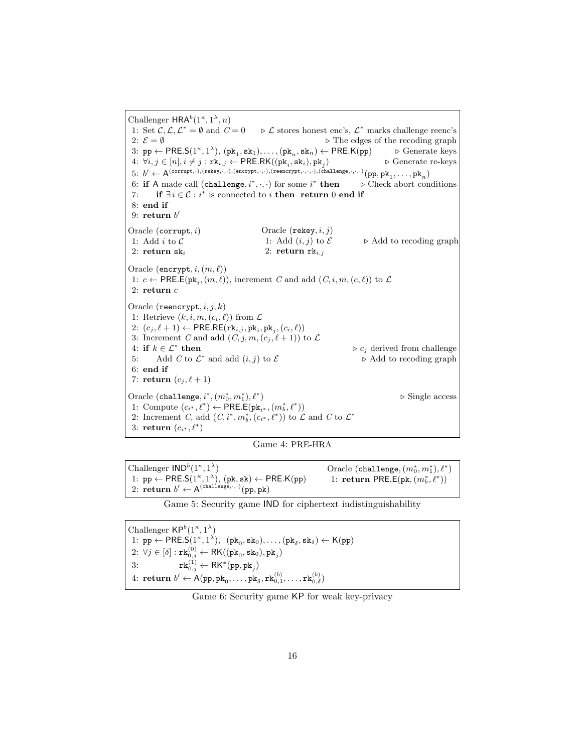<span id="page-15-0"></span>Challenger  $HRA^{b}(1^{\kappa}, 1^{\lambda}, n)$ 1: Set  $\mathcal{C}, \mathcal{L}, \mathcal{L}^* = \emptyset$  and  $C = 0$  $* = ∅$  and  $C = 0$   $\rightarrow \mathcal{L}$  stores honest enc's,  $\mathcal{L}^*$  marks challenge reenc's 2:  $\mathcal{E} = \emptyset$  b The edges of the recoding graph 3:  $pp \leftarrow \text{PRE.S}(1^{\kappa}, 1^{\lambda}), (pk_1, sk_1), \ldots, (pk_n, sk_n) \leftarrow \text{PRE.K}(pp) \Rightarrow \text{Generate keys}$ 4: ∀ $i, j \in [n], i \neq j$  :  $\texttt{rk}_{i,j} \leftarrow \mathsf{PRE.RK}((\texttt{pk}_{i},\texttt{sk}_{i}),\texttt{pk}_{j})$  $\triangleright$  Generate re-keys  $5: b' \leftarrow A^{(corrupt,\cdot),(rekey,\cdot,\cdot),(encrypt,\cdot,\cdot),(reencypt,\cdot,\cdot,\cdot),(challenge,\cdot,\cdot,\cdot)}(pp,pk_1,\ldots,pk_n)$ 6: if A made call (challenge,  $i^*, \cdot, \cdot$ ) for some  $i^*$  $\triangleright$  Check abort conditions 7: if  $\exists i \in \mathcal{C} : i^*$  is connected to i then return 0 end if 8: end if 9: return  $b'$ Oracle (corrupt, i) 1: Add  $i$  to  $C$ 2: return  $sk_i$ Oracle  $(rekey, i, j)$ 1: Add  $(i, j)$  to  $\mathcal{E}$  .  $\triangleright$  Add to recoding graph 2: return  $rk_{i,j}$ Oracle (encrypt,  $i, (m, \ell)$ ) 1:  $c \leftarrow \textsf{PRE.E}(pk_i, (m, \ell))$ , increment C and add  $(C, i, m, (c, \ell))$  to  $\mathcal{L}$ 2: return c Oracle (reencrypt,  $i, j, k$ ) 1: Retrieve  $(k, i, m, (c_i, \ell))$  from  $\mathcal L$ 2:  $(c_j, \ell+1) \leftarrow \mathsf{PRE}.\mathsf{RE}(\mathtt{rk}_{i,j}, \mathtt{pk}_{i}, \mathtt{pk}_{j}, (c_i, \ell))$ 3: Increment C and add  $(C, j, m, (c_i, \ell + 1))$  to  $\mathcal L$ 4: if  $k \in \mathcal{L}^*$  then  $\triangleright c_i$  derived from challenge 5: Add  $C$  to  $\mathcal{L}^*$  $\triangleright$  Add to recoding graph 6: end if 7: return  $(c_j, \ell + 1)$ Oracle (challenge,  $i^*$ ,  $(m_0^*, m_1^*)$ ,  $\ell^*$  $\triangleright$  Single access 1: Compute  $(c_{i^*}, \ell^*) \leftarrow \mathsf{PRE.E}(\mathtt{pk}_{i^*}, (m_b^*, \ell^*))$ 2: Increment C, add  $(C, i^*, m_b^*, (c_{i^*}, \ell^*))$  to  $\mathcal L$  and C to  $\mathcal L^*$ 3: return  $(c_{i^*}, \ell^*)$ 

Game 4: PRE-HRA

<span id="page-15-1"></span>Challenger  $\text{IND}^b(1^{\kappa}, 1^{\lambda})$ 1:  $pp \leftarrow \text{PRE.S}(1^{\kappa}, 1^{\lambda}), (pk, sk) \leftarrow \text{PRE.K}(pp)$ 2: return  $b' \leftarrow A^{(challenge, \cdot, \cdot)}(pp, pk)$ Oracle (challenge,  $(m_0^*, m_1^*), \ell^*$ ) 1: return PRE.E(pk,  $(m_b^*, \ell^*)$ )

Game 5: Security game IND for ciphertext indistinguishability

<span id="page-15-2"></span>Challenger  $\mathsf{KP}^b(1^\kappa,1^\lambda)$  $1: \, pp \leftarrow \mathsf{PRE}. \mathsf{S}(1^\kappa, 1^\lambda), \, (pk_0, sk_0), \ldots, (pk_\delta, sk_\delta) \leftarrow \mathsf{K}(pp)$  $2\colon\,\forall j\in[\delta]:\mathtt{rk}_{0,j}^{(0)}\leftarrow\mathsf{RK}((\mathtt{pk}_0,\mathtt{sk}_0),\mathtt{pk}_j)$ 3:  $\mathbf{rk}_{0,j}^{(1)} \leftarrow \mathsf{RK}^*(\mathsf{pp}, \mathsf{pk}_j)$ 4: return  $b' \leftarrow \mathsf{A}(\mathtt{pp},\mathtt{pk}_0,\ldots,\mathtt{pk}_{\delta},\mathtt{rk}_{0,1}^{(b)},\ldots,\mathtt{rk}_{0,\delta}^{(b)})$ 

Game 6: Security game KP for weak key-privacy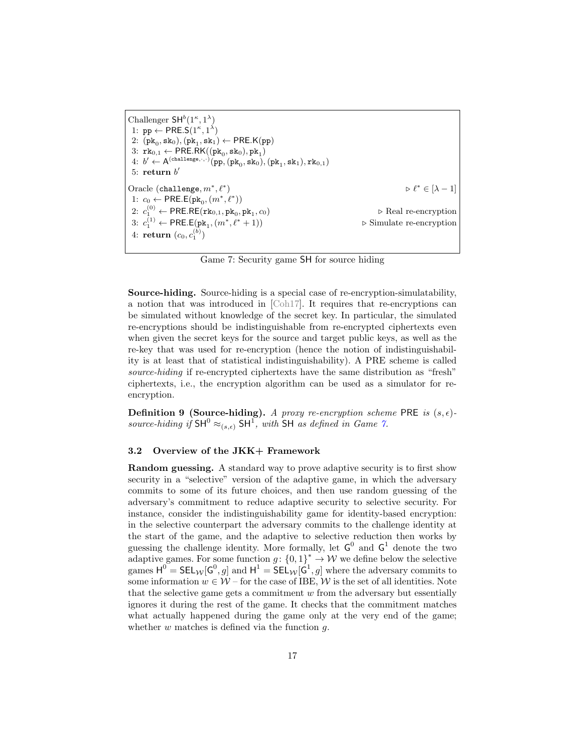<span id="page-16-2"></span>Challenger  $SH^b(1^{\kappa}, 1^{\lambda})$ 1:  $pp \leftarrow \text{PRE.S}(1^{\kappa}, 1^{\lambda})$ 2:  $(pk_0, sk_0), (pk_1, sk_1) \leftarrow \text{PRE.K(pp)}$ 3:  $rk_{0,1} \leftarrow \mathsf{PRE.RK}((pk_0, sk_0), pk_1)$  $4: b' \leftarrow A^{(\text{challenge}, \cdot, \cdot)}(pp, (pk_0, sk_0), (pk_1, sk_1), rk_{0,1})$ 5: return  $b'$ Oracle (challenge,  $m^*, \ell^*$  $\rhd \ell^* \in [\lambda - 1]$ 1:  $c_0 \leftarrow \mathsf{PRE.E}(\mathtt{pk}_0, (m^*, \ell^*))$  $2\colon c_1^{(0)} \leftarrow \mathsf{PRE}.\mathsf{RE}(\mathtt{rk}_{0,1},\mathtt{pk}_0,\mathtt{pk}_1)$  $\triangleright$  Real re-encryption  $3: c_1^{(1)} \leftarrow \mathsf{PRE}.\mathsf{E}(\mathtt{pk}_1, (m^*)$ , `<sup>∗</sup> + 1)) . Simulate re-encryption  $4: \; \mathbf{return} \; (c_0, c_1^{(b)})$ 

Game 7: Security game SH for source hiding

Source-hiding. Source-hiding is a special case of re-encryption-simulatability, a notion that was introduced in [\[Coh17\]](#page-42-5). It requires that re-encryptions can be simulated without knowledge of the secret key. In particular, the simulated re-encryptions should be indistinguishable from re-encrypted ciphertexts even when given the secret keys for the source and target public keys, as well as the re-key that was used for re-encryption (hence the notion of indistinguishability is at least that of statistical indistinguishability). A PRE scheme is called source-hiding if re-encrypted ciphertexts have the same distribution as "fresh" ciphertexts, i.e., the encryption algorithm can be used as a simulator for reencryption.

<span id="page-16-0"></span>Definition 9 (Source-hiding). A proxy re-encryption scheme PRE is  $(s, \epsilon)$ source-hiding if  $SH^0 \approx_{(s,\epsilon)} SH^1$ , with SH as defined in Game [7.](#page-16-2)

#### <span id="page-16-1"></span>3.2 Overview of the JKK+ Framework

Random guessing. A standard way to prove adaptive security is to first show security in a "selective" version of the adaptive game, in which the adversary commits to some of its future choices, and then use random guessing of the adversary's commitment to reduce adaptive security to selective security. For instance, consider the indistinguishability game for identity-based encryption: in the selective counterpart the adversary commits to the challenge identity at the start of the game, and the adaptive to selective reduction then works by guessing the challenge identity. More formally, let  $G^0$  and  $G^1$  denote the two adaptive games. For some function  $g: \{0,1\}^* \to \mathcal{W}$  we define below the selective games  $H^0 = \mathsf{SEL}_{\mathcal{W}}[G^0, g]$  and  $H^1 = \mathsf{SEL}_{\mathcal{W}}[G^1, g]$  where the adversary commits to some information  $w \in \mathcal{W}$  – for the case of IBE,  $\mathcal W$  is the set of all identities. Note that the selective game gets a commitment  $w$  from the adversary but essentially ignores it during the rest of the game. It checks that the commitment matches what actually happened during the game only at the very end of the game; whether  $w$  matches is defined via the function  $q$ .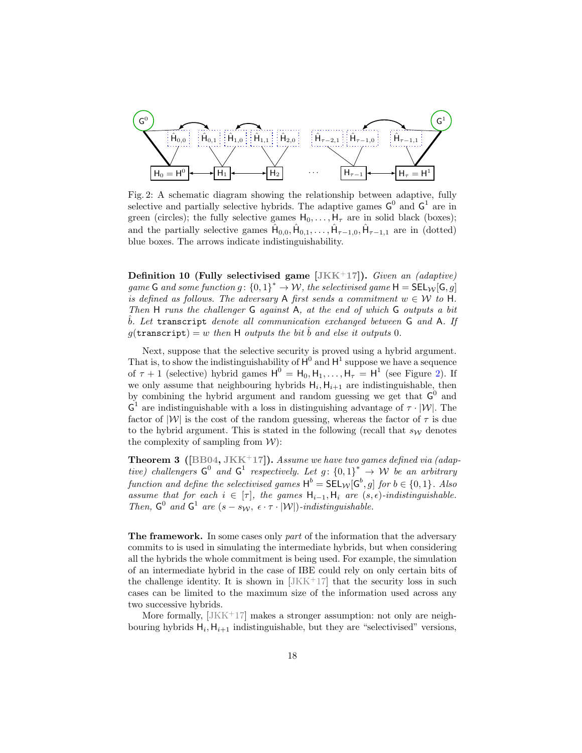<span id="page-17-0"></span>

Fig. 2: A schematic diagram showing the relationship between adaptive, fully selective and partially selective hybrids. The adaptive games  $G^0$  and  $G^1$  are in green (circles); the fully selective games  $H_0, \ldots, H_\tau$  are in solid black (boxes); and the partially selective games  $\hat{H}_{0,0}, \hat{H}_{0,1}, \ldots, \hat{H}_{\tau-1,0}, \hat{H}_{\tau-1,1}$  are in (dotted) blue boxes. The arrows indicate indistinguishability.

Definition 10 (Fully selectivised game  $[JKK^+17]$  $[JKK^+17]$ ). Given an (adaptive) game G and some function  $g: \{0,1\}^* \to W$ , the selectivised game  $H = \overline{\textsf{SEL}_\mathcal{W}}[\textsf{G}, g]$ is defined as follows. The adversary A first sends a commitment  $w \in \mathcal{W}$  to H. Then H runs the challenger G against A, at the end of which G outputs a bit ˆb. Let transcript denote all communication exchanged between G and A. If  $g(\text{transcript}) = w$  then H outputs the bit  $\tilde{b}$  and else it outputs 0.

Next, suppose that the selective security is proved using a hybrid argument. That is, to show the indistinguishability of  $H^0$  and  $H^1$  suppose we have a sequence of  $\tau + 1$  (selective) hybrid games  $H^0 = H_0, H_1, \ldots, H_{\tau} = H^1$  (see Figure [2\)](#page-17-0). If we only assume that neighbouring hybrids  $H_i, H_{i+1}$  are indistinguishable, then by combining the hybrid argument and random guessing we get that  $G^0$  and  $G^1$  are indistinguishable with a loss in distinguishing advantage of  $\tau \cdot |\mathcal{W}|$ . The factor of  $|\mathcal{W}|$  is the cost of the random guessing, whereas the factor of  $\tau$  is due to the hybrid argument. This is stated in the following (recall that  $s_W$  denotes the complexity of sampling from  $W$ :

<span id="page-17-1"></span>**Theorem 3** ( $[BB04, JKK^+17]$  $[BB04, JKK^+17]$  $[BB04, JKK^+17]$  $[BB04, JKK^+17]$ ). Assume we have two games defined via (adaptive) challengers  $G^0$  and  $G^1$  respectively. Let  $g: \{0,1\}^* \to W$  be an arbitrary function and define the selectivised games  $H^b = \mathsf{SEL}_\mathcal{W}[G^b,g]$  for  $b \in \{0,1\}$ . Also assume that for each  $i \in [\tau]$ , the games  $H_{i-1}, H_i$  are  $(s, \epsilon)$ -indistinguishable. Then,  $G^0$  and  $G^1$  are  $(s - s_W, \epsilon \cdot \tau \cdot |W|)$ -indistinguishable.

The framework. In some cases only part of the information that the adversary commits to is used in simulating the intermediate hybrids, but when considering all the hybrids the whole commitment is being used. For example, the simulation of an intermediate hybrid in the case of IBE could rely on only certain bits of the challenge identity. It is shown in  $[JKK^+17]$  $[JKK^+17]$  that the security loss in such cases can be limited to the maximum size of the information used across any two successive hybrids.

More formally,  $[JKK^+17]$  $[JKK^+17]$  makes a stronger assumption: not only are neighbouring hybrids  $H_i, H_{i+1}$  indistinguishable, but they are "selectivised" versions,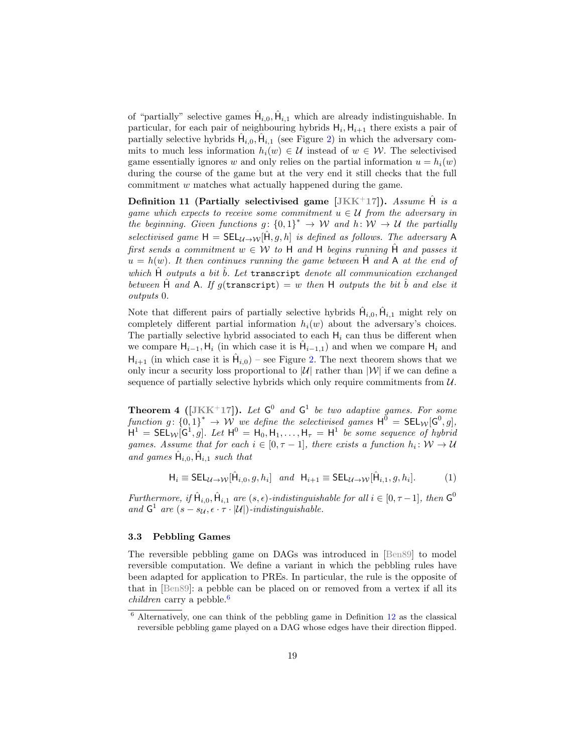of "partially" selective games  $\hat{H}_{i,0}, \hat{H}_{i,1}$  which are already indistinguishable. In particular, for each pair of neighbouring hybrids  $H_i, H_{i+1}$  there exists a pair of partially selective hybrids  $\hat{H}_{i,0}, \hat{H}_{i,1}$  (see Figure [2\)](#page-17-0) in which the adversary commits to much less information  $h_i(w) \in \mathcal{U}$  instead of  $w \in \mathcal{W}$ . The selectivised game essentially ignores w and only relies on the partial information  $u = h_i(w)$ during the course of the game but at the very end it still checks that the full commitment w matches what actually happened during the game.

Definition 11 (Partially selectivised game [\[JKK](#page-43-5)<sup>+</sup>17]). Assume  $\hat{H}$  is a game which expects to receive some commitment  $u \in \mathcal{U}$  from the adversary in the beginning. Given functions  $g: \{0,1\}^* \to W$  and  $h: W \to U$  the partially selectivised game  $H = \mathsf{SEL}_{\mathcal{U}\to\mathcal{W}}[\hat{H}, g, h]$  is defined as follows. The adversary A first sends a commitment  $w \in \mathcal{W}$  to H and H begins running H and passes it  $u = h(w)$ . It then continues running the game between H and A at the end of which  $\hat{H}$  outputs a bit  $\hat{b}$ . Let transcript denote all communication exchanged between  $\hat{H}$  and A. If g(transcript) = w then H outputs the bit  $\hat{b}$  and else it outputs 0.

Note that different pairs of partially selective hybrids  $\hat{H}_{i,0}, \hat{H}_{i,1}$  might rely on completely different partial information  $h_i(w)$  about the adversary's choices. The partially selective hybrid associated to each  $H_i$  can thus be different when we compare  $H_{i-1}$ ,  $H_i$  (in which case it is  $\hat{H}_{i-1,1}$ ) and when we compare  $H_i$  and  $H_{i+1}$  (in which case it is  $\hat{H}_{i,0}$ ) – see Figure [2.](#page-17-0) The next theorem shows that we only incur a security loss proportional to  $|\mathcal{U}|$  rather than  $|\mathcal{W}|$  if we can define a sequence of partially selective hybrids which only require commitments from  $U$ .

<span id="page-18-3"></span>**Theorem 4** ([\[JKK](#page-43-5)<sup>+</sup>17]). Let  $G^0$  and  $G^1$  be two adaptive games. For some function  $g: \{0,1\}^* \to W$  we define the selectivised games  $H^0 = \mathsf{SEL}_\mathcal{W}[\mathsf{G}^0,g],$  $H^1 = \mathsf{SEL}_{\mathcal{W}}[G^1, g]$ . Let  $H^0 = H_0, H_1, \ldots, H_\tau = H^1$  be some sequence of hybrid games. Assume that for each  $i \in [0, \tau - 1]$ , there exists a function  $h_i : \mathcal{W} \to \mathcal{U}$ and games  $\hat{\mathsf{H}}_{i,0}, \hat{\mathsf{H}}_{i,1}$  such that

$$
\mathsf{H}_i \equiv \mathsf{SEL}_{\mathcal{U} \to \mathcal{W}}[\hat{\mathsf{H}}_{i,0}, g, h_i] \quad and \quad \mathsf{H}_{i+1} \equiv \mathsf{SEL}_{\mathcal{U} \to \mathcal{W}}[\hat{\mathsf{H}}_{i,1}, g, h_i]. \tag{1}
$$

Furthermore, if  $\hat{H}_{i,0}, \hat{H}_{i,1}$  are  $(s,\epsilon)$ -indistinguishable for all  $i \in [0, \tau-1]$ , then  $G^0$ and  $G^1$  are  $(s - s_{\mathcal{U}}, \epsilon \cdot \tau \cdot |\mathcal{U}|)$ -indistinguishable.

#### <span id="page-18-0"></span>3.3 Pebbling Games

The reversible pebbling game on DAGs was introduced in [\[Ben89\]](#page-42-8) to model reversible computation. We define a variant in which the pebbling rules have been adapted for application to PREs. In particular, the rule is the opposite of that in [\[Ben89\]](#page-42-8): a pebble can be placed on or removed from a vertex if all its children carry a pebble.<sup>[6](#page-18-1)</sup>

<span id="page-18-2"></span><span id="page-18-1"></span> $6$  Alternatively, one can think of the pebbling game in Definition [12](#page-18-2) as the classical reversible pebbling game played on a DAG whose edges have their direction flipped.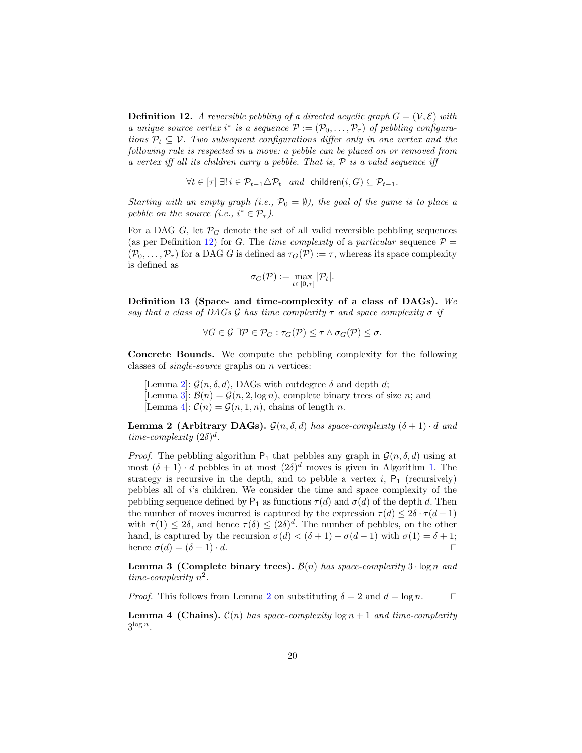**Definition 12.** A reversible pebbling of a directed acyclic graph  $G = (\mathcal{V}, \mathcal{E})$  with a unique source vertex i\* is a sequence  $\mathcal{P} := (\mathcal{P}_0, \ldots, \mathcal{P}_{\tau})$  of pebbling configurations  $P_t \subseteq V$ . Two subsequent configurations differ only in one vertex and the following rule is respected in a move: a pebble can be placed on or removed from a vertex iff all its children carry a pebble. That is,  $P$  is a valid sequence iff

$$
\forall t \in [\tau] \; \exists! \; i \in \mathcal{P}_{t-1} \triangle \mathcal{P}_t \quad and \quad \text{children}(i, G) \subseteq \mathcal{P}_{t-1}.
$$

Starting with an empty graph (i.e.,  $\mathcal{P}_0 = \emptyset$ ), the goal of the game is to place a pebble on the source (i.e.,  $i^* \in \mathcal{P}_{\tau}$ ).

For a DAG G, let  $\mathcal{P}_G$  denote the set of all valid reversible pebbling sequences (as per Definition [12\)](#page-18-2) for G. The time complexity of a particular sequence  $\mathcal{P} =$  $(\mathcal{P}_0,\ldots,\mathcal{P}_{\tau})$  for a DAG G is defined as  $\tau_G(\mathcal{P}) := \tau$ , whereas its space complexity is defined as

$$
\sigma_G(\mathcal{P}) := \max_{t \in [0,\tau]} |\mathcal{P}_t|.
$$

Definition 13 (Space- and time-complexity of a class of DAGs). We say that a class of DAGs G has time complexity  $\tau$  and space complexity  $\sigma$  if

$$
\forall G \in \mathcal{G} \; \exists \mathcal{P} \in \mathcal{P}_G : \tau_G(\mathcal{P}) \leq \tau \wedge \sigma_G(\mathcal{P}) \leq \sigma.
$$

Concrete Bounds. We compute the pebbling complexity for the following classes of single-source graphs on n vertices:

[Lemma [2\]](#page-19-0):  $\mathcal{G}(n, \delta, d)$ , DAGs with outdegree  $\delta$  and depth d; [Lemma [3\]](#page-19-1):  $\mathcal{B}(n) = \mathcal{G}(n, 2, \log n)$ , complete binary trees of size n; and [Lemma [4\]](#page-19-2):  $\mathcal{C}(n) = \mathcal{G}(n, 1, n)$ , chains of length n.

<span id="page-19-0"></span>**Lemma 2 (Arbitrary DAGs).**  $\mathcal{G}(n, \delta, d)$  has space-complexity  $(\delta + 1) \cdot d$  and time-complexity  $(2\delta)^d$ .

*Proof.* The pebbling algorithm  $P_1$  that pebbles any graph in  $\mathcal{G}(n, \delta, d)$  using at most  $(\delta + 1) \cdot d$  pebbles in at most  $(2\delta)^d$  moves is given in Algorithm [1.](#page-20-1) The strategy is recursive in the depth, and to pebble a vertex i,  $P_1$  (recursively) pebbles all of i's children. We consider the time and space complexity of the pebbling sequence defined by  $P_1$  as functions  $\tau(d)$  and  $\sigma(d)$  of the depth d. Then the number of moves incurred is captured by the expression  $\tau(d) \leq 2\delta \cdot \tau(d-1)$ with  $\tau(1) \leq 2\delta$ , and hence  $\tau(\delta) \leq (2\delta)^d$ . The number of pebbles, on the other hand, is captured by the recursion  $\sigma(d) < (\delta + 1) + \sigma(d - 1)$  with  $\sigma(1) = \delta + 1$ ; hence  $\sigma(d) = (\delta + 1) \cdot d$ .

<span id="page-19-1"></span>**Lemma 3 (Complete binary trees).**  $\mathcal{B}(n)$  has space-complexity  $3 \cdot \log n$  and time-complexity  $n^2$ .

*Proof.* This follows from Lemma [2](#page-19-0) on substituting  $\delta = 2$  and  $d = \log n$ .

<span id="page-19-2"></span>**Lemma 4 (Chains).**  $C(n)$  has space-complexity  $\log n + 1$  and time-complexity  $3^{\log n}$ .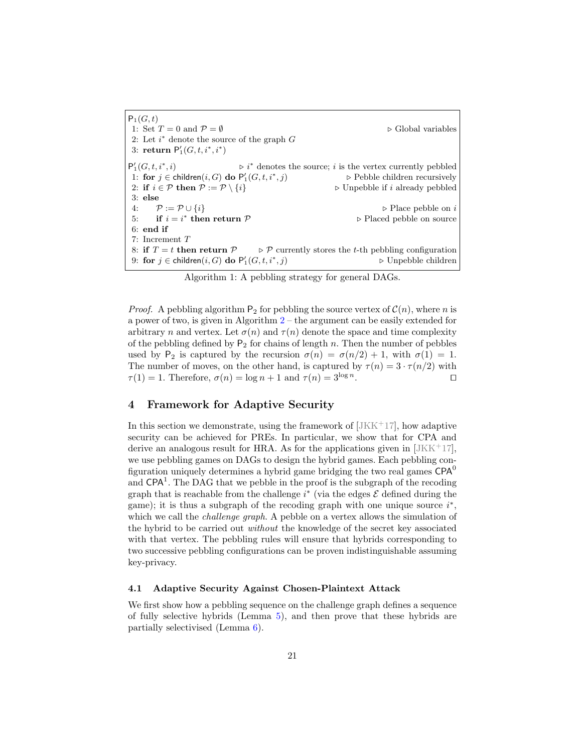<span id="page-20-1"></span> $P_1(G, t)$ 1: Set  $T = 0$  and  $P = \emptyset$  b Global variables 2: Let  $i^*$  denote the source of the graph  $G$ 3: return  $\mathsf{P}'_1(G,t,i^*,i^*)$  $\mathsf{P}'_1(G,t,i^*$  $\triangleright i^*$  denotes the source; i is the vertex currently pebbled 1: for  $j \in \text{children}(i, G)$  do  $P'_1(G, t, i^*)$  $\triangleright$  Pebble children recursively 2: if  $i \in \mathcal{P}$  then  $\mathcal{P} := \mathcal{P} \setminus \{i\}$  b Unpebble if i already pebbled 3: else 4:  $\mathcal{P} := \mathcal{P} \cup \{i\}$  > Place pebble on i 5: if  $i = i^*$  $\triangleright$  Placed pebble on source 6: end if 7: Increment T 8: if  $T = t$  then return  $P \longrightarrow P$  currently stores the t-th pebbling configuration 9: for  $j \in \text{children}(i, G)$  do  $\mathsf{P}'_1(G, t, i^*)$  $\triangleright$  Unpebble children

Algorithm 1: A pebbling strategy for general DAGs.

*Proof.* A pebbling algorithm  $P_2$  for pebbling the source vertex of  $C(n)$ , where n is a power of two, is given in Algorithm  $2$  – the argument can be easily extended for arbitrary n and vertex. Let  $\sigma(n)$  and  $\tau(n)$  denote the space and time complexity of the pebbling defined by  $P_2$  for chains of length n. Then the number of pebbles used by P<sub>2</sub> is captured by the recursion  $\sigma(n) = \sigma(n/2) + 1$ , with  $\sigma(1) = 1$ . The number of moves, on the other hand, is captured by  $\tau(n) = 3 \cdot \tau(n/2)$  with  $\tau(1) = 1$ . Therefore,  $\sigma(n) = \log n + 1$  and  $\tau(n) = 3^{\log n}$ .

# <span id="page-20-0"></span>4 Framework for Adaptive Security

In this section we demonstrate, using the framework of  $[JKK^+17]$  $[JKK^+17]$ , how adaptive security can be achieved for PREs. In particular, we show that for CPA and derive an analogous result for HRA. As for the applications given in  $[JKK^+17]$  $[JKK^+17]$ , we use pebbling games on DAGs to design the hybrid games. Each pebbling configuration uniquely determines a hybrid game bridging the two real games  $\mathsf{CPA}^0$ and  $\mathsf{CPA}^1$ . The DAG that we pebble in the proof is the subgraph of the recoding graph that is reachable from the challenge  $i^*$  (via the edges  $\mathcal E$  defined during the game); it is thus a subgraph of the recoding graph with one unique source  $i^*$ , which we call the *challenge graph*. A pebble on a vertex allows the simulation of the hybrid to be carried out without the knowledge of the secret key associated with that vertex. The pebbling rules will ensure that hybrids corresponding to two successive pebbling configurations can be proven indistinguishable assuming key-privacy.

#### 4.1 Adaptive Security Against Chosen-Plaintext Attack

We first show how a pebbling sequence on the challenge graph defines a sequence of fully selective hybrids (Lemma [5\)](#page-22-0), and then prove that these hybrids are partially selectivised (Lemma [6\)](#page-23-0).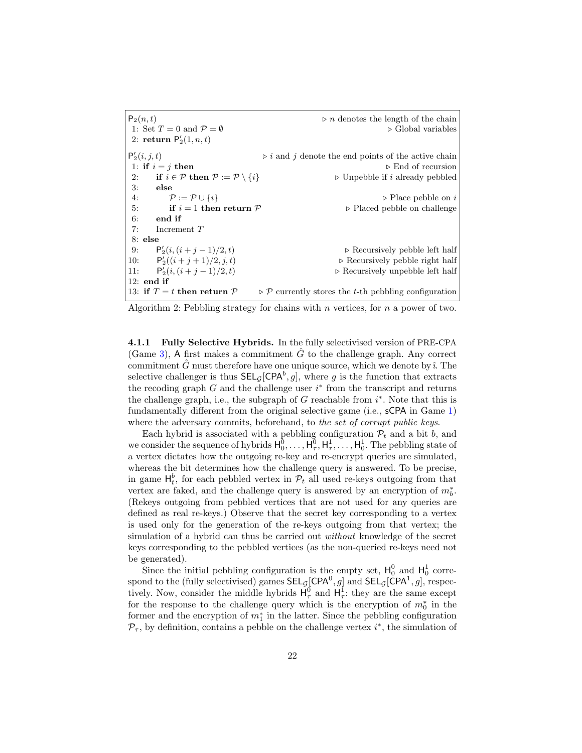<span id="page-21-0"></span> $P_2(n,t)$   $\triangleright$  *n* denotes the length of the chain 1: Set  $T = 0$  and  $P = \emptyset$   $\triangleright$  Global variables 2: return  $P'_2(1, n, t)$  $\mathsf{P}'_2$  $\triangleright$  *i* and *j* denote the end points of the active chain 1: if  $i = j$  then  $\triangleright$  End of recursion 2: if  $i \in \mathcal{P}$  then  $\mathcal{P} := \mathcal{P} \setminus \{i\}$  b Unpebble if i already pebbled 3: else 4:  $\mathcal{P} := \mathcal{P} \cup \{i\}$  b Place pebble on i 5: if  $i = 1$  then return  $P$   $\triangleright$  Placed pebble on challenge 6: end if 7: Increment T 8: else  $9:$  $P'_2(i, (i+j-1)/2, t)$  $▶$  Recursively pebble left half  $10:$  $P'_2((i+j+1)/2,j,t)$  $\triangleright$  Recursively pebble right half  $11:$  $P'_2(i, (i+j-1)/2, t)$  $\triangleright$  Recursively unpebble left half 12: end if 13: if  $T = t$  then return  $P \longrightarrow P$  currently stores the t-th pebbling configuration

Algorithm 2: Pebbling strategy for chains with  $n$  vertices, for  $n$  a power of two.

4.1.1 Fully Selective Hybrids. In the fully selectivised version of PRE-CPA (Game [3\)](#page-14-0), A first makes a commitment  $\tilde{G}$  to the challenge graph. Any correct commitment  $\hat{G}$  must therefore have one unique source, which we denote by  $\hat{i}$ . The selective challenger is thus  $\mathsf{SEL}_{\mathcal{G}}[\mathsf{CPA}^b,g],$  where g is the function that extracts the recoding graph  $G$  and the challenge user  $i^*$  from the transcript and returns the challenge graph, i.e., the subgraph of  $G$  reachable from  $i^*$ . Note that this is fundamentally different from the original selective game (i.e., sCPA in Game [1\)](#page-10-0) where the adversary commits, beforehand, to the set of corrupt public keys.

Each hybrid is associated with a pebbling configuration  $\mathcal{P}_t$  and a bit b, and we consider the sequence of hybrids  $H_0^0, \ldots, H_\tau^0, H_\tau^1, \ldots, H_0^1$ . The pebbling state of a vertex dictates how the outgoing re-key and re-encrypt queries are simulated, whereas the bit determines how the challenge query is answered. To be precise, in game  $\mathsf{H}_t^b$ , for each pebbled vertex in  $\mathcal{P}_t$  all used re-keys outgoing from that vertex are faked, and the challenge query is answered by an encryption of  $m_b^*$ . (Rekeys outgoing from pebbled vertices that are not used for any queries are defined as real re-keys.) Observe that the secret key corresponding to a vertex is used only for the generation of the re-keys outgoing from that vertex; the simulation of a hybrid can thus be carried out without knowledge of the secret keys corresponding to the pebbled vertices (as the non-queried re-keys need not be generated).

Since the initial pebbling configuration is the empty set,  $H_0^0$  and  $H_0^1$  correspond to the (fully selectivised) games  $\mathsf{SEL}_{\mathcal{G}}[\mathsf{CPA}^0,g]$  and  $\mathsf{SEL}_{\mathcal{G}}[\mathsf{CPA}^1,g]$ , respectively. Now, consider the middle hybrids  $H_{\tau}^{\hat{0}}$  and  $H_{\tau}^{\hat{1}}$ : they are the same except for the response to the challenge query which is the encryption of  $m_0^*$  in the former and the encryption of  $m_1^*$  in the latter. Since the pebbling configuration  $\mathcal{P}_{\tau}$ , by definition, contains a pebble on the challenge vertex  $i^*$ , the simulation of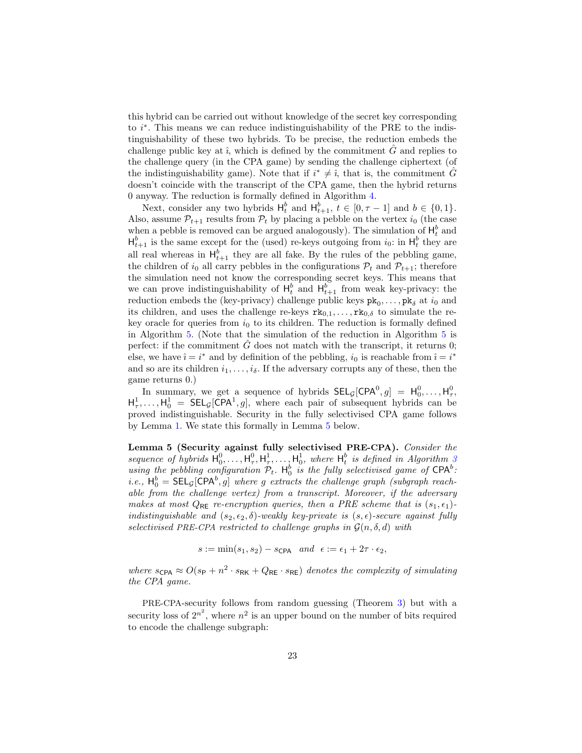this hybrid can be carried out without knowledge of the secret key corresponding to i<sup>\*</sup>. This means we can reduce indistinguishability of the PRE to the indistinguishability of these two hybrids. To be precise, the reduction embeds the challenge public key at  $\hat{i}$ , which is defined by the commitment  $\hat{G}$  and replies to the challenge query (in the CPA game) by sending the challenge ciphertext (of the indistinguishability game). Note that if  $i^* \neq \tilde{i}$ , that is, the commitment  $\hat{G}$ doesn't coincide with the transcript of the CPA game, then the hybrid returns 0 anyway. The reduction is formally defined in Algorithm [4.](#page-24-1)

Next, consider any two hybrids  $H_t^b$  and  $H_{t+1}^b$ ,  $t \in [0, \tau - 1]$  and  $b \in \{0, 1\}$ . Also, assume  $\mathcal{P}_{t+1}$  results from  $\mathcal{P}_t$  by placing a pebble on the vertex  $i_0$  (the case when a pebble is removed can be argued analogously). The simulation of  $H_t^b$  and  $H_{t+1}^b$  is the same except for the (used) re-keys outgoing from  $i_0$ : in  $H_t^b$  they are all real whereas in  $H_{t+1}^b$  they are all fake. By the rules of the pebbling game, the children of  $i_0$  all carry pebbles in the configurations  $\mathcal{P}_t$  and  $\mathcal{P}_{t+1}$ ; therefore the simulation need not know the corresponding secret keys. This means that we can prove indistinguishability of  $H_t^b$  and  $H_{t+1}^b$  from weak key-privacy: the reduction embeds the (key-privacy) challenge public keys  $pk_0, \ldots, pk_\delta$  at  $i_0$  and its children, and uses the challenge re-keys  $rk_{0,1}, \ldots, rk_{0,\delta}$  to simulate the rekey oracle for queries from  $i_0$  to its children. The reduction is formally defined in Algorithm [5.](#page-25-0) (Note that the simulation of the reduction in Algorithm [5](#page-25-0) is perfect: if the commitment  $\hat{G}$  does not match with the transcript, it returns 0; else, we have  $\hat{i} = i^*$  and by definition of the pebbling,  $i_0$  is reachable from  $\hat{i} = i^*$ and so are its children  $i_1, \ldots, i_\delta$ . If the adversary corrupts any of these, then the game returns 0.)

In summary, we get a sequence of hybrids  $\mathsf{SEL}_{\mathcal{G}}[\mathsf{CPA}^0,g] = \mathsf{H}_0^0,\ldots,\mathsf{H}_\tau^0$  $H^1_\tau, \ldots, H^1_0 = \mathsf{SEL}_{\mathcal{G}}[\mathsf{CPA}^1,g],$  where each pair of subsequent hybrids can be proved indistinguishable. Security in the fully selectivised CPA game follows by Lemma [1.](#page-8-1) We state this formally in Lemma [5](#page-22-0) below.

<span id="page-22-0"></span>Lemma 5 (Security against fully selectivised PRE-CPA). Consider the sequence of hybrids  $H_0^0, \ldots, H_\tau^0, H_\tau^1, \ldots, H_0^1$ , where  $H_t^b$  is defined in Algorithm [3](#page-23-1) using the pebbling configuration  $\mathcal{P}_t$ .  $\mathsf{H}_0^b$  is the fully selectivised game of  $\mathsf{CPA}^b$ . *i.e.*,  $H_0^b = \text{SEL}_{\mathcal{G}}[\text{CPA}^b, g]$  where g extracts the challenge graph (subgraph reachable from the challenge vertex) from a transcript. Moreover, if the adversary makes at most  $Q_{\text{RE}}$  re-encryption queries, then a PRE scheme that is  $(s_1, \epsilon_1)$ indistinguishable and  $(s_2, \epsilon_2, \delta)$ -weakly key-private is  $(s, \epsilon)$ -secure against fully selectivised PRE-CPA restricted to challenge graphs in  $\mathcal{G}(n, \delta, d)$  with

$$
s := \min(s_1, s_2) - s_{\text{CPA}} \quad and \quad \epsilon := \epsilon_1 + 2\tau \cdot \epsilon_2,
$$

where  $s_{\text{CPA}} \approx O(s_{\text{P}} + n^2 \cdot s_{\text{RK}} + Q_{\text{RE}} \cdot s_{\text{RE}})$  denotes the complexity of simulating the CPA game.

PRE-CPA-security follows from random guessing (Theorem [3\)](#page-17-1) but with a security loss of  $2^{n^2}$ , where  $n^2$  is an upper bound on the number of bits required to encode the challenge subgraph: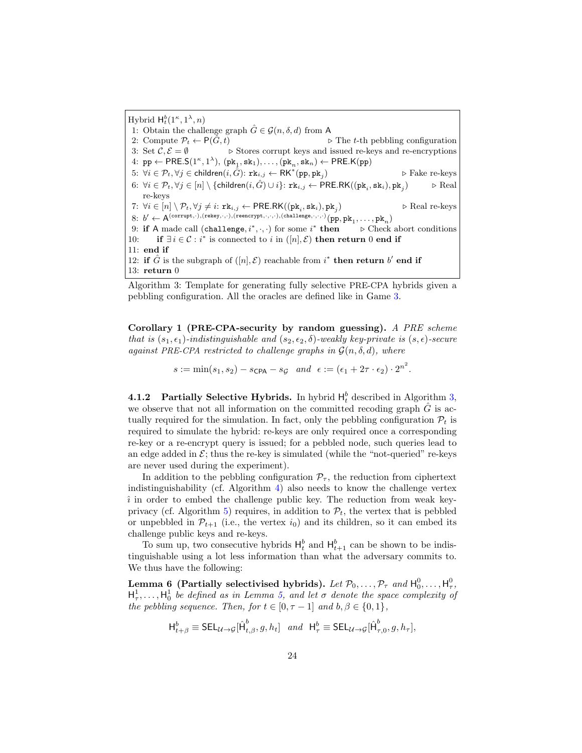<span id="page-23-1"></span>Hybrid  $H_t^b(1^{\kappa}, 1^{\lambda}, n)$ 1: Obtain the challenge graph  $\hat{G} \in \mathcal{G}(n, \delta, d)$  from A 2: Compute  $P_t \leftarrow P(\hat{G}, t)$   $\triangleright$  The t-th pebbling configuration 3: Set  $\mathcal{C}, \mathcal{E} = \emptyset$   $\triangleright$  Stores corrupt keys and issued re-keys and re-encryptions 4:  $pp \leftarrow \text{PRE.S}(1^{\kappa}, 1^{\lambda}), (pk_1, sk_1), \dots, (pk_n, sk_n) \leftarrow \text{PRE.K}(pp)$  $5\colon \, \forall i \in \mathcal{P}_t, \forall j \in \mathsf{children}(i, \hat{G})\colon \mathtt{rk}_{i,j} \gets \mathsf{RK}^*(\mathtt{pp},\mathtt{pk}_j)$  $\triangleright$  Fake re-keys  $6: \ \forall i \in \mathcal{P}_t, \forall j \in [n] \setminus \{\textsf{children}(i, \hat{G}) \cup i\} \colon \texttt{rk}_{i,j} \gets \textsf{PRE.RK}((\texttt{pk}_i, \texttt{sk}_i), \texttt{pk}_j$  $\triangleright$  Real re-keys  $7\colon \, \forall i \in [n] \setminus \mathcal{P}_t, \forall j \neq i\colon \mathtt{rk}_{i,j} \leftarrow \mathsf{PRE.RK}((\mathtt{pk}_i,\mathtt{sk}_i),\mathtt{pk}_j)$  $\triangleright$  Real re-keys  $8: b' \leftarrow A^{(corrupt,\cdot),(rekey,\cdot,\cdot),(reencypt,\cdot,\cdot,\cdot),(challenge,\cdot,\cdot,\cdot)}(pp,pk_1,\ldots,pk_n)$ 9: if A made call (challenge,  $i^*, \cdot, \cdot$ ) for some  $i^*$  $\triangleright$  Check abort conditions 10: if  $\exists i \in \mathcal{C} : i^*$  is connected to i in  $([n], \mathcal{E})$  then return 0 end if 11: end if 12: if  $\hat{G}$  is the subgraph of  $([n], \mathcal{E})$  reachable from  $i^*$  then return b' end if 13: return 0

Algorithm 3: Template for generating fully selective PRE-CPA hybrids given a pebbling configuration. All the oracles are defined like in Game [3.](#page-14-0)

Corollary 1 (PRE-CPA-security by random guessing). A PRE scheme that is  $(s_1, \epsilon_1)$ -indistinguishable and  $(s_2, \epsilon_2, \delta)$ -weakly key-private is  $(s, \epsilon)$ -secure against PRE-CPA restricted to challenge graphs in  $\mathcal{G}(n, \delta, d)$ , where

 $s := \min(s_1, s_2) - s_{\text{CPA}} - s_{\mathcal{G}} \text{ and } \epsilon := (\epsilon_1 + 2\tau \cdot \epsilon_2) \cdot 2^{n^2}.$ 

**4.1.2** Partially Selective Hybrids. In hybrid  $H_t^b$  described in Algorithm [3,](#page-23-1) we observe that not all information on the committed recoding graph  $\hat{G}$  is actually required for the simulation. In fact, only the pebbling configuration  $\mathcal{P}_t$  is required to simulate the hybrid: re-keys are only required once a corresponding re-key or a re-encrypt query is issued; for a pebbled node, such queries lead to an edge added in  $\mathcal{E}$ ; thus the re-key is simulated (while the "not-queried" re-keys are never used during the experiment).

In addition to the pebbling configuration  $\mathcal{P}_{\tau}$ , the reduction from ciphertext indistinguishability (cf. Algorithm [4\)](#page-24-1) also needs to know the challenge vertex  $\hat{i}$  in order to embed the challenge public key. The reduction from weak key-privacy (cf. Algorithm [5\)](#page-25-0) requires, in addition to  $\mathcal{P}_t$ , the vertex that is pebbled or unpebbled in  $\mathcal{P}_{t+1}$  (i.e., the vertex  $i_0$ ) and its children, so it can embed its challenge public keys and re-keys.

To sum up, two consecutive hybrids  $H_t^b$  and  $H_{t+1}^b$  can be shown to be indistinguishable using a lot less information than what the adversary commits to. We thus have the following:

<span id="page-23-0"></span>Lemma 6 (Partially selectivised hybrids). Let  $\mathcal{P}_0,\ldots,\mathcal{P}_{\tau}$  and  $\mathsf{H}_0^0,\ldots,\mathsf{H}_{\tau}^0,$  $H^1_\tau, \ldots, H^1_0$  be defined as in Lemma [5,](#page-22-0) and let  $\sigma$  denote the space complexity of the pebbling sequence. Then, for  $t \in [0, \tau - 1]$  and  $b, \beta \in \{0, 1\}$ ,

$$
\mathsf{H}^b_{t+\beta} \equiv \mathsf{SEL}_{\mathcal{U}\rightarrow\mathcal{G}}[\hat{\mathsf{H}}^b_{t,\beta}, g, h_t] \quad and \quad \mathsf{H}^b_\tau \equiv \mathsf{SEL}_{\mathcal{U}\rightarrow\mathcal{G}}[\hat{\mathsf{H}}^b_{\tau,0}, g, h_\tau],
$$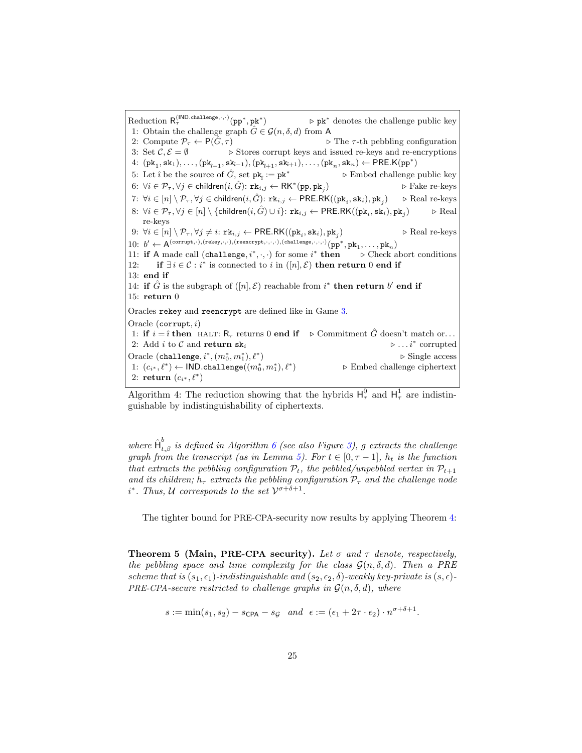<span id="page-24-1"></span> $\operatorname{Reduction}$   $\mathsf{R}^{(\mathsf{IND}.\mathsf{challenge},\cdot,\cdot)}_\tau(\texttt{pp}^*,\texttt{pk}^*)$ ) . pk<sup>∗</sup> denotes the challenge public key 1: Obtain the challenge graph  $\hat{G} \in \mathcal{G}(n, \delta, d)$  from A 2: Compute  $\mathcal{P}_{\tau} \leftarrow P(\hat{G}, \tau)$   $\triangleright$  The  $\tau$ -th pebbling configuration 3: Set  $\mathcal{C}, \mathcal{E} = \emptyset$   $\triangleright$  Stores corrupt keys and issued re-keys and re-encryptions  $\mathtt{4:}~(\mathtt{pk}_1,\mathtt{sk}_1),\ldots,(\mathtt{pk}_{\widehat{i}-1},\mathtt{sk}_{\widehat{i}-1}),(\mathtt{pk}_{\widehat{i}+1},\mathtt{sk}_{\widehat{i}+1}),\ldots,(\mathtt{pk}_n,\mathtt{sk}_n)\gets \mathsf{PRE}.\mathsf{K}(\mathtt{pp}^*)$ 5: Let  $\hat{\imath}$  be the source of  $\hat{G}$ , set  $\mathsf{pk}_{\hat{\imath}} := \mathsf{pk}^*$  $\triangleright$  Embed challenge public key  $6: \ \forall i \in \mathcal{P}_{\tau}, \forall j \in \mathsf{children}(i, \hat{G}) \colon \mathtt{rk}_{i,j} \gets \mathsf{RK}^*(\mathtt{pp},\mathtt{pk}_j)$  $\triangleright$  Fake re-keys  $7\colon \, \forall i \in [n] \setminus \mathcal{P}_{\tau}, \forall j \in \mathsf{children}(i, \hat{G})\colon \mathtt{rk}_{i,j} \gets \mathsf{PRE.RK}((\mathtt{pk}_i, \mathtt{sk}_i), \mathtt{pk}_j)$  $\triangleright$  Real re-keys  $8\colon \, \forall i\in \mathcal{P}_\tau, \forall j\in [n]\setminus\{\textsf{children}(i,\hat{G})\cup i\}\colon \mathtt{rk}_{i,j}\gets \mathsf{PRE.RK}((\mathtt{pk}_i,\mathtt{sk}_i),\mathtt{pk}_j$  $\triangleright$  Real re-keys  $9: \ \forall i \in [n] \setminus \mathcal{P}_{\tau}, \forall j \neq i: \ \texttt{rk}_{i,j} \leftarrow \mathsf{PRE.RK}((\mathtt{pk}_{i},\mathtt{sk}_{i}),\mathtt{pk}_{j})$  $\triangleright$  Real re-keys 10:  $b' \leftarrow A^{(corrupt,\cdot), (rekey,\cdot,\cdot), (reencypt,\cdot,\cdot,\cdot), (challenge,\cdot,\cdot,\cdot,\cdot)}(pp^*,pk_1,\ldots,pk_n)$ 11: if A made call (challenge,  $i^*, \cdot, \cdot$ ) for some  $i^*$  $\triangleright$  Check abort conditions 12: if  $\exists i \in \mathcal{C} : i^*$  is connected to i in  $([n], \mathcal{E})$  then return 0 end if 13: end if 14: if  $\hat{G}$  is the subgraph of  $([n], \mathcal{E})$  reachable from  $i^*$  then return b' end if 15: return 0 Oracles rekey and reencrypt are defined like in Game [3.](#page-14-0) Oracle  $(corrupt, i)$ 1: if  $i = \hat{i}$  then HALT:  $R_{\tau}$  returns 0 end if  $\Rightarrow$  Commitment  $\hat{G}$  doesn't match or... 2: Add i to  $\mathcal C$  and return sk<sub>i</sub> ∗ corrupted Oracle (challenge,  $i^*$ ,  $(m_0^*, m_1^*)$ ,  $\ell^*$  $\triangleright$  Single access 1:  $(c_{i^*}, \ell^*) \leftarrow \textsf{IND}.\textsf{challenge}((m^*_0, m^*_1), \ell^*$  $\triangleright$  Embed challenge ciphertext 2: return  $(c_{i^*}, \ell^*)$ 

Algorithm 4: The reduction showing that the hybrids  $H^0_\tau$  and  $H^1_\tau$  are indistinguishable by indistinguishability of ciphertexts.

where  $\hat{\textsf{H}}_{t, \beta}^{b}$  is defined in Algorithm [6](#page-27-0) (see also Figure [3\)](#page-26-0), g extracts the challenge graph from the transcript (as in Lemma [5\)](#page-22-0). For  $t \in [0, \tau - 1]$ ,  $h_t$  is the function that extracts the pebbling configuration  $\mathcal{P}_t$ , the pebbled/unpebbled vertex in  $\mathcal{P}_{t+1}$ and its children;  $h_{\tau}$  extracts the pebbling configuration  $\mathcal{P}_{\tau}$  and the challenge node  $i^*$ . Thus, U corresponds to the set  $\mathcal{V}^{\sigma+\delta+1}$ .

<span id="page-24-0"></span>The tighter bound for PRE-CPA-security now results by applying Theorem [4:](#page-18-3)

Theorem 5 (Main, PRE-CPA security). Let  $\sigma$  and  $\tau$  denote, respectively, the pebbling space and time complexity for the class  $\mathcal{G}(n, \delta, d)$ . Then a PRE scheme that is  $(s_1, \epsilon_1)$ -indistinguishable and  $(s_2, \epsilon_2, \delta)$ -weakly key-private is  $(s, \epsilon)$ -PRE-CPA-secure restricted to challenge graphs in  $\mathcal{G}(n, \delta, d)$ , where

$$
s := \min(s_1, s_2) - s_{\text{CPA}} - s_{\mathcal{G}} \quad and \quad \epsilon := (\epsilon_1 + 2\tau \cdot \epsilon_2) \cdot n^{\sigma + \delta + 1}.
$$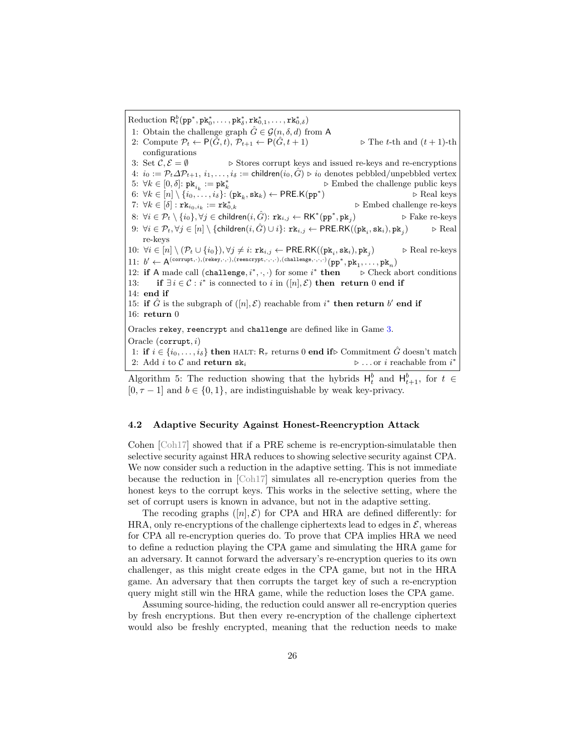<span id="page-25-0"></span>Reduction  $\mathsf{R}_t^b(\mathsf{pp}^*, \mathsf{pk}_0^*, \ldots, \mathsf{pk}_{\delta}^*, \mathsf{rk}_{0,1}^*, \ldots, \mathsf{rk}_{0,\delta}^* )$ 1: Obtain the challenge graph  $\hat{G} \in \mathcal{G}(n, \delta, d)$  from A 2: Compute  $\mathcal{P}_t \leftarrow \mathsf{P}(\hat{G}, t), \mathcal{P}_{t+1} \leftarrow \mathsf{P}(\hat{G}, t+1)$   $\triangleright$  The t-th and  $(t+1)$ -th configurations 3: Set  $\mathcal{C}, \mathcal{E} = \emptyset$  b Stores corrupt keys and issued re-keys and re-encryptions 4:  $i_0 := \mathcal{P}_t \Delta \mathcal{P}_{t+1}, i_1, \ldots, i_\delta := \text{children}(i_0, \tilde{G}) \triangleright i_0$  denotes pebbled/unpebbled vertex 5:  $\forall k \in [0,\delta] : \mathtt{pk}_{i_k} := \mathtt{pk}^*_k$  $\triangleright$  Embed the challenge public keys 6:  $\forall k \in [n] \setminus \{i_0, \ldots, i_{\delta}\}$ :  $(\mathsf{pk}_k, \mathsf{sk}_k) \leftarrow \mathsf{PRE.K}(\mathsf{pp}^*)$  $\triangleright$  Real keys 7:  $\forall k \in [\delta]: \mathtt{rk}_{i_0, i_k} := \mathtt{rk}_0^*$  $\triangleright$  Embed challenge re-keys  $8: \ \forall i \in {\cal P}_t \setminus \{i_0\}, \forall j \in \mathsf{children}(i, \hat{G}) \colon \mathtt{rk}_{i,j} \gets \mathsf{RK}^*(\mathtt{pp}^*, \mathtt{pk}_j)$  $\triangleright$  Fake re-keys  $9: \ \forall i \in \mathcal{P}_t, \forall j \in [n] \setminus \{\textsf{children}(i, \hat{G}) \cup i\} \colon \texttt{rk}_{i,j} \gets \textsf{PRE.RK}((\texttt{pk}_i, \texttt{sk}_i), \texttt{pk}_j$  $\triangleright$ Real re-keys 10:  $\forall i \in [n] \setminus (\mathcal{P}_t \cup \{i_0\}), \forall j \neq i$ : **rk**<sub>*i*,j</sub> ← **PRE.RK**((p**k**<sub>*i*</sub>, **sk***i*), pk<sub>*j*</sub>  $\triangleright$  Real re-keys 11:  $b' \leftarrow A^{(corrupt,\cdot), (rekey,\cdot,\cdot), (reencypt,\cdot,\cdot,\cdot), (challenge,\cdot,\cdot,\cdot,\cdot)}(pp^*,pk_1,\ldots,pk_n)$ 12: if A made call (challenge,  $i^*, \cdot, \cdot$ ) for some  $i^*$  $\triangleright$  Check abort conditions 13: if  $\exists i \in \mathcal{C} : i^*$  is connected to i in  $([n], \mathcal{E})$  then return 0 end if 14: end if 15: if  $\hat{G}$  is the subgraph of  $([n], \mathcal{E})$  reachable from  $i^*$  then return b' end if 16: return 0 Oracles rekey, reencrypt and challenge are defined like in Game [3.](#page-14-0) Oracle (corrupt, i) 1: if  $i \in \{i_0, \ldots, i_\delta\}$  then HALT:  $R_\tau$  returns 0 end if $\triangleright$  Commitment  $\hat{G}$  doesn't match 2: Add i to  $\mathcal C$  and return  $sk_i$  $\triangleright$  ...or *i* reachable from *i*<sup>\*</sup>

Algorithm 5: The reduction showing that the hybrids  $H_t^b$  and  $H_{t+1}^b$ , for  $t \in$  $[0, \tau - 1]$  and  $b \in \{0, 1\}$ , are indistinguishable by weak key-privacy.

# 4.2 Adaptive Security Against Honest-Reencryption Attack

Cohen [\[Coh17\]](#page-42-5) showed that if a PRE scheme is re-encryption-simulatable then selective security against HRA reduces to showing selective security against CPA. We now consider such a reduction in the adaptive setting. This is not immediate because the reduction in [\[Coh17\]](#page-42-5) simulates all re-encryption queries from the honest keys to the corrupt keys. This works in the selective setting, where the set of corrupt users is known in advance, but not in the adaptive setting.

The recoding graphs  $([n], \mathcal{E})$  for CPA and HRA are defined differently: for HRA, only re-encryptions of the challenge ciphertexts lead to edges in  $\mathcal{E}$ , whereas for CPA all re-encryption queries do. To prove that CPA implies HRA we need to define a reduction playing the CPA game and simulating the HRA game for an adversary. It cannot forward the adversary's re-encryption queries to its own challenger, as this might create edges in the CPA game, but not in the HRA game. An adversary that then corrupts the target key of such a re-encryption query might still win the HRA game, while the reduction loses the CPA game.

Assuming source-hiding, the reduction could answer all re-encryption queries by fresh encryptions. But then every re-encryption of the challenge ciphertext would also be freshly encrypted, meaning that the reduction needs to make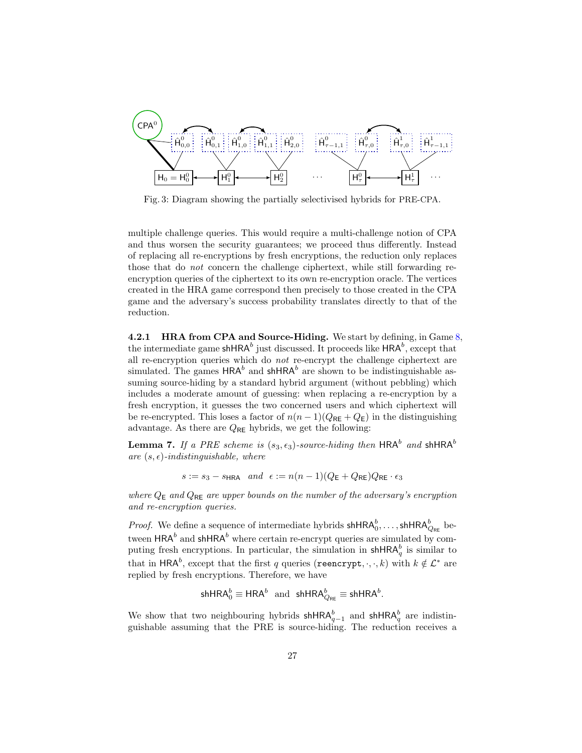<span id="page-26-0"></span>

Fig. 3: Diagram showing the partially selectivised hybrids for PRE-CPA.

multiple challenge queries. This would require a multi-challenge notion of CPA and thus worsen the security guarantees; we proceed thus differently. Instead of replacing all re-encryptions by fresh encryptions, the reduction only replaces those that do not concern the challenge ciphertext, while still forwarding reencryption queries of the ciphertext to its own re-encryption oracle. The vertices created in the HRA game correspond then precisely to those created in the CPA game and the adversary's success probability translates directly to that of the reduction.

**4.2.1 HRA from CPA and Source-Hiding.** We start by defining, in Game  $8$ , the intermediate game shHRA<sup>b</sup> just discussed. It proceeds like  $HRA<sup>b</sup>$ , except that all re-encryption queries which do not re-encrypt the challenge ciphertext are simulated. The games  $HRA^b$  and sh $HRA^b$  are shown to be indistinguishable assuming source-hiding by a standard hybrid argument (without pebbling) which includes a moderate amount of guessing: when replacing a re-encryption by a fresh encryption, it guesses the two concerned users and which ciphertext will be re-encrypted. This loses a factor of  $n(n-1)(Q_{\text{RE}} + Q_{\text{E}})$  in the distinguishing advantage. As there are  $Q_{RE}$  hybrids, we get the following:

**Lemma 7.** If a PRE scheme is  $(s_3, \epsilon_3)$ -source-hiding then  $HRA^b$  and  $shHRA^b$ are  $(s, \epsilon)$ -indistinguishable, where

<span id="page-26-1"></span>
$$
s := s_3 - s_{\text{HRA}} \quad and \quad \epsilon := n(n-1)(Q_{\text{E}} + Q_{\text{RE}})Q_{\text{RE}} \cdot \epsilon_3
$$

where  $Q_{\text{E}}$  and  $Q_{\text{RE}}$  are upper bounds on the number of the adversary's encryption and re-encryption queries.

*Proof.* We define a sequence of intermediate hybrids  $shHRA_0^b, \ldots, shHRA_{Q_{RE}}^b$  between  $\mathsf{HRA}^b$  and sh $\mathsf{HRA}^b$  where certain re-encrypt queries are simulated by computing fresh encryptions. In particular, the simulation in  $shHRA_q^b$  is similar to that in  $\mathsf{HRA}^b,$  except that the first  $q$  queries (reencrypt, $\cdot,\cdot,k)$  with  $k \notin \mathcal{L}^*$  are replied by fresh encryptions. Therefore, we have

$$
\mathsf{shHRA}^b_0 \equiv \mathsf{HRA}^b \quad \text{and} \quad \mathsf{shHRA}^b_{Q_{\mathsf{RE}}} \equiv \mathsf{shHRA}^b.
$$

We show that two neighbouring hybrids shHRA $_{q-1}^{b}$  and shHRA $_{q}^{b}$  are indistinguishable assuming that the PRE is source-hiding. The reduction receives a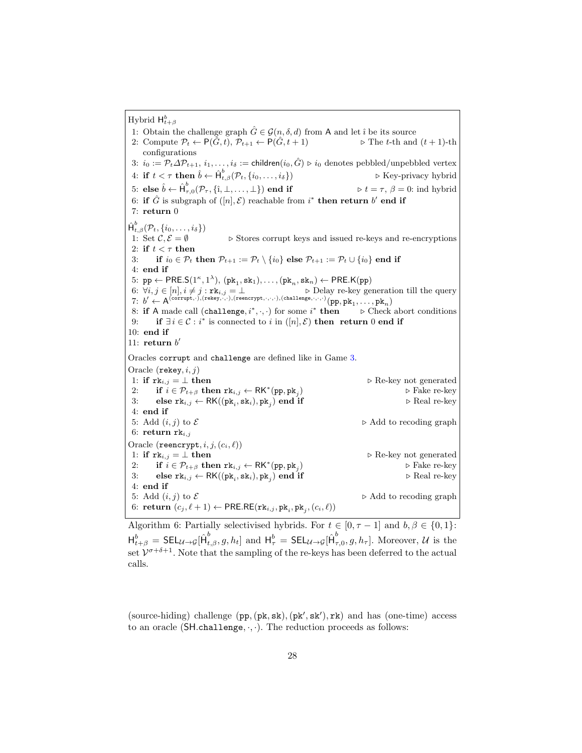<span id="page-27-0"></span>Hybrid  $\mathsf{H}_{t+\beta}^b$ 1: Obtain the challenge graph  $\hat{G} \in \mathcal{G}(n, \delta, d)$  from A and let  $\hat{\imath}$  be its source 2: Compute  $\mathcal{P}_t \leftarrow P(\hat{G}, t), \mathcal{P}_{t+1} \leftarrow P(\hat{G}, t+1)$   $\triangleright$  The t-th and  $(t+1)$ -th configurations 3:  $i_0 := \mathcal{P}_t \Delta \mathcal{P}_{t+1}, i_1, \ldots, i_\delta := \text{children}(i_0, \hat{G}) \triangleright i_0 \text{ denotes pebbled/unpebbled vertex}$ 4: if  $t < \tau$  then  $\hat{b} \leftarrow \hat{\mathsf{H}}_t^b$  $▶$  Key-privacy hybrid 5: else  $\hat{b} \leftarrow \hat{H}^{b}_{\tau,0}(\mathcal{P}_{\tau}, \{\hat{i}, \bot, \ldots, \bot\})$  end if  $\qquad \qquad \triangleright t = \tau, \, \beta = 0$ : ind hybrid 6: if  $\hat{G}$  is subgraph of  $([n], \mathcal{E})$  reachable from  $i^*$  then return  $b'$  end if 7: return 0  $\hat{\textsf{H}}_{t,\beta}^{b}(\mathcal{P}_{t},\{i_0,\ldots,i_{\delta}\})$ 1: Set  $\mathcal{C}, \mathcal{E} = \emptyset$  b Stores corrupt keys and issued re-keys and re-encryptions 2: if  $t < \tau$  then 3: if  $i_0 \in \mathcal{P}_t$  then  $\mathcal{P}_{t+1} := \mathcal{P}_t \setminus \{i_0\}$  else  $\mathcal{P}_{t+1} := \mathcal{P}_t \cup \{i_0\}$  end if 4: end if 5:  $pp \leftarrow \text{PRE.S}(1^{\kappa}, 1^{\lambda}), (pk_1, sk_1), \ldots, (pk_n, sk_n) \leftarrow \text{PRE.K}(pp)$ 6:  $\forall i, j \in [n], i \neq j : \text{rk}_{i,j} = \bot$   $\triangleright$  Delay re-key generation till the query 7:  $b' \leftarrow A^{(corrupt,\cdot), (rekey,\cdot,\cdot), (reencypt,\cdot,\cdot,\cdot), (challenge,\cdot,\cdot,\cdot)}(pp, pk_1, \ldots, pk_n)$ 8: if A made call (challenge,  $i^*, \cdot, \cdot$ ) for some  $i^*$  $\triangleright$  Check abort conditions 9: if  $\exists i \in \mathcal{C} : i^*$  is connected to i in  $([n], \mathcal{E})$  then return 0 end if 10: end if 11: return  $b'$ Oracles corrupt and challenge are defined like in Game [3.](#page-14-0) Oracle  $(r$ ekey,  $i, j)$ 1: if  $rk_{i,j} = \perp$  then  $\triangleright$  Re-key not generated 2: if  $i \in \mathcal{P}_{t+\beta}$  then  $\text{rk}_{i,j} \leftarrow \text{RK}^*(\text{pp}, \text{pk}_j)$  $\triangleright$  Fake re-key 3: else  $\texttt{rk}_{i,j} \leftarrow \textsf{RK}((\texttt{pk}_{i},\texttt{sk}_{i}),\texttt{pk}_{j})$  $\triangleright$  Real re-key 4: end if 5: Add  $(i, j)$  to  $\mathcal{E}$  . Add to recoding graph 6: return  $rk_{i,j}$ Oracle (reencrypt,  $i, j, (c_i, \ell)$ ) 1: if  $rk_{i,j} = \perp$  then  $\triangleright$  Re-key not generated 2: if  $i \in \mathcal{P}_{t+\beta}$  then  $\text{rk}_{i,j} \leftarrow \text{RK}^*(\text{pp}, \text{pk}_j)$  $\triangleright$  Fake re-key 3: else  $\texttt{rk}_{i,j} \leftarrow \textsf{RK}((\texttt{pk}_{i},\texttt{sk}_{i}),\texttt{pk}_{j})$  $\triangleright$  Real re-key 4: end if 5: Add  $(i, j)$  to  $\mathcal{E}$  . Add to recoding graph 6: return  $(c_j, \ell + 1) \leftarrow \mathsf{PRE}.\mathsf{RE}(\mathtt{rk}_{i,j}, \mathtt{pk}_i, \mathtt{pk}_j, (c_i, \ell))$ 

Algorithm 6: Partially selectivised hybrids. For  $t \in [0, \tau - 1]$  and  $b, \beta \in \{0, 1\}$ :  $H_{t+\beta}^b = \mathsf{SEL}_{\mathcal{U}\to\mathcal{G}}[\hat{\mathsf{H}}_{t,\beta}^b,g,h_t]$  and  $\mathsf{H}_{\tau}^b = \mathsf{SEL}_{\mathcal{U}\to\mathcal{G}}[\hat{\mathsf{H}}_{\tau}^b]$  $\sigma_{\tau,0}$ ,  $g, h_{\tau}$ . Moreover,  $\mathcal{U}$  is the set  $V^{\sigma+\delta+1}$ . Note that the sampling of the re-keys has been deferred to the actual calls.

(source-hiding) challenge  $(pp, (pk, sk), (pk', sk'), rk)$  and has (one-time) access to an oracle (SH.challenge,  $\cdot$ ,  $\cdot$ ). The reduction proceeds as follows: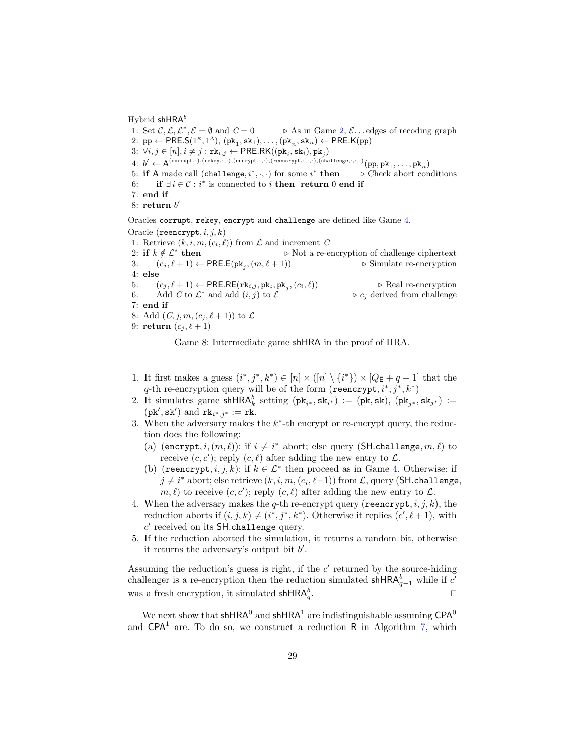<span id="page-28-0"></span>Hybrid shHR $A^b$ 1: Set  $\mathcal{C}, \mathcal{L}, \mathcal{L}^*$  $\triangleright$  As in Game [2,](#page-11-0)  $\mathcal{E}$ ... edges of recoding graph 2:  $pp \leftarrow \text{PRE.S}(1^{\kappa}, 1^{\lambda}), (pk_1, sk_1), \dots, (pk_n, sk_n) \leftarrow \text{PRE.K}(pp)$ 3:  $\forall i, j \in [n], i \neq j : \text{rk}_{i,j} \leftarrow \mathsf{PRE.RK}((\text{pk}_{i}, \text{sk}_{i}), \text{pk}_{j})$  $4: b' \leftarrow A^{(corrupt,\cdot),(rekey,\cdot,\cdot),(encrypt,\cdot,\cdot),(reencypt,\cdot,\cdot,\cdot),(challenge,\cdot,\cdot,\cdot)}(pp,pk_1,\ldots,pk_n)$ 5: if A made call (challenge,  $i^*, \cdot, \cdot$ ) for some  $i^*$  $\triangleright$  Check abort conditions 6: if  $\exists i \in \mathcal{C} : i^*$  is connected to *i* then return 0 end if 7: end if 8: return  $b'$ Oracles corrupt, rekey, encrypt and challenge are defined like Game [4.](#page-15-0) Oracle (reencrypt,  $i, j, k$ ) 1: Retrieve  $(k, i, m, (c_i, \ell))$  from  $\mathcal L$  and increment C 2: if  $k \notin \mathcal{L}^*$  then  $\triangleright$  Not a re-encryption of challenge ciphertext 3:  $(c_j, \ell + 1) \leftarrow \text{PRE.E}(\text{pk}_j, (m, \ell + 1))$  $\triangleright$  Simulate re-encryption 4: else 5:  $(c_j, \ell+1) \leftarrow \mathsf{PRE}.\mathsf{RE}(\mathtt{rk}_{i,j}, \mathtt{pk}_i, \mathtt{pk}_j)$  $\triangleright$  Real re-encryption 6: Add  $C$  to  $\mathcal{L}^*$  $\triangleright c_i$  derived from challenge 7: end if 8: Add  $(C, j, m, (c_j, \ell + 1))$  to  $\mathcal L$ 9: return  $(c_i, \ell + 1)$ 

Game 8: Intermediate game shHRA in the proof of HRA.

- 1. It first makes a guess  $(i^*, j^*, k^*) \in [n] \times ([n] \setminus \{i^*\}) \times [Q_{\mathsf{E}} + q 1]$  that the q-th re-encryption query will be of the form (reencrypt,  $i^*, j^*, k^*$ )
- 2. It simulates game  $shHRA_k^b$  setting  $(\mathbf{pk}_{i^*}, \mathbf{sk}_{i^*}) := (\mathbf{pk}, \mathbf{sk}), (\mathbf{pk}_{j^*}, \mathbf{sk}_{j^*}) :=$  $(\text{pk}', \text{sk}')$  and  $\text{rk}_{i^*,j^*} := \text{rk}$ .
- 3. When the adversary makes the  $k^*$ -th encrypt or re-encrypt query, the reduction does the following:
	- (a) (encrypt,  $i, (m, \ell)$ ): if  $i \neq i^*$  abort; else query (SH.challenge,  $m, \ell$ ) to receive  $(c, c')$ ; reply  $(c, \ell)$  after adding the new entry to  $\mathcal{L}$ .
	- (b) (reencrypt, i, j, k): if  $k \in \mathcal{L}^*$  then proceed as in Game [4.](#page-15-0) Otherwise: if  $j \neq i^*$  abort; else retrieve  $(k, i, m, (c_i, \ell-1))$  from  $\mathcal{L}$ , query (SH.challenge,  $m, \ell$ ) to receive  $(c, c')$ ; reply  $(c, \ell)$  after adding the new entry to  $\mathcal{L}$ .
- 4. When the adversary makes the q-th re-encrypt query (reencrypt, i, j, k), the reduction aborts if  $(i, j, k) \neq (i^*, j^*, k^*)$ . Otherwise it replies  $(c', \ell + 1)$ , with  $c'$  received on its SH.challenge query.
- 5. If the reduction aborted the simulation, it returns a random bit, otherwise it returns the adversary's output bit  $b'$ .

Assuming the reduction's guess is right, if the  $c'$  returned by the source-hiding challenger is a re-encryption then the reduction simulated shHRA $_{q-1}^{b}$  while if  $c'$ was a fresh encryption, it simulated  $shHRA_q^b$ . The contract of the contract  $\Box$ 

We next show that shHRA<sup>0</sup> and shHRA<sup>1</sup> are indistinguishable assuming  $\mathsf{CPA}^0$ and  $\text{CPA}^1$  are. To do so, we construct a reduction R in Algorithm [7,](#page-29-1) which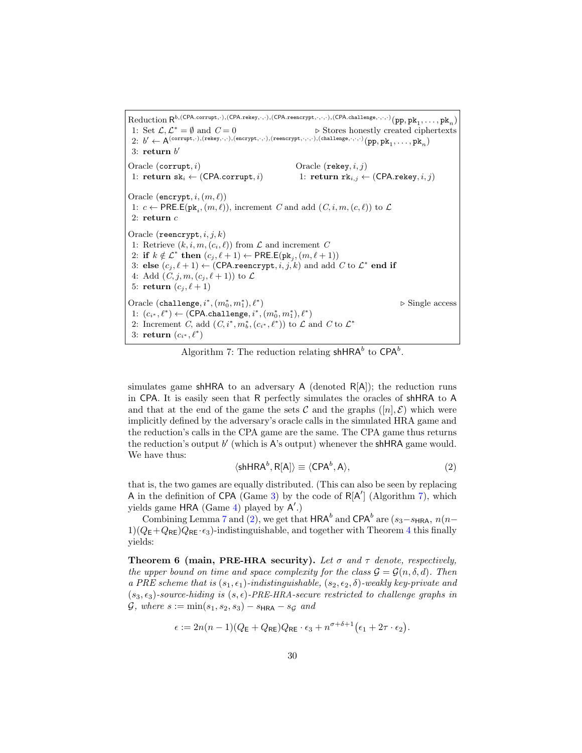<span id="page-29-1"></span> $\text{Reduction }\mathsf{R}^{b,(\text{CPA.corrupt},\cdot),(\text{CPA.rekey},\cdot,\cdot),(\text{CPA.reencypt},\cdot,\cdot,\cdot),(\text{CPA.challonge},\cdot,\cdot,\cdot)}(\text{pp},\text{pk}_1,\dots,\text{pk}_n)$ 1: Set  $\mathcal{L}, \mathcal{L}^* = \emptyset$  and  $C = 0$ <sup>∗</sup> = ∅ and C = 0 . Stores honestly created ciphertexts  $2: b' \leftarrow A^{(corrupt,\cdot),(rekey,\cdot,\cdot),(encrypt,\cdot,\cdot),(reencypt,\cdot,\cdot,\cdot),(challenge,\cdot,\cdot,\cdot)}(pp,pk_1,\ldots,pk_n)$  $3:$  return  $b'$ Oracle (corrupt, i) 1: return  $sk_i \leftarrow (CPA.corrupt, i)$ Oracle  $(rekey, i, j)$ 1: return  $rk_{i,j} \leftarrow (CPA.\text{rekey}, i, j)$ Oracle (encrypt,  $i, (m, \ell)$ ) 1:  $c \leftarrow \textsf{PRE.E}(pk_i, (m, \ell))$ , increment C and add  $(C, i, m, (c, \ell))$  to  $\mathcal{L}$ 2: return c Oracle (reencrypt,  $i, j, k$ ) 1: Retrieve  $(k, i, m, (c_i, \ell))$  from  $\mathcal L$  and increment C 2: if  $k \notin \mathcal{L}^*$  then  $(c_j, \ell+1) \leftarrow \mathsf{PRE}.\mathsf{E}(\mathtt{pk}_j, (m, \ell+1))$ 3: else  $(c_j, \ell + 1) \leftarrow (\textsf{CPA}. \texttt{reencypt}, i, j, k)$  and add  $C$  to  $\mathcal{L}^*$  end if 4: Add  $(C, j, m, (c_j, \ell + 1))$  to  $\mathcal L$ 5: return  $(c_j, \ell + 1)$ Oracle (challenge,  $i^*, (m_0^*, m_1^*), \ell^*$  $\triangleright$  Single access 1:  $(c_{i^*}, \ell^*) \leftarrow (\textsf{CPA}.\texttt{challenge}, i^*, (m^*_0, m^*_1), \ell^*)$ 2: Increment C, add  $(C, i^*, m_b^*, (c_{i^*}, \ell^*))$  to  $\mathcal L$  and C to  $\mathcal L^*$ 3: return  $(c_{i^*}, \ell^*)$ 

Algorithm 7: The reduction relating  $shHRA^b$  to  $CPA^b$ .

simulates game shHRA to an adversary  $A$  (denoted  $R[A]$ ); the reduction runs in CPA. It is easily seen that R perfectly simulates the oracles of shHRA to A and that at the end of the game the sets C and the graphs  $([n], \mathcal{E})$  which were implicitly defined by the adversary's oracle calls in the simulated HRA game and the reduction's calls in the CPA game are the same. The CPA game thus returns the reduction's output  $b'$  (which is A's output) whenever the shHRA game would. We have thus:

<span id="page-29-2"></span>
$$
\langle \mathsf{shHRA}^b, \mathsf{R}[A] \rangle \equiv \langle \mathsf{CPA}^b, \mathsf{A} \rangle,\tag{2}
$$

that is, the two games are equally distributed. (This can also be seen by replacing A in the definition of CPA (Game [3\)](#page-14-0) by the code of  $R[A']$  (Algorithm [7\)](#page-29-1), which yields game HRA  $(Game 4)$  $(Game 4)$  played by  $A'$ .)

<span id="page-29-0"></span>Combining Lemma [7](#page-26-1) and [\(2\)](#page-29-2), we get that  $HRA<sup>b</sup>$  and  $CPA<sup>b</sup>$  are  $(s_3-s<sub>HRA</sub>, n(n 1)(Q_{\mathsf{E}}+Q_{\mathsf{RE}})Q_{\mathsf{RE}} \cdot \epsilon_3$ -indistinguishable, and together with Theorem [4](#page-18-3) this finally yields:

Theorem 6 (main, PRE-HRA security). Let  $\sigma$  and  $\tau$  denote, respectively, the upper bound on time and space complexity for the class  $\mathcal{G} = \mathcal{G}(n, \delta, d)$ . Then a PRE scheme that is  $(s_1, \epsilon_1)$ -indistinguishable,  $(s_2, \epsilon_2, \delta)$ -weakly key-private and  $(s_3, \epsilon_3)$ -source-hiding is  $(s, \epsilon)$ -PRE-HRA-secure restricted to challenge graphs in  $\mathcal{G}, \text{ where } s := \min(s_1, s_2, s_3) - s_{\text{HRA}} - s_{\mathcal{G}} \text{ and }$ 

$$
\epsilon := 2n(n-1)(Q_{\mathsf{E}} + Q_{\mathsf{RE}})Q_{\mathsf{RE}} \cdot \epsilon_3 + n^{\sigma + \delta + 1}(\epsilon_1 + 2\tau \cdot \epsilon_2).
$$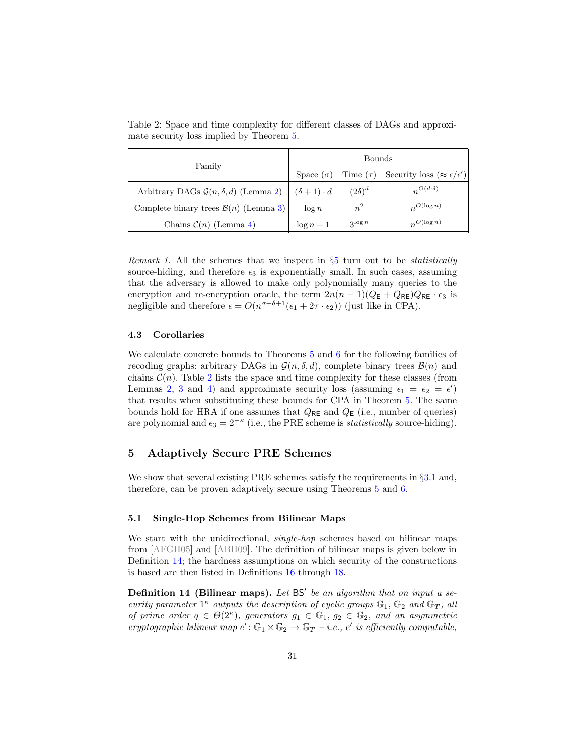|                                                      | Bounds              |               |                                              |
|------------------------------------------------------|---------------------|---------------|----------------------------------------------|
| Family                                               | Space $(\sigma)$    | Time $(\tau)$ | Security loss $(\approx \epsilon/\epsilon')$ |
| Arbitrary DAGs $\mathcal{G}(n, \delta, d)$ (Lemma 2) | $(\delta+1)\cdot d$ | $(2\delta)^d$ | $n^{O(d \cdot \delta)}$                      |
| Complete binary trees $\mathcal{B}(n)$ (Lemma 3)     | $\log n$            | $n^2$         | $n^{O(\log n)}$                              |
| Chains $\mathcal{C}(n)$ (Lemma 4)                    | $\log n + 1$        | $\log n$      | $n^{O(\log n)}$                              |

<span id="page-30-1"></span>Table 2: Space and time complexity for different classes of DAGs and approximate security loss implied by Theorem [5.](#page-24-0)

Remark 1. All the schemes that we inspect in  $\S5$  $\S5$  turn out to be *statistically* source-hiding, and therefore  $\epsilon_3$  is exponentially small. In such cases, assuming that the adversary is allowed to make only polynomially many queries to the encryption and re-encryption oracle, the term  $2n(n-1)(Q_{\text{E}}+Q_{\text{RE}})Q_{\text{RE}} \cdot \epsilon_3$  is negligible and therefore  $\epsilon = O(n^{\sigma + \delta + 1}(\epsilon_1 + 2\tau \cdot \epsilon_2))$  (just like in CPA).

### 4.3 Corollaries

We calculate concrete bounds to Theorems [5](#page-24-0) and [6](#page-29-0) for the following families of recoding graphs: arbitrary DAGs in  $\mathcal{G}(n, \delta, d)$ , complete binary trees  $\mathcal{B}(n)$  and chains  $\mathcal{C}(n)$ . Table [2](#page-30-1) lists the space and time complexity for these classes (from Lemmas [2,](#page-19-0) [3](#page-19-1) and [4\)](#page-19-2) and approximate security loss (assuming  $\epsilon_1 = \epsilon_2 = \epsilon'$ ) that results when substituting these bounds for CPA in Theorem [5.](#page-24-0) The same bounds hold for HRA if one assumes that  $Q_{RE}$  and  $Q_E$  (i.e., number of queries) are polynomial and  $\epsilon_3 = 2^{-\kappa}$  (i.e., the PRE scheme is *statistically* source-hiding).

# <span id="page-30-0"></span>5 Adaptively Secure PRE Schemes

We show that several existing PRE schemes satisfy the requirements in  $\S 3.1$  $\S 3.1$  and, therefore, can be proven adaptively secure using Theorems [5](#page-24-0) and [6.](#page-29-0)

#### 5.1 Single-Hop Schemes from Bilinear Maps

We start with the unidirectional, *single-hop* schemes based on bilinear maps from [\[AFGH05\]](#page-42-1) and [\[ABH09\]](#page-42-6). The definition of bilinear maps is given below in Definition [14;](#page-30-2) the hardness assumptions on which security of the constructions is based are then listed in Definitions [16](#page-31-0) through [18.](#page-31-1)

<span id="page-30-2"></span>**Definition 14 (Bilinear maps).** Let  $BS'$  be an algorithm that on input a security parameter  $1^{\kappa}$  outputs the description of cyclic groups  $\mathbb{G}_1$ ,  $\mathbb{G}_2$  and  $\mathbb{G}_T$ , all of prime order  $q \in \Theta(2^{\kappa})$ , generators  $g_1 \in \mathbb{G}_1$ ,  $g_2 \in \mathbb{G}_2$ , and an asymmetric cryptographic bilinear map  $e' : \mathbb{G}_1 \times \mathbb{G}_2 \to \mathbb{G}_T - i.e., e'$  is efficiently computable,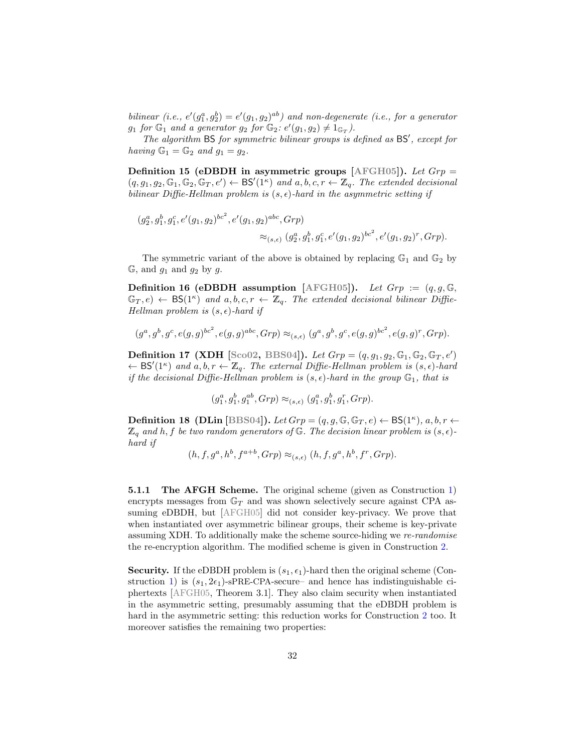bilinear (i.e.,  $e'(g_1^a, g_2^b) = e'(g_1, g_2)^{ab}$ ) and non-degenerate (i.e., for a generator  $g_1$  for  $\mathbb{G}_1$  and a generator  $g_2$  for  $\mathbb{G}_2$ :  $e'(g_1, g_2) \neq 1_{\mathbb{G}_T}$ .

The algorithm BS for symmetric bilinear groups is defined as  $BS'$ , except for having  $\mathbb{G}_1 = \mathbb{G}_2$  and  $g_1 = g_2$ .

Definition 15 (eDBDH in asymmetric groups [\[AFGH05\]](#page-42-1)). Let  $Grp =$  $(q, g_1, g_2, \mathbb{G}_1, \mathbb{G}_2, \mathbb{G}_T, e') \leftarrow \mathsf{BS}'(1^{\kappa})$  and  $a, b, c, r \leftarrow \mathbb{Z}_q$ . The extended decisional bilinear Diffie-Hellman problem is  $(s, \epsilon)$ -hard in the asymmetric setting if

$$
(g_2^a, g_1^b, g_1^c, e'(g_1, g_2)^{bc^2}, e'(g_1, g_2)^{abc}, Grp)
$$
  

$$
\approx_{(s,\epsilon)} (g_2^a, g_1^b, g_1^c, e'(g_1, g_2)^{bc^2}, e'(g_1, g_2)^r, Grp).
$$

<span id="page-31-0"></span>The symmetric variant of the above is obtained by replacing  $\mathbb{G}_1$  and  $\mathbb{G}_2$  by  $\mathbb{G}$ , and  $g_1$  and  $g_2$  by g.

**Definition 16 (eDBDH assumption [\[AFGH05\]](#page-42-1)).** Let  $Grp := (q, q, \mathbb{G},$  $\mathbb{G}_T, e \rangle \leftarrow \mathsf{BS}(1^{\kappa})$  and  $a, b, c, r \leftarrow \mathbb{Z}_q$ . The extended decisional bilinear Diffic-Hellman problem is  $(s, \epsilon)$ -hard if

$$
(g^a, g^b, g^c, e(g, g)^{bc^2}, e(g, g)^{abc}, Grp) \approx_{(s, \epsilon)} (g^a, g^b, g^c, e(g, g)^{bc^2}, e(g, g)^r, Grp).
$$

Definition 17 (XDH [\[Sco02,](#page-43-9) [BBS04\]](#page-42-9)). Let  $Grp = (q, g_1, g_2, \mathbb{G}_1, \mathbb{G}_2, \mathbb{G}_T, e')$  $\leftarrow$  BS'(1<sup>k</sup>) and a, b,  $r \leftarrow \mathbb{Z}_q$ . The external Diffie-Hellman problem is  $(s, \epsilon)$ -hard if the decisional Diffie-Hellman problem is  $(s, \epsilon)$ -hard in the group  $\mathbb{G}_1$ , that is

$$
(g_1^a, g_1^b, g_1^{ab}, Grp) \approx_{(s,\epsilon)} (g_1^a, g_1^b, g_1^r, Grp).
$$

<span id="page-31-1"></span>Definition 18 (DLin [\[BBS04\]](#page-42-9)). Let  $Grp = (q, g, \mathbb{G}, \mathbb{G}_T, e) \leftarrow BS(1^{\kappa}), a, b, r \leftarrow$  $\mathbb{Z}_q$  and h, f be two random generators of G. The decision linear problem is  $(s, \epsilon)$ hard if

$$
(h, f, g^a, h^b, f^{a+b}, Grp) \approx_{(s,\epsilon)} (h, f, g^a, h^b, f^r, Grp).
$$

**5.1.1 The AFGH Scheme.** The original scheme (given as Construction [1\)](#page-32-1) encrypts messages from  $\mathbb{G}_T$  and was shown selectively secure against CPA assuming eDBDH, but [\[AFGH05\]](#page-42-1) did not consider key-privacy. We prove that when instantiated over asymmetric bilinear groups, their scheme is key-private assuming XDH. To additionally make the scheme source-hiding we re-randomise the re-encryption algorithm. The modified scheme is given in Construction [2.](#page-32-0)

<span id="page-31-2"></span>**Security.** If the eDBDH problem is  $(s_1, \epsilon_1)$ -hard then the original scheme (Con-struction [1\)](#page-32-1) is  $(s_1, 2\epsilon_1)$ -sPRE-CPA-secure– and hence has indistinguishable ciphertexts [\[AFGH05,](#page-42-1) Theorem 3.1]. They also claim security when instantiated in the asymmetric setting, presumably assuming that the eDBDH problem is hard in the asymmetric setting: this reduction works for Construction [2](#page-32-0) too. It moreover satisfies the remaining two properties: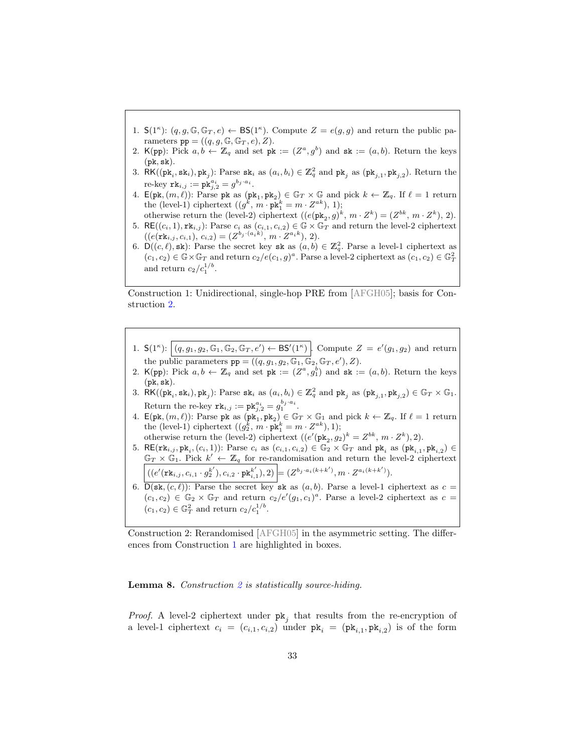- <span id="page-32-1"></span>1.  $S(1^{\kappa})$ :  $(q, g, \mathbb{G}, \mathbb{G}_T, e) \leftarrow BS(1^{\kappa})$ . Compute  $Z = e(g, g)$  and return the public parameters  $pp = ((q, g, \mathbb{G}, \mathbb{G}_T, e), Z).$
- 2. K(pp): Pick  $a, b \leftarrow \mathbb{Z}_q$  and set  $pk := (Z^a, g^b)$  and  $sk := (a, b)$ . Return the keys  $(\texttt{pk}, \texttt{sk}).$
- 3. RK(( $\overline{pk}_i$ ,  $sk_i$ ),  $pk_j$ ): Parse  $sk_i$  as  $(a_i, b_i) \in \mathbb{Z}_q^2$  and  $pk_j$  as  $(\overline{pk}_{j,1}, \overline{pk}_{j,2})$ . Return the re-key  $\texttt{rk}_{i,j} := \texttt{pk}_{j,2}^{a_i} = g^{b_j \cdot a_i}.$
- 4.  $\mathsf{E}(\mathsf{pk}, (m, \ell))$ : Parse pk as  $(\mathsf{pk}_1, \mathsf{pk}_2) \in \mathbb{G}_T \times \mathbb{G}$  and pick  $k \leftarrow \mathbb{Z}_q$ . If  $\ell = 1$  return the (level-1) ciphertext  $((g^k, m \cdot \mathbf{pk}_1^k = m \cdot Z^{ak}), 1);$
- otherwise return the (level-2) ciphertext  $((e(\mathbf{pk}_2, g)^k, m \cdot Z^k) = (Z^{bk}, m \cdot Z^k), 2)$ . 5. RE $((c_i, 1),$ rk $_{i,j})$ : Parse  $c_i$  as  $(c_{i,1}, c_{i,2}) \in \mathbb{G} \times \mathbb{G}_T$  and return the level-2 ciphertext  $((e(\mathbf{rk}_{i,j}, c_{i,1}), c_{i,2}) = (Z^{b_j \cdot (a_i k)}, m \cdot Z^{a_i k}), 2).$
- 6.  $\mathsf{D}((c,\ell),\mathsf{sk})$ : Parse the secret key sk as  $(a,b) \in \mathbb{Z}_q^2$ . Parse a level-1 ciphertext as  $(c_1, c_2) \in \mathbb{G} \times \mathbb{G}_T$  and return  $c_2/e(c_1, g)^a$ . Parse a level-2 ciphertext as  $(c_1, c_2) \in \mathbb{G}_T^2$ and return  $c_2/c_1^{1/b}$ .

Construction 1: Unidirectional, single-hop PRE from [\[AFGH05\]](#page-42-1); basis for Construction [2.](#page-32-0)

- <span id="page-32-0"></span>1.  $S(1^{\kappa})$ :  $(q, g_1, g_2, \mathbb{G}_1, \mathbb{G}_2, \mathbb{G}_T, e') \leftarrow BS'(1^{\kappa})$ . Compute  $Z = e'(g_1, g_2)$  and return the public parameters  $pp = ((q, g_1, g_2, \mathbb{G}_1, \mathbb{G}_2, \mathbb{G}_T, e'), Z).$
- 2. K(pp): Pick  $a, b \leftarrow \mathbb{Z}_q$  and set  $pk := (Z^a, g_1^b)$  and  $sk := (a, b)$ . Return the keys  $(pk, sk).$
- 3. RK( $(\text{pk}_i, \text{sk}_i), \text{pk}_j$ ): Parse  $\text{sk}_i$  as  $(a_i, b_i) \in \mathbb{Z}_q^2$  and  $\text{pk}_j$  as  $(\text{pk}_{j,1}, \text{pk}_{j,2}) \in \mathbb{G}_T \times \mathbb{G}_1$ . Return the re-key  $\texttt{rk}_{i,j} := \texttt{pk}_{j,2}^{a_i} = g_1^{b_j \cdot a_i}.$
- 4.  $\mathsf{E}(\mathsf{pk}, (m, \ell))$ : Parse pk as  $(\mathsf{pk}_1, \mathsf{pk}_2) \in \mathbb{G}_T \times \mathbb{G}_1$  and pick  $k \leftarrow \mathbb{Z}_q$ . If  $\ell = 1$  return the (level-1) ciphertext  $((g_2^k, m \cdot \mathbf{pk}_1^k = m \cdot Z^{ak}), 1);$ otherwise return the (level-2) ciphertext  $((e'(\mathbf{pk}_2, g_2)^k = Z^{bk}, m \cdot Z^k), 2)$ .
- 5. RE( $\text{rk}_{i,j}$ ,  $\text{pk}_{i}$ ,  $(c_i, 1)$ ): Parse  $c_i$  as  $(c_{i,1}, c_{i,2}) \in \mathbb{G}_2 \times \mathbb{G}_T$  and  $\text{pk}_{i}$  as  $(\text{pk}_{i,1}, \text{pk}_{i,2}) \in$  $\mathbb{G}_T \times \mathbb{G}_1$ . Pick  $k' \leftarrow \mathbb{Z}_q$  for re-randomisation and return the level-2 ciphertext  $((e'(\texttt{rk}_{i,j}, c_{i,1}\cdot g_2^{k'}),c_{i,2}\cdot \texttt{pk}_{i,j}^{k'})$  $\binom{k'}{i,1},2$  =  $(Z^{b_j \cdot a_i(k+k')}, m \cdot Z^{a_i(k+k')}).$
- 6.  $\overline{D(\text{sk}, (c, \ell))}$ : Parse the secret key sk as  $(a, b)$ . Parse a level-1 ciphertext as  $c =$  $(c_1, c_2) \in \mathbb{G}_2 \times \mathbb{G}_T$  and return  $c_2/e'(g_1, c_1)^a$ . Parse a level-2 ciphertext as  $c =$  $(c_1, c_2) \in \mathbb{G}_T^2$  and return  $c_2/c_1^{1/b}$ .

Construction 2: Rerandomised [\[AFGH05\]](#page-42-1) in the asymmetric setting. The differences from Construction [1](#page-32-1) are highlighted in boxes.

**Lemma 8.** Construction  $2$  is statistically source-hiding.

*Proof.* A level-2 ciphertext under  $pk_j$  that results from the re-encryption of a level-1 ciphertext  $c_i = (c_{i,1}, c_{i,2})$  under  $pk_i = (pk_{i,1}, pk_{i,2})$  is of the form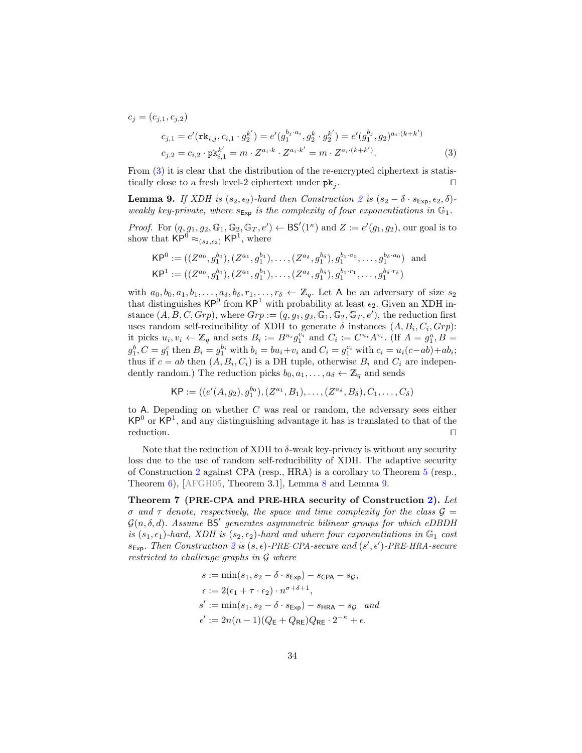$c_j = (c_{j,1}, c_{j,2})$ 

<span id="page-33-0"></span>
$$
c_{j,1} = e'(\mathbf{rk}_{i,j}, c_{i,1} \cdot g_2^{k'}) = e'(g_1^{b_j \cdot a_i}, g_2^k \cdot g_2^{k'}) = e'(g_1^{b_j}, g_2)^{a_i \cdot (k+k')}
$$
  
\n
$$
c_{j,2} = c_{i,2} \cdot \mathbf{pk}_{i,1}^{k'} = m \cdot Z^{a_i \cdot k} \cdot Z^{a_i \cdot k'} = m \cdot Z^{a_i \cdot (k+k')}.
$$
\n(3)

From  $(3)$  it is clear that the distribution of the re-encrypted ciphertext is statistically close to a fresh level-2 ciphertext under  $pk_j$ . . The contract of the contract  $\Box$ 

<span id="page-33-1"></span>**Lemma 9.** If XDH is  $(s_2, \epsilon_2)$  $(s_2, \epsilon_2)$  $(s_2, \epsilon_2)$ -hard then Construction 2 is  $(s_2 - \delta \cdot s_{\text{Exp}}, \epsilon_2, \delta)$ weakly key-private, where  $s_{\text{Exp}}$  is the complexity of four exponentiations in  $\mathbb{G}_1$ .

*Proof.* For  $(q, g_1, g_2, \mathbb{G}_1, \mathbb{G}_2, \mathbb{G}_T, e') \leftarrow \mathsf{BS}'(1^{\kappa})$  and  $Z := e'(g_1, g_2)$ , our goal is to show that  $\mathsf{KP}^0 \approx_{(s_2,\epsilon_2)} \mathsf{KP}^1$ , where

$$
\mathsf{KP}^0 := ((Z^{a_0}, g_1^{b_0}), (Z^{a_1}, g_1^{b_1}), \dots, (Z^{a_\delta}, g_1^{b_\delta}), g_1^{b_1 \cdot a_0}, \dots, g_1^{b_\delta \cdot a_0}) \text{ and }
$$
  
\n
$$
\mathsf{KP}^1 := ((Z^{a_0}, g_1^{b_0}), (Z^{a_1}, g_1^{b_1}), \dots, (Z^{a_\delta}, g_1^{b_\delta}), g_1^{b_1 \cdot r_1}, \dots, g_1^{b_\delta \cdot r_\delta})
$$

with  $a_0, b_0, a_1, b_1, \ldots, a_\delta, b_\delta, r_1, \ldots, r_\delta \leftarrow \mathbb{Z}_q$ . Let A be an adversary of size  $s_2$ that distinguishes  $\mathsf{KP}^0$  from  $\mathsf{KP}^1$  with probability at least  $\epsilon_2$ . Given an XDH instance  $(A, B, C, Grp)$ , where  $Grp := (q, g_1, g_2, \mathbb{G}_1, \mathbb{G}_2, \mathbb{G}_T, e')$ , the reduction first uses random self-reducibility of XDH to generate  $\delta$  instances  $(A, B_i, C_i, Grp)$ : it picks  $u_i, v_i \leftarrow \mathbb{Z}_q$  and sets  $B_i := B^{u_i} g_1^{v_i}$  and  $C_i := C^{u_i} A^{v_i}$ . (If  $A = g_1^a, B =$  $g_1^b, C = g_1^c$  then  $B_i = g_1^{b_i}$  with  $b_i = bu_i + v_i$  and  $C_i = g_1^{c_i}$  with  $c_i = u_i(c - ab) + ab_i$ ; thus if  $c = ab$  then  $(A, B_i, C_i)$  is a DH tuple, otherwise  $B_i$  and  $C_i$  are independently random.) The reduction picks  $b_0, a_1, \ldots, a_\delta \leftarrow \mathbb{Z}_q$  and sends

$$
\mathsf{KP} := ((e'(A, g_2), g_1^{b_0}), (Z^{a_1}, B_1), \dots, (Z^{a_\delta}, B_\delta), C_1, \dots, C_\delta)
$$

to A. Depending on whether  $C$  was real or random, the adversary sees either  $\mathsf{KP}^0$  or  $\mathsf{KP}^1$ , and any distinguishing advantage it has is translated to that of the reduction.  $\Box$ 

Note that the reduction of XDH to  $\delta$ -weak key-privacy is without any security loss due to the use of random self-reducibility of XDH. The adaptive security of Construction [2](#page-32-0) against CPA (resp., HRA) is a corollary to Theorem [5](#page-24-0) (resp., Theorem [6\)](#page-29-0), [\[AFGH05,](#page-42-1) Theorem 3.1], Lemma [8](#page-31-2) and Lemma [9.](#page-33-1)

Theorem 7 (PRE-CPA and PRE-HRA security of Construction [2\)](#page-32-0). Let  $\sigma$  and  $\tau$  denote, respectively, the space and time complexity for the class  $\mathcal{G} =$  $\mathcal{G}(n, \delta, d)$ . Assume BS' generates asymmetric bilinear groups for which eDBDH is  $(s_1, \epsilon_1)$ -hard, XDH is  $(s_2, \epsilon_2)$ -hard and where four exponentiations in  $\mathbb{G}_1$  cost  $s_{\text{Exp}}$ . Then Construction [2](#page-32-0) is  $(s, \epsilon)$ -PRE-CPA-secure and  $(s', \epsilon')$ -PRE-HRA-secure restricted to challenge graphs in G where

$$
s := \min(s_1, s_2 - \delta \cdot s_{\text{Exp}}) - s_{\text{CPA}} - s_{\mathcal{G}},
$$
  
\n
$$
\epsilon := 2(\epsilon_1 + \tau \cdot \epsilon_2) \cdot n^{\sigma + \delta + 1},
$$
  
\n
$$
s' := \min(s_1, s_2 - \delta \cdot s_{\text{Exp}}) - s_{\text{HRA}} - s_{\mathcal{G}} \quad and
$$
  
\n
$$
\epsilon' := 2n(n - 1)(Q_{\text{E}} + Q_{\text{RE}})Q_{\text{RE}} \cdot 2^{-\kappa} + \epsilon.
$$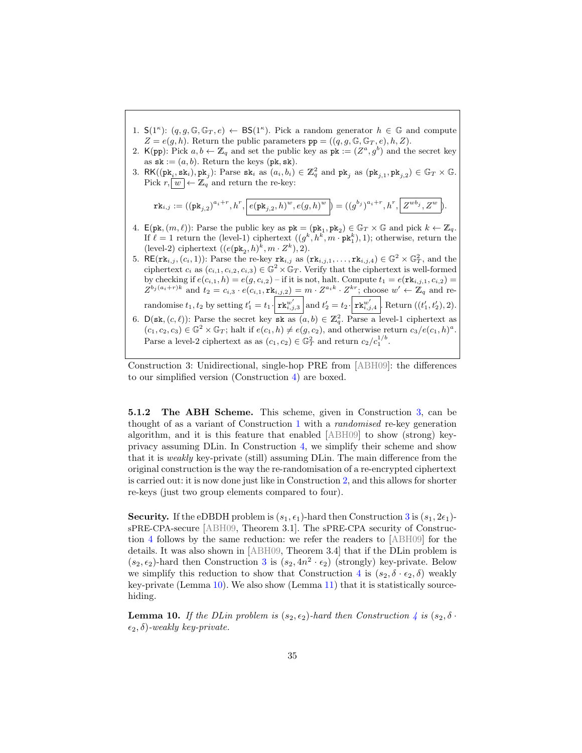- <span id="page-34-0"></span>1.  $S(1^{\kappa})$ :  $(q, g, \mathbb{G}, \mathbb{G}_T, e) \leftarrow BS(1^{\kappa})$ . Pick a random generator  $h \in \mathbb{G}$  and compute  $Z = e(g, h)$ . Return the public parameters  $pp = ((q, g, \mathbb{G}, \mathbb{G}_T, e), h, Z)$ .
- 2. K(pp): Pick  $a, b \leftarrow \mathbb{Z}_q$  and set the public key as  $pk := (Z^a, g^b)$  and the secret key as  $sk := (a, b)$ . Return the keys (pk, sk).
- 3. RK( $(\mathsf{pk}_i, \mathsf{sk}_i), \mathsf{pk}_j$ ): Parse  $\mathsf{sk}_i$  as  $(a_i, b_i) \in \mathbb{Z}_q^2$  and  $\mathsf{pk}_j$  as  $(\mathsf{pk}_{j,1}, \mathsf{pk}_{j,2}) \in \mathbb{G}_T \times \mathbb{G}$ . Pick  $r, w \in \mathbb{Z}_q$  and return the re-key:

$$
\mathrm{rk}_{i,j} := ((\mathrm{pk}_{j,2})^{a_i+r}, h^r, \boxed{e(\mathrm{pk}_{j,2},h)^w, e(g,h)^w} = ((g^{b_j})^{a_i+r}, h^r, \boxed{Z^{wb_j}, Z^w}.
$$

- 4.  $\mathsf{E}(\mathsf{pk}, (m,\ell))$ : Parse the public key as  $\mathsf{pk} = (\mathsf{pk}_1, \mathsf{pk}_2) \in \mathbb{G}_T \times \mathbb{G}$  and pick  $k \leftarrow \mathbb{Z}_q$ . If  $\ell = 1$  return the (level-1) ciphertext  $((g^k, h^k, m \cdot \mathbf{pk}_1^k), 1)$ ; otherwise, return the (level-2) ciphertext  $((e(\mathbf{pk}_2, h)^k, m \cdot Z^k), 2)$ .
- 5. RE( $\text{rk}_{i,j}$ ,  $(c_i, 1)$ ): Parse the re-key  $\text{rk}_{i,j}$  as  $(\text{rk}_{i,j,1}, \ldots, \text{rk}_{i,j,4}) \in \mathbb{G}^2 \times \mathbb{G}_T^2$ , and the ciphertext  $c_i$  as  $(c_{i,1}, c_{i,2}, c_{i,3}) \in \mathbb{G}^2 \times \mathbb{G}_T$ . Verify that the ciphertext is well-formed by checking if  $e(c_{i,1}, h) = e(g, c_{i,2})$  – if it is not, halt. Compute  $t_1 = e(\mathbf{rk}_{i,j,1}, c_{i,2})$  $Z^{b_j(a_i+r)k}$  and  $t_2 = c_{i,3} \cdot e(c_{i,1}, \mathbf{rk}_{i,j,2}) = m \cdot Z^{a_i k} \cdot Z^{kr}$ ; choose  $w' \leftarrow \mathbb{Z}_q$  and rerandomise  $t_1, t_2$  by setting  $t'_1 = t_1 \cdot \left| \mathbf{rk}_{i,j,3}^{w'} \right|$  and  $t'_2 = t_2 \cdot \left| \mathbf{rk}_{i,j,4}^{w'} \right|$ . Return  $((t'_1, t'_2), 2)$ .
- 6.  $D(\mathbf{sk}, (c, \ell))$ : Parse the secret key  $\overline{\mathbf{sk} \text{ as } (a, b)} \in \mathbb{Z}_q^2$ . Parse a level-1 ciphertext as  $(c_1, c_2, c_3) \in \mathbb{G}^2 \times \mathbb{G}_T$ ; halt if  $e(c_1, h) \neq e(g, c_2)$ , and otherwise return  $c_3/e(c_1, h)^a$ . Parse a level-2 ciphertext as as  $(c_1, c_2) \in \mathbb{G}_T^2$  and return  $c_2/c_1^{1/b}$ .

Construction 3: Unidirectional, single-hop PRE from [\[ABH09\]](#page-42-6): the differences to our simplified version (Construction [4\)](#page-35-0) are boxed.

5.1.2 The ABH Scheme. This scheme, given in Construction [3,](#page-34-0) can be thought of as a variant of Construction [1](#page-32-1) with a randomised re-key generation algorithm, and it is this feature that enabled [\[ABH09\]](#page-42-6) to show (strong) keyprivacy assuming DLin. In Construction [4,](#page-35-0) we simplify their scheme and show that it is weakly key-private (still) assuming DLin. The main difference from the original construction is the way the re-randomisation of a re-encrypted ciphertext is carried out: it is now done just like in Construction [2,](#page-32-0) and this allows for shorter re-keys (just two group elements compared to four).

**Security.** If the eDBDH problem is  $(s_1, \epsilon_1)$ -hard then Construction [3](#page-34-0) is  $(s_1, 2\epsilon_1)$ sPRE-CPA-secure [\[ABH09,](#page-42-6) Theorem 3.1]. The sPRE-CPA security of Construction [4](#page-35-0) follows by the same reduction: we refer the readers to [\[ABH09\]](#page-42-6) for the details. It was also shown in [\[ABH09,](#page-42-6) Theorem 3.4] that if the DLin problem is  $(s_2, \epsilon_2)$ -hard then Construction [3](#page-34-0) is  $(s_2, 4n^2 \cdot \epsilon_2)$  (strongly) key-private. Below we simplify this reduction to show that Construction [4](#page-35-0) is  $(s_2, \delta \cdot \epsilon_2, \delta)$  weakly key-private (Lemma [10\)](#page-34-1). We also show (Lemma [11\)](#page-36-0) that it is statistically sourcehiding.

<span id="page-34-1"></span>**Lemma 10.** If the DLin problem is  $(s_2, \epsilon_2)$ -hard then Construction [4](#page-35-0) is  $(s_2, \delta \cdot$  $\epsilon_2$ ,  $\delta$ )-weakly key-private.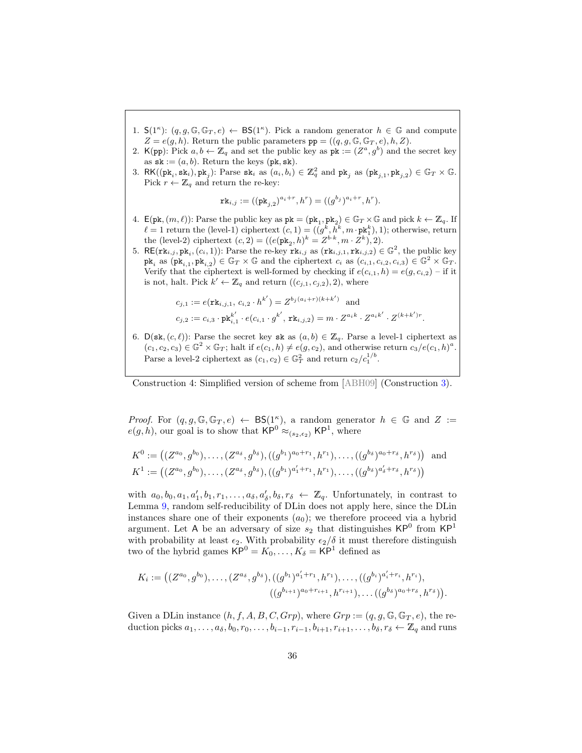- <span id="page-35-0"></span>1.  $S(1^{\kappa})$ :  $(q, g, \mathbb{G}, \mathbb{G}_T, e) \leftarrow BS(1^{\kappa})$ . Pick a random generator  $h \in \mathbb{G}$  and compute  $Z = e(g, h)$ . Return the public parameters  $pp = ((q, g, \mathbb{G}, \mathbb{G}_T, e), h, Z)$ .
- 2. K(pp): Pick  $a, b \leftarrow \mathbb{Z}_q$  and set the public key as  $pk := (Z^a, g^b)$  and the secret key as  $sk := (a, b)$ . Return the keys (pk, sk).
- 3. RK( $(\mathsf{pk}_i, \mathsf{sk}_i), \mathsf{pk}_j$ ): Parse  $\mathsf{sk}_i$  as  $(a_i, b_i) \in \mathbb{Z}_q^2$  and  $\mathsf{pk}_j$  as  $(\mathsf{pk}_{j,1}, \mathsf{pk}_{j,2}) \in \mathbb{G}_T \times \mathbb{G}$ . Pick  $r \leftarrow \mathbb{Z}_q$  and return the re-key:

$$
\mathtt{rk}_{i,j} := ((\mathtt{pk}_{j,2})^{a_i+r}, h^r) = ((g^{b_j})^{a_i+r}, h^r).
$$

- 4.  $\mathsf{E}(\mathsf{pk}, (m,\ell))$ : Parse the public key as  $\mathsf{pk} = (\mathsf{pk}_1, \mathsf{pk}_2) \in \mathbb{G}_T \times \mathbb{G}$  and pick  $k \leftarrow \mathbb{Z}_q$ . If  $\ell = 1$  return the (level-1) ciphertext  $(c, 1) = ((g^k, h^k, m \cdot \mathbf{pk}_1^k), 1)$ ; otherwise, return the (level-2) ciphertext  $(c, 2) = ((e(\mathbf{pk}_2, h)^k = Z^{b \cdot k}, m \cdot Z^k), 2).$
- 5. RE( $\text{rk}_{i,j}$ ,  $\text{pk}_{i}$ ,  $(c_i, 1)$ ): Parse the re-key  $\text{rk}_{i,j}$  as  $(\text{rk}_{i,j,1}, \text{rk}_{i,j,2}) \in \mathbb{G}^2$ , the public key  $\mathtt{pk}_{i}$  as  $(\mathtt{pk}_{i,1},\mathtt{pk}_{i,2}) \in \mathbb{G}_T \times \mathbb{G}$  and the ciphertext  $c_i$  as  $(c_{i,1},c_{i,2},c_{i,3}) \in \mathbb{G}^2 \times \mathbb{G}_T$ . Verify that the ciphertext is well-formed by checking if  $e(c_{i,1}, h) = e(g, c_{i,2})$  – if it is not, halt. Pick  $k' \leftarrow \mathbb{Z}_q$  and return  $((c_{j,1}, c_{j,2}), 2)$ , where

$$
c_{j,1} := e(\mathbf{rk}_{i,j,1}, c_{i,2} \cdot h^{k'}) = Z^{b_j(a_i+r)(k+k')}
$$
 and  
\n
$$
c_{j,2} := c_{i,3} \cdot \mathbf{pk}_{i,1}^{k'} \cdot e(c_{i,1} \cdot g^{k'}, \mathbf{rk}_{i,j,2}) = m \cdot Z^{a_i k} \cdot Z^{a_i k'} \cdot Z^{(k+k')}^{r}.
$$

6.  $D(\text{sk}, (c, \ell))$ : Parse the secret key sk as  $(a, b) \in \mathbb{Z}_q$ . Parse a level-1 ciphertext as  $(c_1, c_2, c_3) \in \mathbb{G}^2 \times \mathbb{G}_T$ ; halt if  $e(c_1, h) \neq e(g, c_2)$ , and otherwise return  $c_3/e(c_1, h)^a$ . Parse a level-2 ciphertext as  $(c_1, c_2) \in \mathbb{G}_T^2$  and return  $c_2/c_1^{1/b}$ .

Construction 4: Simplified version of scheme from [\[ABH09\]](#page-42-6) (Construction [3\)](#page-34-0).

*Proof.* For  $(q, g, \mathbb{G}, \mathbb{G}_T, e) \leftarrow BS(1^{\kappa})$ , a random generator  $h \in \mathbb{G}$  and Z :=  $e(g, h)$ , our goal is to show that  $\mathsf{KP}^0 \approx_{(s_2, \epsilon_2)} \mathsf{KP}^1$ , where

$$
K^0 := ((Z^{a_0}, g^{b_0}), \dots, (Z^{a_\delta}, g^{b_\delta}), ((g^{b_1})^{a_0+r_1}, h^{r_1}), \dots, ((g^{b_\delta})^{a_0+r_\delta}, h^{r_\delta})) \text{ and}
$$
  

$$
K^1 := ((Z^{a_0}, g^{b_0}), \dots, (Z^{a_\delta}, g^{b_\delta}), ((g^{b_1})^{a'_1+r_1}, h^{r_1}), \dots, ((g^{b_\delta})^{a'_\delta+r_\delta}, h^{r_\delta}))
$$

with  $a_0, b_0, a_1, a'_1, b_1, r_1, \ldots, a_\delta, a'_\delta, b_\delta, r_\delta \leftarrow \mathbb{Z}_q$ . Unfortunately, in contrast to Lemma [9,](#page-33-1) random self-reducibility of DLin does not apply here, since the DLin instances share one of their exponents  $(a_0)$ ; we therefore proceed via a hybrid argument. Let A be an adversary of size  $s_2$  that distinguishes  $\mathsf{KP}^0$  from  $\mathsf{KP}^1$ with probability at least  $\epsilon_2$ . With probability  $\epsilon_2/\delta$  it must therefore distinguish two of the hybrid games  $\mathsf{KP}^0 = K_0, \ldots, K_\delta = \mathsf{KP}^1$  defined as

$$
K_i := ((Z^{a_0}, g^{b_0}), \dots, (Z^{a_\delta}, g^{b_\delta}), ((g^{b_1})^{a'_1+r_1}, h^{r_1}), \dots, ((g^{b_i})^{a'_i+r_i}, h^{r_i}),
$$
  

$$
((g^{b_{i+1}})^{a_0+r_{i+1}}, h^{r_{i+1}}), \dots, ((g^{b_\delta})^{a_0+r_{\delta}}, h^{r_{\delta}})).
$$

Given a DLin instance  $(h, f, A, B, C, Grp)$ , where  $Grp := (q, g, \mathbb{G}, \mathbb{G}_T, e)$ , the reduction picks  $a_1, \ldots, a_\delta, b_0, r_0, \ldots, b_{i-1}, r_{i-1}, b_{i+1}, r_{i+1}, \ldots, b_\delta, r_\delta \leftarrow \mathbb{Z}_q$  and runs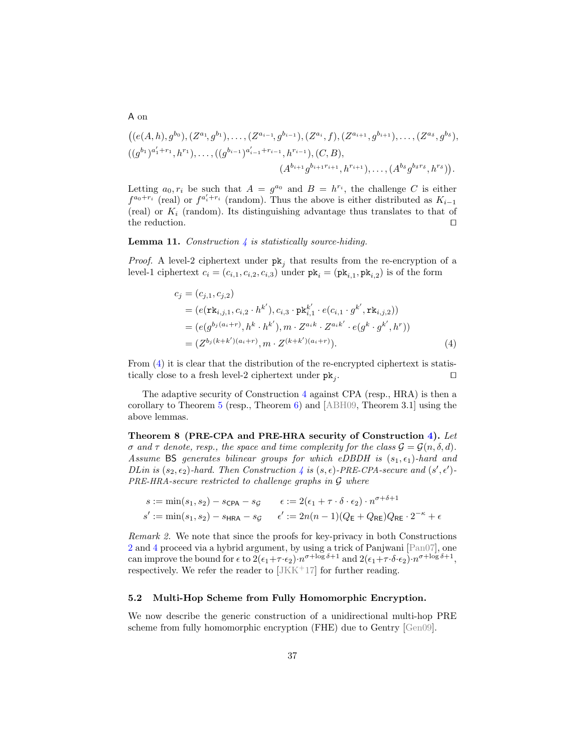$$
((e(A, h), g^{b_0}), (Z^{a_1}, g^{b_1}), \dots, (Z^{a_{i-1}}, g^{b_{i-1}}), (Z^{a_i}, f), (Z^{a_{i+1}}, g^{b_{i+1}}), \dots, (Z^{a_{\delta}}, g^{b_{\delta}}),
$$

$$
((g^{b_1})^{a'_1+r_1}, h^{r_1}), \dots, ((g^{b_{i-1}})^{a'_{i-1}+r_{i-1}}, h^{r_{i-1}}), (C, B),
$$

$$
(A^{b_{i+1}} g^{b_{i+1}r_{i+1}}, h^{r_{i+1}}), \dots, (A^{b_{\delta}} g^{b_{\delta}r_{\delta}}, h^{r_{\delta}})).
$$

Letting  $a_0, r_i$  be such that  $A = g^{a_0}$  and  $B = h^{r_i}$ , the challenge C is either  $f^{a_0+r_i}$  (real) or  $f^{a'_i+r_i}$  (random). Thus the above is either distributed as  $K_{i-1}$ (real) or  $K_i$  (random). Its distinguishing advantage thus translates to that of the reduction.  $\Box$ 

<span id="page-36-0"></span>**Lemma 11.** Construction  $\frac{1}{4}$  $\frac{1}{4}$  $\frac{1}{4}$  is statistically source-hiding.

*Proof.* A level-2 ciphertext under  $pk_j$  that results from the re-encryption of a level-1 ciphertext  $c_i = (c_{i,1}, c_{i,2}, c_{i,3})$  under  $pk_i = (pk_{i,1}, pk_{i,2})$  is of the form

<span id="page-36-1"></span>
$$
c_j = (c_{j,1}, c_{j,2})
$$
  
=  $(e(\mathbf{rk}_{i,j,1}, c_{i,2} \cdot h^{k'}), c_{i,3} \cdot \mathbf{pk}_{i,1}^{k'} \cdot e(c_{i,1} \cdot g^{k'}, \mathbf{rk}_{i,j,2}))$   
=  $(e(g^{b_j(a_i+r)}, h^k \cdot h^{k'}), m \cdot Z^{a_ik} \cdot Z^{a_ik'} \cdot e(g^k \cdot g^{k'}, h^r))$   
=  $(Z^{b_j(k+k')(a_i+r)}, m \cdot Z^{(k+k')(a_i+r)}).$  (4)

From [\(4\)](#page-36-1) it is clear that the distribution of the re-encrypted ciphertext is statistically close to a fresh level-2 ciphertext under  $pk_j$ . . The contract of the contract  $\Box$ 

The adaptive security of Construction [4](#page-35-0) against CPA (resp., HRA) is then a corollary to Theorem [5](#page-24-0) (resp., Theorem [6\)](#page-29-0) and [\[ABH09,](#page-42-6) Theorem 3.1] using the above lemmas.

Theorem 8 (PRE-CPA and PRE-HRA security of Construction [4\)](#page-35-0). Let σ and τ denote, resp., the space and time complexity for the class  $\mathcal{G} = \mathcal{G}(n, \delta, d)$ . Assume BS generates bilinear groups for which eDBDH is  $(s_1, \epsilon_1)$ -hard and DLin is  $(s_2, \epsilon_2)$ -hard. Then Construction [4](#page-35-0) is  $(s, \epsilon)$ -PRE-CPA-secure and  $(s', \epsilon')$ -PRE-HRA-secure restricted to challenge graphs in G where

$$
s := \min(s_1, s_2) - s_{\text{CPA}} - s_{\mathcal{G}} \qquad \epsilon := 2(\epsilon_1 + \tau \cdot \delta \cdot \epsilon_2) \cdot n^{\sigma + \delta + 1}
$$

$$
s' := \min(s_1, s_2) - s_{\text{HRA}} - s_{\mathcal{G}} \qquad \epsilon' := 2n(n - 1)(Q_{\text{E}} + Q_{\text{RE}})Q_{\text{RE}} \cdot 2^{-\kappa} + \epsilon
$$

Remark 2. We note that since the proofs for key-privacy in both Constructions [2](#page-32-0) and [4](#page-35-0) proceed via a hybrid argument, by using a trick of Panjwani [\[Pan07\]](#page-43-10), one can improve the bound for  $\epsilon$  to  $2(\epsilon_1+\tau \cdot \epsilon_2) \cdot n^{\sigma+\log \delta+1}$  and  $2(\epsilon_1+\tau \cdot \delta \cdot \epsilon_2) \cdot n^{\sigma+\log \delta+1}$ , respectively. We refer the reader to  $[JKK^+17]$  $[JKK^+17]$  for further reading.

#### 5.2 Multi-Hop Scheme from Fully Homomorphic Encryption.

We now describe the generic construction of a unidirectional multi-hop PRE scheme from fully homomorphic encryption (FHE) due to Gentry [\[Gen09\]](#page-43-2).

A on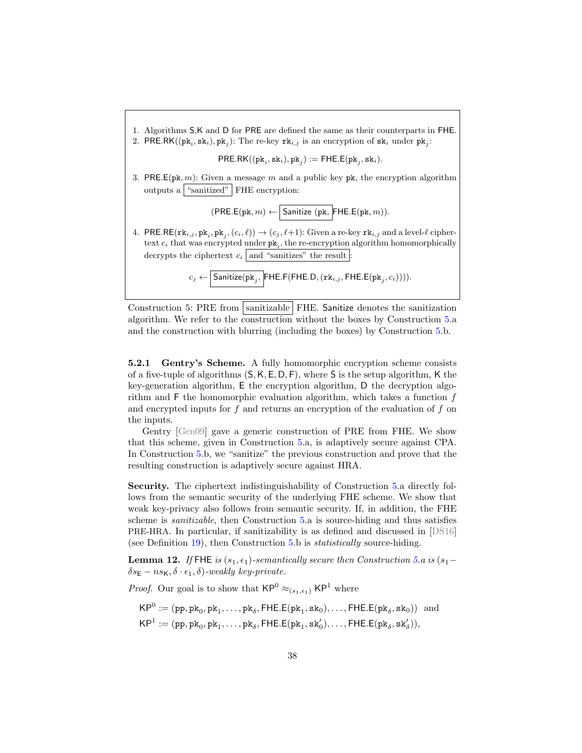<span id="page-37-0"></span>1. Algorithms S,K and D for PRE are defined the same as their counterparts in FHE. 2. PRE.RK( $(pk_i, sk_i)$ ,  $pk_j$ ): The re-key  $rk_{i,j}$  is an encryption of  $sk_i$  under  $pk_j$ :

 $\mathsf{PRE.RK}((\mathtt{pk}_{i},\mathtt{sk}_{i}),\mathtt{pk}_{j}) := \mathsf{FHE.E}(\mathtt{pk}_{j},\mathtt{sk}_{i}).$ 

3. PRE.  $E(\mathbf{pk}, m)$ : Given a message m and a public key pk, the encryption algorithm outputs a "sanitized" FHE encryption:

$$
(\mathsf{PRE.E}(pk,m) \leftarrow \mathsf{Sanitize (pk, \mathsf{FHE.E}(pk,m))}.
$$

4. PRE.RE $(\text{rk}_{i,j}, \text{pk}_i, \text{pk}_j, (c_i, \ell)) \rightarrow (c_j, \ell+1)$ : Given a re-key  $\text{rk}_{i,j}$  and a level- $\ell$  ciphertext  $c_i$  that was encrypted under  $pk_i$ , the re-encryption algorithm homomorphically decrypts the ciphertext  $c_i$  and "sanitizes" the result

$$
c_j \leftarrow \boxed{\mathsf{Sanitize}(\mathtt{pk}_j, \mathsf{FHE.F}(\mathsf{FHE.D}, (\mathtt{rk}_{i,j}, \mathsf{FHE.E}(\mathtt{pk}_j, c_i))))}.
$$

Construction 5: PRE from sanitizable FHE. Sanitize denotes the sanitization algorithm. We refer to the construction without the boxes by Construction [5.](#page-37-0)a and the construction with blurring (including the boxes) by Construction [5.](#page-37-0)b.

5.2.1 Gentry's Scheme. A fully homomorphic encryption scheme consists of a five-tuple of algorithms  $(S, K, E, D, F)$ , where S is the setup algorithm, K the key-generation algorithm, E the encryption algorithm, D the decryption algorithm and  $F$  the homomorphic evaluation algorithm, which takes a function  $f$ and encrypted inputs for  $f$  and returns an encryption of the evaluation of  $f$  on the inputs.

Gentry [\[Gen09\]](#page-43-2) gave a generic construction of PRE from FHE. We show that this scheme, given in Construction [5.](#page-37-0)a, is adaptively secure against CPA. In Construction [5.](#page-37-0)b, we "sanitize" the previous construction and prove that the resulting construction is adaptively secure against HRA.

Security. The ciphertext indistinguishability of Construction [5.](#page-37-0)a directly follows from the semantic security of the underlying FHE scheme. We show that weak key-privacy also follows from semantic security. If, in addition, the FHE scheme is *sanitizable*, then Construction [5.](#page-37-0)a is source-hiding and thus satisfies PRE-HRA. In particular, if sanitizability is as defined and discussed in [\[DS16\]](#page-42-10) (see Definition [19\)](#page-38-0), then Construction [5.](#page-37-0)b is statistically source-hiding.

**Lemma 12.** If FHE is  $(s_1, \epsilon_1)$ -semantically secure then Construction [5.](#page-37-0)a is  $(s_1 \delta s_{\mathsf{E}} - ns_{\mathsf{K}}, \delta \cdot \epsilon_1, \delta$ )-weakly key-private.

*Proof.* Our goal is to show that  $\mathsf{KP}^0 \approx_{(s_1,\epsilon_1)} \mathsf{KP}^1$  where

 $\mathsf{KP}^0 := (\mathtt{pp},\mathtt{pk}_0,\mathtt{pk}_1,\ldots,\mathtt{pk}_\delta,\mathsf{FHE}.\mathsf{E}(\mathtt{pk}_1,\mathtt{sk}_0),\ldots,\mathsf{FHE}.\mathsf{E}(\mathtt{pk}_\delta,\mathtt{sk}_0))$  and  $\mathsf{KP}^1:=(\mathsf{pp},\allowbreak \mathsf{pk}_0,\allowbreak \mathsf{pk}_1,\ldots,\allowbreak \mathsf{pk}_\delta,\mathsf{FHE}.\mathsf{E}(\mathsf{pk}_1,\mathsf{sk}_0'),\ldots,\mathsf{FHE}.\mathsf{E}(\mathsf{pk}_\delta,\mathsf{sk}_\delta')),$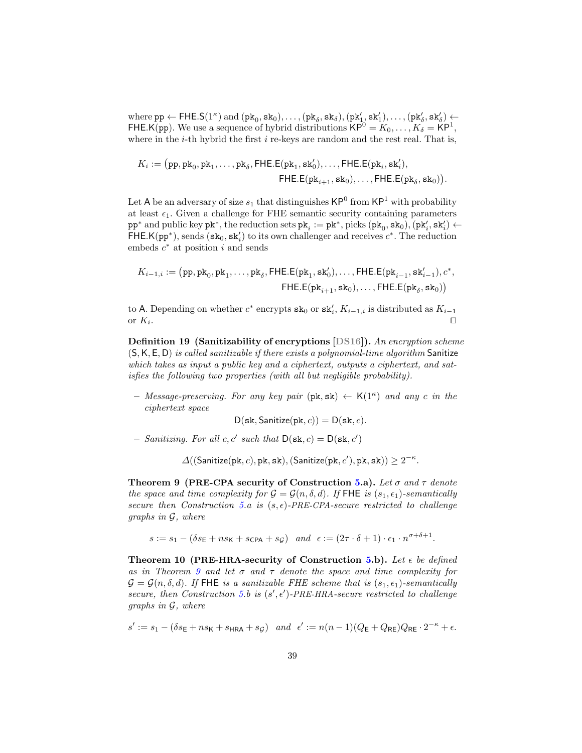where  $pp \leftarrow$  FHE.S(1<sup> $\kappa$ </sup>) and  $(pk_0, sk_0), \ldots, (pk_{\delta}, sk_{\delta}), (pk'_{1}, sk'_1), \ldots, (pk'_{\delta}, sk'_{\delta}) \leftarrow$ FHE.K(pp). We use a sequence of hybrid distributions  $\mathsf{KP}^0 = K_0, \ldots, K_\delta = \mathsf{KP}^1$ , where in the  $i$ -th hybrid the first  $i$  re-keys are random and the rest real. That is,

$$
K_i := (\text{pp}, \text{pk}_0, \text{pk}_1, \dots, \text{pk}_\delta, \text{FHE.E}(\text{pk}_1, \text{sk}'_0), \dots, \text{FHE.E}(\text{pk}_i, \text{sk}'_i),
$$
  

$$
\text{FHE.E}(\text{pk}_{i+1}, \text{sk}_0), \dots, \text{FHE.E}(\text{pk}_\delta, \text{sk}_0)).
$$

Let A be an adversary of size  $s_1$  that distinguishes  $\mathsf{KP}^0$  from  $\mathsf{KP}^1$  with probability at least  $\epsilon_1$ . Given a challenge for FHE semantic security containing parameters  $pp^*$  and public key  $pk^*$ , the reduction sets  $pk_i := pk^*$ , picks  $(pk_0, sk_0), (pk'_i, sk'_i) \leftarrow$  $FHE.K(pp^*),$  sends  $(\textbf{sk}_0, \textbf{sk}'_i)$  to its own challenger and receives  $c^*$ . The reduction embeds  $c^*$  at position i and sends

$$
K_{i-1,i} := \left(\text{pp}, \text{pk}_0, \text{pk}_1, \ldots, \text{pk}_{\delta}, \text{FHE.E}(\text{pk}_1, \text{sk}'_0), \ldots, \text{FHE.E}(\text{pk}_{i-1}, \text{sk}'_{i-1}), c^*, \right. \\ \left. \qquad \qquad \text{FHE.E}(\text{pk}_{i+1}, \text{sk}_0), \ldots, \text{FHE.E}(\text{pk}_{\delta}, \text{sk}_0)\right)
$$

to A. Depending on whether  $c^*$  encrypts  $\mathtt{sk}_0$  or  $\mathtt{sk}'_i$ ,  $K_{i-1,i}$  is distributed as  $K_{i-1}$ or  $K_i$ . . The contract of the contract of the contract of the contract of  $\Box$ 

<span id="page-38-0"></span>Definition 19 (Sanitizability of encryptions [\[DS16\]](#page-42-10)). An encryption scheme  $(S, K, E, D)$  is called sanitizable if there exists a polynomial-time algorithm Sanitize which takes as input a public key and a ciphertext, outputs a ciphertext, and satisfies the following two properties (with all but negligible probability).

- Message-preserving. For any key pair  $(\mathbf{pk}, \mathbf{sk}) \leftarrow \mathsf{K}(1^{\kappa})$  and any c in the ciphertext space

$$
D(\mathtt{sk},\mathsf{Sanitize}(\mathtt{pk},c)) = D(\mathtt{sk},c).
$$

- Sanitizing. For all c, c' such that  $D(\textbf{sk}, c) = D(\textbf{sk}, c')$ 

 $\Delta((\mathsf{Sanitize}(\mathtt{pk}, c), \mathtt{pk}, \mathtt{sk}),(\mathsf{Sanitize}(\mathtt{pk}, c'), \mathtt{pk}, \mathtt{sk})) \geq 2^{-\kappa}.$ 

<span id="page-38-1"></span>Theorem 9 (PRE-CPA security of Construction [5.](#page-37-0)a). Let  $\sigma$  and  $\tau$  denote the space and time complexity for  $\mathcal{G} = \mathcal{G}(n, \delta, d)$ . If FHE is  $(s_1, \epsilon_1)$ -semantically secure then Construction [5.](#page-37-0)a is  $(s, \epsilon)$ -PRE-CPA-secure restricted to challenge graphs in G, where

$$
s := s_1 - (\delta s_{\mathsf{E}} + n s_{\mathsf{K}} + s_{\mathsf{CPA}} + s_{\mathcal{G}}) \quad and \quad \epsilon := (2\tau \cdot \delta + 1) \cdot \epsilon_1 \cdot n^{\sigma + \delta + 1}.
$$

Theorem 10 (PRE-HRA-security of Construction [5.](#page-37-0)b). Let  $\epsilon$  be defined as in Theorem [9](#page-38-1) and let  $\sigma$  and  $\tau$  denote the space and time complexity for  $\mathcal{G} = \mathcal{G}(n, \delta, d)$ . If FHE is a sanitizable FHE scheme that is  $(s_1, \epsilon_1)$ -semantically secure, then Construction [5.](#page-37-0)b is  $(s', \epsilon')$ -PRE-HRA-secure restricted to challenge graphs in G, where

$$
s' := s_1 - (\delta s_{\mathsf{E}} + n s_{\mathsf{K}} + s_{\mathsf{HRA}} + s_{\mathcal{G}}) \quad and \quad \epsilon' := n(n-1)(Q_{\mathsf{E}} + Q_{\mathsf{RE}})Q_{\mathsf{RE}} \cdot 2^{-\kappa} + \epsilon.
$$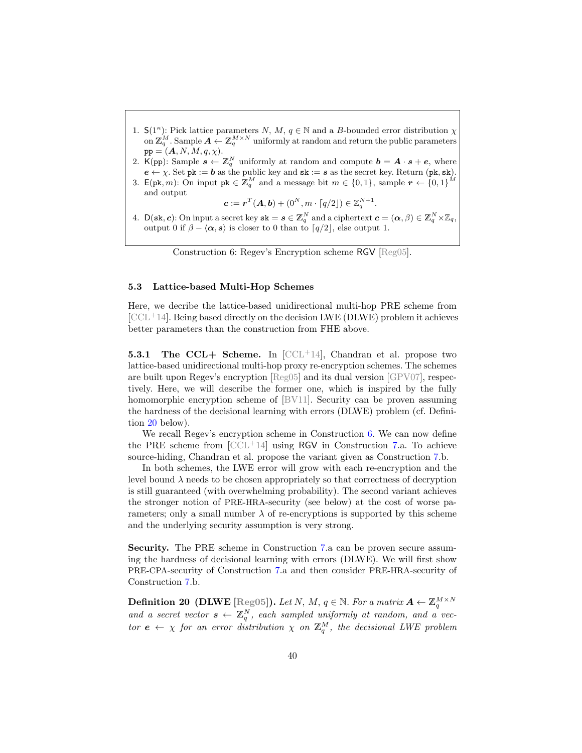- <span id="page-39-1"></span>1.  $S(1^{\kappa})$ : Pick lattice parameters N, M,  $q \in \mathbb{N}$  and a B-bounded error distribution  $\chi$ on  $\mathbb{Z}_q^M$ . Sample  $\boldsymbol{A} \leftarrow \mathbb{Z}_q^{M \times N}$  uniformly at random and return the public parameters  $pp = (A, N, M, q, \chi).$
- 2. K(pp): Sample  $s \leftarrow \mathbb{Z}_q^N$  uniformly at random and compute  $b = A \cdot s + e$ , where  $e \leftarrow \chi$ . Set pk := b as the public key and sk := s as the secret key. Return (pk, sk).
- 3.  $\mathsf{E}(\mathsf{pk}, m)$ : On input  $\mathsf{pk} \in \mathbb{Z}_q^M$  and a message bit  $m \in \{0, 1\}$ , sample  $r \leftarrow \{0, 1\}^M$ and output

$$
\boldsymbol{c}:=\boldsymbol{r}^T(\boldsymbol{A},\boldsymbol{b})+(0^N,m\cdot \lceil q/2\rfloor)\in \mathbb{Z}_q^{N+1}.
$$

4.  $\mathsf{D}(\mathsf{sk}, c)$ : On input a secret key  $\mathsf{sk} = \mathbf{s} \in \mathbb{Z}_q^N$  and a ciphertext  $\mathbf{c} = (\boldsymbol{\alpha}, \beta) \in \mathbb{Z}_q^N \times \mathbb{Z}_q$ , output 0 if  $\beta - \langle \alpha, s \rangle$  is closer to 0 than to  $\lceil q/2 \rceil$ , else output 1.

Construction 6: Regev's Encryption scheme RGV [\[Reg05\]](#page-43-11).

### 5.3 Lattice-based Multi-Hop Schemes

Here, we decribe the lattice-based unidirectional multi-hop PRE scheme from  $[CL<sup>+</sup>14]$ . Being based directly on the decision LWE (DLWE) problem it achieves better parameters than the construction from FHE above.

5.3.1 The CCL+ Scheme. In  $[CL+14]$ , Chandran et al. propose two lattice-based unidirectional multi-hop proxy re-encryption schemes. The schemes are built upon Regev's encryption [\[Reg05\]](#page-43-11) and its dual version [\[GPV07\]](#page-43-12), respectively. Here, we will describe the former one, which is inspired by the fully homomorphic encryption scheme of [\[BV11\]](#page-42-11). Security can be proven assuming the hardness of the decisional learning with errors (DLWE) problem (cf. Definition [20](#page-39-0) below).

We recall Regev's encryption scheme in Construction [6.](#page-39-1) We can now define the PRE scheme from  $[CL<sup>+</sup>14]$  using RGV in Construction [7.](#page-40-0)a. To achieve source-hiding, Chandran et al. propose the variant given as Construction [7.](#page-40-0)b.

In both schemes, the LWE error will grow with each re-encryption and the level bound  $\lambda$  needs to be chosen appropriately so that correctness of decryption is still guaranteed (with overwhelming probability). The second variant achieves the stronger notion of PRE-HRA-security (see below) at the cost of worse parameters; only a small number  $\lambda$  of re-encryptions is supported by this scheme and the underlying security assumption is very strong.

Security. The PRE scheme in Construction [7.](#page-40-0)a can be proven secure assuming the hardness of decisional learning with errors (DLWE). We will first show PRE-CPA-security of Construction [7.](#page-40-0)a and then consider PRE-HRA-security of Construction [7.](#page-40-0)b.

<span id="page-39-0"></span>**Definition 20** (DLWE [\[Reg05\]](#page-43-11)). Let N, M,  $q \in \mathbb{N}$ . For a matrix  $A \leftarrow \mathbb{Z}_q^{M \times N}$ and a secret vector  $s \leftarrow \mathbb{Z}_q^N$ , each sampled uniformly at random, and a vector  $e \leftarrow \chi$  for an error distribution  $\chi$  on  $\mathbb{Z}_q^M$ , the decisional LWE problem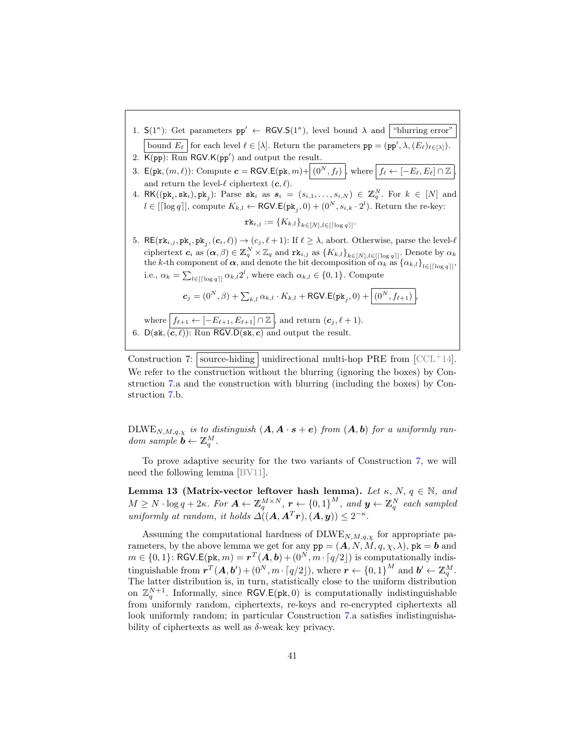- <span id="page-40-0"></span>1.  $S(1^{\kappa})$ : Get parameters  $pp' \leftarrow RGV.S(1^{\kappa})$ , level bound  $\lambda$  and  $\psi$  blurring error" bound  $E_{\ell}$  for each level  $\ell \in [\lambda]$ . Return the parameters  $pp = (pp', \lambda, (E_{\ell})_{\ell \in [\lambda]})$ .
- 2.  $\overline{K(pp)}$ : Run RGV. $K(pp')$  and output the result.
- 3. E(pk,  $(m, \ell)$ ): Compute  $\mathbf{c} = \text{RGV.E}(pk, m) + \left|\left(\mathbf{0}^N, f_\ell\right)\right|$ , where  $\left\lceil f_\ell \leftarrow [-E_\ell, E_\ell] \cap \mathbb{Z} \right\rceil$ and return the level- $\ell$  ciphertext  $(c, \ell)$ .
- 4. RK( $(\mathbf{pk}_i, \mathbf{sk}_i), \mathbf{pk}_j$ ): Parse  $\mathbf{sk}_i$  as  $s_i = (s_{i,1}, \ldots, s_{i,N}) \in \mathbb{Z}_q^N$ . For  $k \in [N]$  and  $l \in [[\log q]],$  compute  $K_{k,l} \leftarrow \mathsf{RGV}.\mathsf{E}(\mathtt{pk}_j, 0) + (0^N, s_{i,k} \cdot 2^l).$  Return the re-key:

 $\mathtt{rk}_{i,j} := \{K_{k,l}\}_{k \in [N], l \in [\lceil \log q \rceil]}.$ 

5. RE( $\text{rk}_{i,j}$ ,  $\text{pk}_i$ ,  $\text{pk}_j$ ,  $(c_i, \ell)$ )  $\rightarrow$   $(c_j, \ell+1)$ : If  $\ell \geq \lambda$ , abort. Otherwise, parse the level- $\ell$ ciphertext  $c_i$  as  $(\alpha, \beta) \in \mathbb{Z}_q^N \times \mathbb{Z}_q$  and  $\text{rk}_{i,j}$  as  $\{K_{k,l}\}_{k \in [N], l \in [\lceil \log q \rceil\}}$ . Denote by  $\alpha_k$ the k-th component of  $\alpha$ , and denote the bit decomposition of  $\alpha_k$  as  $\{\alpha_{k,l}\}_{l\in[\lceil \log q \rceil\}}$ , i.e.,  $\alpha_k = \sum_{l \in \left[ \lceil \log q \rceil \right]} \alpha_{k,l} 2^l$ , where each  $\alpha_{k,l} \in \{0,1\}$ . Compute

$$
\mathbf{c}_{j} = (0^{N}, \beta) + \sum_{k,l} \alpha_{k,l} \cdot K_{k,l} + \text{RGV.E}(\text{pk}_{j}, 0) + | (0^{N}, f_{\ell+1}) |,
$$

- where  $f_{\ell+1} \leftarrow [-E_{\ell+1}, E_{\ell+1}] \cap \mathbb{Z}$ , and return  $(c_j, \ell + 1)$ .
- 6.  $D(\text{sk},(c, \ell))$ : Run RGV. $D(\text{sk}, c)$  and output the result.

Construction 7: source-hiding unidirectional multi-hop PRE from  $[CL<sup>+</sup>14]$ . We refer to the construction without the blurring (ignoring the boxes) by Construction [7.](#page-40-0)a and the construction with blurring (including the boxes) by Construction [7.](#page-40-0)b.

 $\text{DLWE}_{N,M,q,\chi}$  is to distinguish  $(\mathbf{A}, \mathbf{A} \cdot \mathbf{s} + \mathbf{e})$  from  $(\mathbf{A}, \mathbf{b})$  for a uniformly random sample  $\mathbf{b} \leftarrow \mathbb{Z}_q^M$ .

<span id="page-40-1"></span>To prove adaptive security for the two variants of Construction [7,](#page-40-0) we will need the following lemma [\[BV11\]](#page-42-11).

Lemma 13 (Matrix-vector leftover hash lemma). Let  $\kappa$ ,  $N$ ,  $q \in \mathbb{N}$ , and  $M \geq N \cdot \log q + 2\kappa$ . For  $\boldsymbol{A} \leftarrow \mathbb{Z}_q^{M \times N}$ ,  $\boldsymbol{r} \leftarrow \{0,1\}^M$ , and  $\boldsymbol{y} \leftarrow \mathbb{Z}_q^N$  each sampled uniformly at random, it holds  $\Delta((\mathbf{A}, \mathbf{A}^T\mathbf{r}), (\mathbf{A}, \mathbf{y})) \leq 2^{-\kappa}$ .

<span id="page-40-2"></span>Assuming the computational hardness of  $\text{DLWE}_{N,M,q,\chi}$  for appropriate parameters, by the above lemma we get for any  $pp = (A, N, M, q, \chi, \lambda)$ ,  $pk = b$  and  $m \in \{0,1\}$ : RGV.E(pk,  $m$ ) =  $\boldsymbol{r}^T(\boldsymbol{A},\boldsymbol{b}) + (0^N, m \cdot \lceil q/2 \rceil)$  is computationally indistinguishable from  $\boldsymbol{r}^T(\boldsymbol{A},\boldsymbol{b}') + (0^N, m \cdot \lceil q/2 \rfloor)$ , where  $\boldsymbol{r} \leftarrow \{0,1\}^M$  and  $\boldsymbol{b}' \leftarrow \mathbb{Z}_q^M$ . The latter distribution is, in turn, statistically close to the uniform distribution on  $\mathbb{Z}_q^{N+1}$ . Informally, since RGV.E(pk, 0) is computationally indistinguishable from uniformly random, ciphertexts, re-keys and re-encrypted ciphertexts all look uniformly random; in particular Construction [7.](#page-40-0)a satisfies indistinguishability of ciphertexts as well as  $\delta$ -weak key privacy.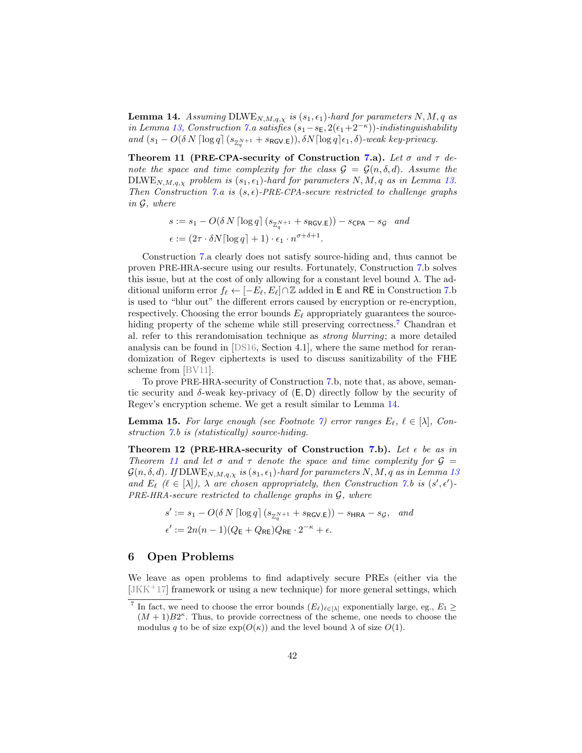**Lemma 14.** Assuming  $\text{DLWE}_{N,M,q,\chi}$  is  $(s_1, \epsilon_1)$ -hard for parameters  $N, M, q$  as in Lemma [13,](#page-40-1) Construction [7.](#page-40-0)a satisfies  $(s_1 - s_E, 2(\epsilon_1 + 2^{-\kappa}))$ -indistinguishability and  $(s_1 - O(\delta N \lceil \log q \rceil (s_{\mathbb{Z}_q^{N+1}} + s_{\mathsf{RGV.E}})), \delta N \lceil \log q \rceil \epsilon_1, \delta)$ -weak key-privacy.

<span id="page-41-0"></span>Theorem 11 (PRE-CPA-security of Construction [7.](#page-40-0)a). Let  $\sigma$  and  $\tau$  denote the space and time complexity for the class  $\mathcal{G} = \mathcal{G}(n, \delta, d)$ . Assume the DLWE<sub>N,M,q, $\chi$ </sub> problem is  $(s_1, \epsilon_1)$ -hard for parameters N,M,q as in Lemma [13.](#page-40-1) Then Construction [7.](#page-40-0)a is  $(s, \epsilon)$ -PRE-CPA-secure restricted to challenge graphs in G, where

$$
s := s_1 - O(\delta N \lceil \log q \rceil (s_{\mathbb{Z}_q^{N+1}} + s_{\mathsf{RGVE}})) - s_{\mathsf{CPA}} - s_{\mathcal{G}} \quad and
$$
  

$$
\epsilon := (2\tau \cdot \delta N \lceil \log q \rceil + 1) \cdot \epsilon_1 \cdot n^{\sigma + \delta + 1}.
$$

Construction [7.](#page-40-0)a clearly does not satisfy source-hiding and, thus cannot be proven PRE-HRA-secure using our results. Fortunately, Construction [7.](#page-40-0)b solves this issue, but at the cost of only allowing for a constant level bound  $\lambda$ . The additional uniform error  $f_\ell \leftarrow [-E_\ell, E_\ell] \cap \mathbb{Z}$  added in E and RE in Construction [7.](#page-40-0)b is used to "blur out" the different errors caused by encryption or re-encryption, respectively. Choosing the error bounds  $E_\ell$  appropriately guarantees the source-hiding property of the scheme while still preserving correctness.<sup>[7](#page-41-1)</sup> Chandran et al. refer to this rerandomisation technique as strong blurring; a more detailed analysis can be found in [\[DS16,](#page-42-10) Section 4.1], where the same method for rerandomization of Regev ciphertexts is used to discuss sanitizability of the FHE scheme from [\[BV11\]](#page-42-11).

To prove PRE-HRA-security of Construction [7.](#page-40-0)b, note that, as above, semantic security and  $\delta$ -weak key-privacy of  $(E, D)$  directly follow by the security of Regev's encryption scheme. We get a result similar to Lemma [14.](#page-40-2)

**Lemma 15.** For large enough (see Footnote [7\)](#page-41-1) error ranges  $E_{\ell}$ ,  $\ell \in [\lambda]$ , Con-struction [7.](#page-40-0)b is (statistically) source-hiding.

Theorem 12 (PRE-HRA-security of Construction [7.](#page-40-0)b). Let  $\epsilon$  be as in Theorem [11](#page-41-0) and let  $\sigma$  and  $\tau$  denote the space and time complexity for  $\mathcal{G} =$  $\mathcal{G}(n, \delta, d)$ . If DLWE<sub>N,M,q, $\chi$ </sub> is  $(s_1, \epsilon_1)$ -hard for parameters N,M,q as in Lemma [13](#page-40-1) and  $E_{\ell}$  ( $\ell \in [\lambda]$ ),  $\lambda$  are chosen appropriately, then Construction [7.](#page-40-0)b is  $(s', \epsilon')$ - $PRE-HRA\text{-}secure\ restricted\ to\ challenge\ graphs\ in\ \mathcal{G},\ where$ 

> $s' := s_1 - O(\delta N \lceil \log q \rceil (s_{\mathbb{Z}_q^{N+1}} + s_{\mathsf{RGV.E}})) - s_{\mathsf{HRA}} - s_{\mathcal{G}}, \quad and$  $\epsilon' := 2n(n-1)(Q_{\mathsf{E}} + Q_{\mathsf{RE}})Q_{\mathsf{RE}} \cdot 2^{-\kappa} + \epsilon.$

# 6 Open Problems

We leave as open problems to find adaptively secure PREs (either via the  $[JKK^+17]$  $[JKK^+17]$  framework or using a new technique) for more general settings, which

<span id="page-41-1"></span><sup>&</sup>lt;sup>7</sup> In fact, we need to choose the error bounds  $(E_{\ell})_{\ell \in [\lambda]}$  exponentially large, eg.,  $E_1 \geq$  $(M+1)B2^{\kappa}$ . Thus, to provide correctness of the scheme, one needs to choose the modulus q to be of size  $exp(O(\kappa))$  and the level bound  $\lambda$  of size  $O(1)$ .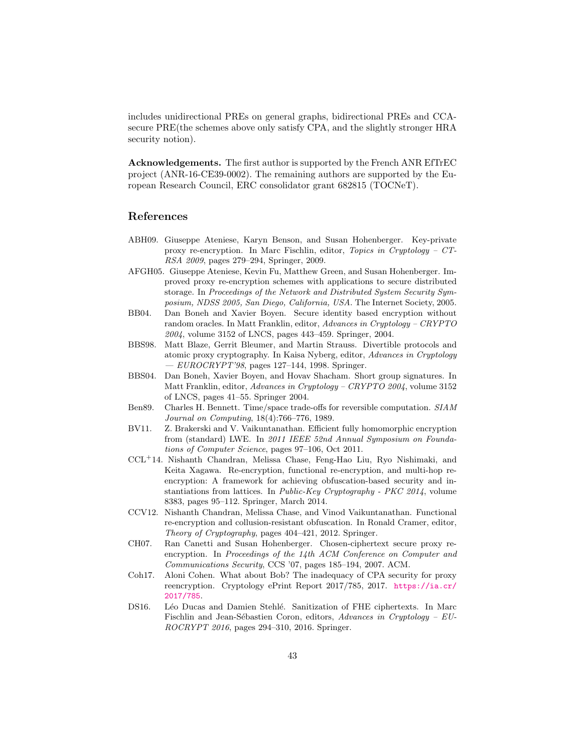includes unidirectional PREs on general graphs, bidirectional PREs and CCAsecure PRE(the schemes above only satisfy CPA, and the slightly stronger HRA security notion).

Acknowledgements. The first author is supported by the French ANR EfTrEC project (ANR-16-CE39-0002). The remaining authors are supported by the European Research Council, ERC consolidator grant 682815 (TOCNeT).

# References

- <span id="page-42-6"></span>ABH09. Giuseppe Ateniese, Karyn Benson, and Susan Hohenberger. Key-private proxy re-encryption. In Marc Fischlin, editor, Topics in Cryptology – CT-RSA 2009, pages 279–294, Springer, 2009.
- <span id="page-42-1"></span>AFGH05. Giuseppe Ateniese, Kevin Fu, Matthew Green, and Susan Hohenberger. Improved proxy re-encryption schemes with applications to secure distributed storage. In Proceedings of the Network and Distributed System Security Symposium, NDSS 2005, San Diego, California, USA. The Internet Society, 2005.
- <span id="page-42-7"></span>BB04. Dan Boneh and Xavier Boyen. Secure identity based encryption without random oracles. In Matt Franklin, editor, Advances in Cryptology – CRYPTO 2004, volume 3152 of LNCS, pages 443–459. Springer, 2004.
- <span id="page-42-0"></span>BBS98. Matt Blaze, Gerrit Bleumer, and Martin Strauss. Divertible protocols and atomic proxy cryptography. In Kaisa Nyberg, editor, Advances in Cryptology  $-$  EUROCRYPT'98, pages 127–144, 1998. Springer.
- <span id="page-42-9"></span>BBS04. Dan Boneh, Xavier Boyen, and Hovav Shacham. Short group signatures. In Matt Franklin, editor, Advances in Cryptology – CRYPTO 2004, volume 3152 of LNCS, pages 41–55. Springer 2004.
- <span id="page-42-8"></span>Ben89. Charles H. Bennett. Time/space trade-offs for reversible computation. SIAM Journal on Computing, 18(4):766–776, 1989.
- <span id="page-42-11"></span>BV11. Z. Brakerski and V. Vaikuntanathan. Efficient fully homomorphic encryption from (standard) LWE. In 2011 IEEE 52nd Annual Symposium on Foundations of Computer Science, pages 97–106, Oct 2011.
- <span id="page-42-4"></span>CCL<sup>+</sup>14. Nishanth Chandran, Melissa Chase, Feng-Hao Liu, Ryo Nishimaki, and Keita Xagawa. Re-encryption, functional re-encryption, and multi-hop reencryption: A framework for achieving obfuscation-based security and instantiations from lattices. In Public-Key Cryptography - PKC 2014, volume 8383, pages 95–112. Springer, March 2014.
- <span id="page-42-3"></span>CCV12. Nishanth Chandran, Melissa Chase, and Vinod Vaikuntanathan. Functional re-encryption and collusion-resistant obfuscation. In Ronald Cramer, editor, Theory of Cryptography, pages 404–421, 2012. Springer.
- <span id="page-42-2"></span>CH07. Ran Canetti and Susan Hohenberger. Chosen-ciphertext secure proxy reencryption. In Proceedings of the 14th ACM Conference on Computer and Communications Security, CCS '07, pages 185–194, 2007. ACM.
- <span id="page-42-5"></span>Coh17. Aloni Cohen. What about Bob? The inadequacy of CPA security for proxy reencryption. Cryptology ePrint Report 2017/785, 2017. [https://ia.cr/](https://ia.cr/2017/785) [2017/785](https://ia.cr/2017/785).
- <span id="page-42-10"></span>DS16. Léo Ducas and Damien Stehlé. Sanitization of FHE ciphertexts. In Marc Fischlin and Jean-Sébastien Coron, editors, Advances in Cryptology –  $EU$ -ROCRYPT 2016, pages 294–310, 2016. Springer.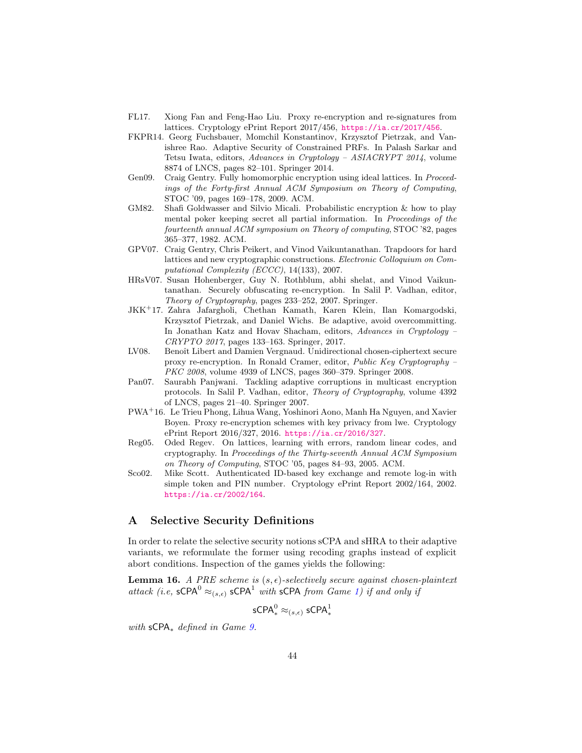- <span id="page-43-4"></span>FL17. Xiong Fan and Feng-Hao Liu. Proxy re-encryption and re-signatures from lattices. Cryptology ePrint Report 2017/456, <https://ia.cr/2017/456>.
- <span id="page-43-6"></span>FKPR14. Georg Fuchsbauer, Momchil Konstantinov, Krzysztof Pietrzak, and Vanishree Rao. Adaptive Security of Constrained PRFs. In Palash Sarkar and Tetsu Iwata, editors, Advances in Cryptology – ASIACRYPT 2014, volume 8874 of LNCS, pages 82–101. Springer 2014.
- <span id="page-43-2"></span>Gen09. Craig Gentry. Fully homomorphic encryption using ideal lattices. In Proceedings of the Forty-first Annual ACM Symposium on Theory of Computing, STOC '09, pages 169–178, 2009. ACM.
- <span id="page-43-8"></span>GM82. Shafi Goldwasser and Silvio Micali. Probabilistic encryption & how to play mental poker keeping secret all partial information. In Proceedings of the fourteenth annual ACM symposium on Theory of computing, STOC '82, pages 365–377, 1982. ACM.
- <span id="page-43-12"></span>GPV07. Craig Gentry, Chris Peikert, and Vinod Vaikuntanathan. Trapdoors for hard lattices and new cryptographic constructions. Electronic Colloquium on Computational Complexity (ECCC), 14(133), 2007.
- <span id="page-43-1"></span>HRsV07. Susan Hohenberger, Guy N. Rothblum, abhi shelat, and Vinod Vaikuntanathan. Securely obfuscating re-encryption. In Salil P. Vadhan, editor, Theory of Cryptography, pages 233–252, 2007. Springer.
- <span id="page-43-5"></span>JKK<sup>+</sup>17. Zahra Jafargholi, Chethan Kamath, Karen Klein, Ilan Komargodski, Krzysztof Pietrzak, and Daniel Wichs. Be adaptive, avoid overcommitting. In Jonathan Katz and Hovav Shacham, editors, Advances in Cryptology – CRYPTO 2017, pages 133–163. Springer, 2017.
- <span id="page-43-0"></span>LV08. Benoît Libert and Damien Vergnaud. Unidirectional chosen-ciphertext secure proxy re-encryption. In Ronald Cramer, editor, Public Key Cryptography – PKC 2008, volume 4939 of LNCS, pages 360–379. Springer 2008.
- <span id="page-43-10"></span>Pan07. Saurabh Panjwani. Tackling adaptive corruptions in multicast encryption protocols. In Salil P. Vadhan, editor, Theory of Cryptography, volume 4392 of LNCS, pages 21–40. Springer 2007.
- <span id="page-43-3"></span>PWA<sup>+</sup>16. Le Trieu Phong, Lihua Wang, Yoshinori Aono, Manh Ha Nguyen, and Xavier Boyen. Proxy re-encryption schemes with key privacy from lwe. Cryptology ePrint Report 2016/327, 2016. <https://ia.cr/2016/327>.
- <span id="page-43-11"></span>Reg05. Oded Regev. On lattices, learning with errors, random linear codes, and cryptography. In Proceedings of the Thirty-seventh Annual ACM Symposium on Theory of Computing, STOC '05, pages 84–93, 2005. ACM.
- <span id="page-43-9"></span>Sco02. Mike Scott. Authenticated ID-based key exchange and remote log-in with simple token and PIN number. Cryptology ePrint Report 2002/164, 2002. <https://ia.cr/2002/164>.

# <span id="page-43-7"></span>A Selective Security Definitions

In order to relate the selective security notions sCPA and sHRA to their adaptive variants, we reformulate the former using recoding graphs instead of explicit abort conditions. Inspection of the games yields the following:

**Lemma 16.** A PRE scheme is  $(s, \epsilon)$ -selectively secure against chosen-plaintext attack (i.e,  $\mathsf{sCPA}^0 \approx_{(s,\epsilon)} \mathsf{sCPA}^1$  with  $\mathsf{sCPA}$  from Game [1\)](#page-10-0) if and only if

$$
\mathsf{sCPA}^0_* \approx_{(s,\epsilon)} \mathsf{sCPA}^1_*
$$

with sCPA<sup>∗</sup> defined in Game [9.](#page-44-0)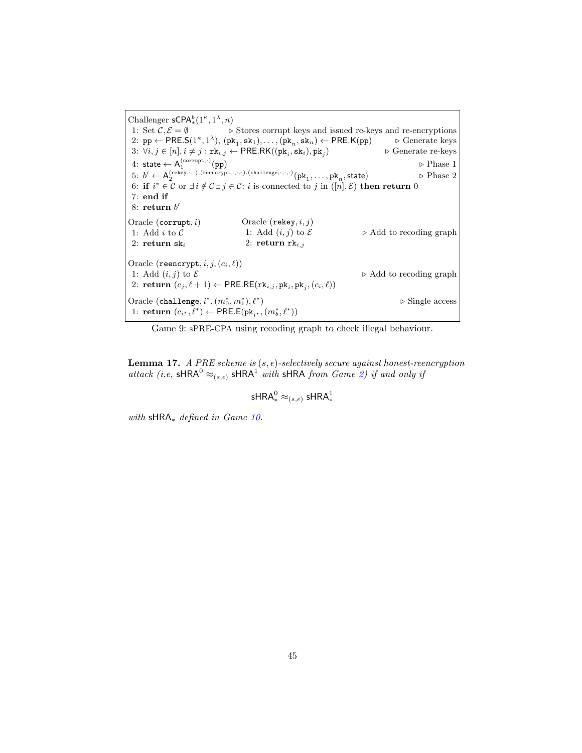<span id="page-44-0"></span>Challenger  $\mathsf{sCPA}^b_*(1^\kappa, 1^\lambda, n)$ 1: Set  $C, \mathcal{E} = \emptyset$   $\triangleright$  Stores corrupt keys and issued re-keys and re-encryptions 2:  $pp \leftarrow \text{PRE.S}(1^{\kappa}, 1^{\lambda}), (pk_1, sk_1), \ldots, (pk_n, sk_n) \leftarrow \text{PRE.K}(pp) \Rightarrow \text{Generate keys}$  $3: \ \forall i,j \in [n], i \neq j : \text{rk}_{i,j} \leftarrow \mathsf{PRE.RK}((\mathtt{pk}_i,\mathtt{sk}_i),\mathtt{pk}_j)$  $\triangleright$  Generate re-keys 4: state ←  $A_1^{(corrupt,.)}(pp)$   $\triangleright$  Phase 1  $5:~b' \leftarrow \mathsf{A}_2^{(\text{rekey},\cdot,\cdot),(\text{reencypt},\cdot,\cdot,\cdot),(\text{challenge},\cdot,\cdot,\cdot)}(\text{pk}_1,\ldots,\text{pk}_n$  $\triangleright$  Phase 2 6: if  $i^* \in \mathcal{C}$  or  $\exists i \notin \mathcal{C} \exists j \in \mathcal{C}$ : i is connected to j in  $([n], \mathcal{E})$  then return 0 7: end if 8: return  $b'$ Oracle (corrupt, i) 1: Add  $i$  to  $C$ 2: return  $sk_i$ Oracle  $(rekey, i, j)$ 1: Add  $(i, j)$  to  $\mathcal{E}$  . Add to recoding graph 2: return  $rk_{i,j}$ Oracle  $(\texttt{reencrypt}, i, j, (c_i, \ell))$ 1: Add  $(i, j)$  to  $\mathcal{E}$  . Add to recoding graph 2: return  $(c_j, \ell + 1) \leftarrow \mathsf{PRE}.\mathsf{RE}(\mathtt{rk}_{i,j}, \mathtt{pk}_i, \mathtt{pk}_j, (c_i, \ell))$ Oracle (challenge,  $i^*, (m_0^*, m_1^*), \ell^*$  $\triangleright$  Single access 1: return  $(c_{i^*}, \ell^*) \leftarrow \mathsf{PRE}\textup{.}\mathsf{E}(\mathtt{pk}_{i^*}, (m_b^*, \ell^*))$ 

Game 9: sPRE-CPA using recoding graph to check illegal behaviour.

**Lemma 17.** A PRE scheme is  $(s, \epsilon)$ -selectively secure against honest-reencryption attack (i.e, sHRA<sup>0</sup>  $\approx_{(s,\epsilon)}$  sHRA<sup>1</sup> with sHRA from Game [2\)](#page-11-0) if and only if

$$
\mathrm{sHRA}^0_* \approx_{(s,\epsilon)} \mathrm{sHRA}^1_*
$$

with sHRA<sub>∗</sub> defined in Game [10.](#page-45-0)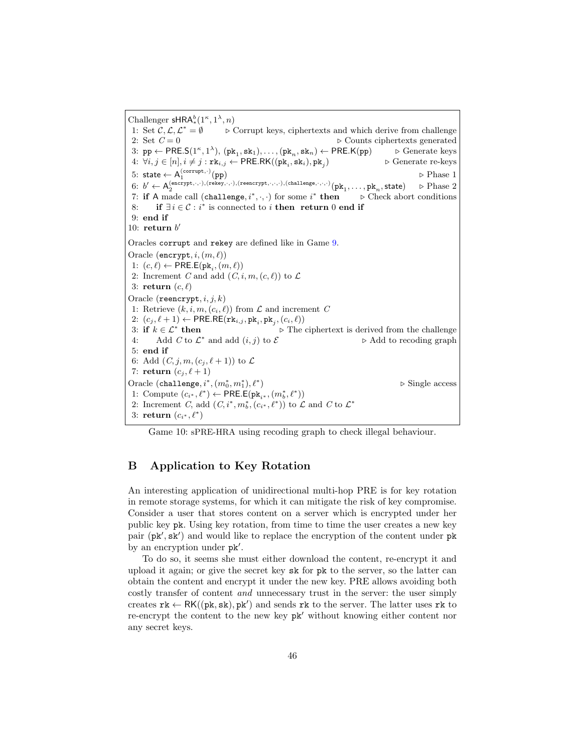<span id="page-45-0"></span>Challenger  $\text{SHRA}_*^b(1^\kappa, 1^\lambda, n)$ 1: Set  $\mathcal{C}, \mathcal{L}, \mathcal{L}^* = \emptyset$ <sup>∗</sup> = ∅ . Corrupt keys, ciphertexts and which derive from challenge 2: Set  $C = 0$   $\triangleright$  Counts ciphertexts generated 3:  $pp \leftarrow \text{PRE.S}(1^{\kappa}, 1^{\lambda}), (pk_1, sk_1), \ldots, (pk_n, sk_n) \leftarrow \text{PRE.K}(pp) \Rightarrow \text{Generate keys}$ 4: ∀ $i, j \in [n], i \neq j$  :  $\texttt{rk}_{i,j} \leftarrow \mathsf{PRE.RK}((\texttt{pk}_{i},\texttt{sk}_{i}),\texttt{pk}_{j})$  $\triangleright$  Generate re-keys 5: state  $\leftarrow A_1^{(corrupt,\cdot)}$  $\sum_{1}^{\text{(corrupt.)}}(pp)$   $\triangleright$  Phase 1 6:  $b' \leftarrow A_2^{(\text{encrypt},\cdot,\cdot),(\text{rekey},\cdot,\cdot),(\text{reencrypt},\cdot,\cdot,\cdot),(\text{challenge},\cdot,\cdot,\cdot)}(pk_1,\ldots,pk_n$  $\triangleright$  Phase 2 7: if A made call (challenge,  $i^*, \cdot, \cdot$ ) for some  $i^*$  $\triangleright$  Check abort conditions 8: if  $\exists i \in \mathcal{C} : i^*$  is connected to i then return 0 end if 9: end if 10: return  $b'$ Oracles corrupt and rekey are defined like in Game [9.](#page-44-0) Oracle (encrypt,  $i, (m, \ell)$ ) 1:  $(c, \ell) \leftarrow \mathsf{PRE}.\mathsf{E}(\mathtt{pk}_i, (m, \ell))$ 2: Increment C and add  $(C, i, m, (c, \ell))$  to  $\mathcal L$ 3: return  $(c, \ell)$ Oracle (reencrypt,  $i, j, k$ ) 1: Retrieve  $(k, i, m, (c_i, \ell))$  from  $\mathcal L$  and increment C 2:  $(c_j, \ell+1) \leftarrow \mathsf{PRE}.\mathsf{RE}(\mathtt{rk}_{i,j}, \mathtt{pk}_{i}, \mathtt{pk}_{j}, (c_i, \ell))$ 3: if  $k \in \mathcal{L}^*$  then  $\triangleright$  The ciphertext is derived from the challenge 4: Add C to  $\mathcal{L}^*$  $\triangleright$  Add to recoding graph 5: end if 6: Add  $(C, j, m, (c_j, \ell + 1))$  to  $\mathcal L$ 7: return  $(c_j, \ell + 1)$ Oracle (challenge,  $i^*$ ,  $(m_0^*, m_1^*)$ ,  $\ell^*$  $\triangleright$  Single access 1: Compute  $(c_{i^*}, \ell^*) \leftarrow \mathsf{PRE.E}(\mathtt{pk}_{i^*},(m_b^*, \ell^*))$ 2: Increment C, add  $(C, i^*, m_b^*, (c_{i^*}, \ell^*))$  to  $\mathcal L$  and C to  $\mathcal L^*$ 3: return  $(c_{i^*}, \ell^*)$ 

Game 10: sPRE-HRA using recoding graph to check illegal behaviour.

# B Application to Key Rotation

An interesting application of unidirectional multi-hop PRE is for key rotation in remote storage systems, for which it can mitigate the risk of key compromise. Consider a user that stores content on a server which is encrypted under her public key pk. Using key rotation, from time to time the user creates a new key pair (pk', sk') and would like to replace the encryption of the content under pk by an encryption under  $pk'$ .

To do so, it seems she must either download the content, re-encrypt it and upload it again; or give the secret key sk for pk to the server, so the latter can obtain the content and encrypt it under the new key. PRE allows avoiding both costly transfer of content *and* unnecessary trust in the server: the user simply creates  $rk \leftarrow \mathsf{RK}((pk, sk), pk')$  and sends  $rk$  to the server. The latter uses  $rk$  to re-encrypt the content to the new key  $pk'$  without knowing either content nor any secret keys.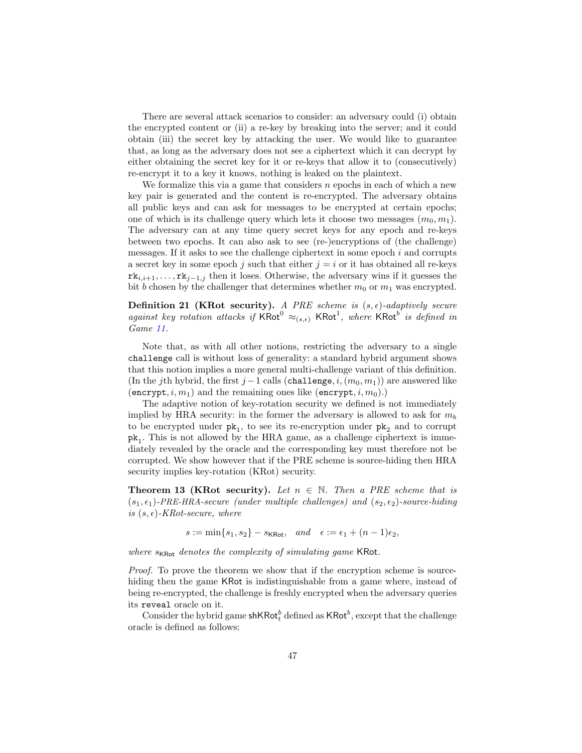There are several attack scenarios to consider: an adversary could (i) obtain the encrypted content or (ii) a re-key by breaking into the server; and it could obtain (iii) the secret key by attacking the user. We would like to guarantee that, as long as the adversary does not see a ciphertext which it can decrypt by either obtaining the secret key for it or re-keys that allow it to (consecutively) re-encrypt it to a key it knows, nothing is leaked on the plaintext.

We formalize this via a game that considers  $n$  epochs in each of which a new key pair is generated and the content is re-encrypted. The adversary obtains all public keys and can ask for messages to be encrypted at certain epochs; one of which is its challenge query which lets it choose two messages  $(m_0, m_1)$ . The adversary can at any time query secret keys for any epoch and re-keys between two epochs. It can also ask to see (re-)encryptions of (the challenge) messages. If it asks to see the challenge ciphertext in some epoch  $i$  and corrupts a secret key in some epoch j such that either  $j = i$  or it has obtained all re-keys  $rk_{i,i+1}, \ldots, rk_{j-1,j}$  then it loses. Otherwise, the adversary wins if it guesses the bit b chosen by the challenger that determines whether  $m_0$  or  $m_1$  was encrypted.

Definition 21 (KRot security). A PRE scheme is  $(s, \epsilon)$ -adaptively secure against key rotation attacks if  $\mathsf{KRot}^0 \approx_{(s,\epsilon)} \mathsf{KRot}^1$ , where  $\mathsf{KRot}^b$  is defined in Game [11.](#page-47-0)

Note that, as with all other notions, restricting the adversary to a single challenge call is without loss of generality: a standard hybrid argument shows that this notion implies a more general multi-challenge variant of this definition. (In the jth hybrid, the first j – 1 calls (challenge, i, $(m_0, m_1)$ ) are answered like  $($ encrypt,  $i, m_1)$  and the remaining ones like  $($ encrypt,  $i, m_0)$ .)

The adaptive notion of key-rotation security we defined is not immediately implied by HRA security: in the former the adversary is allowed to ask for  $m_b$ to be encrypted under  $pk_1$ , to see its re-encryption under  $pk_2$  and to corrupt pk<sup>1</sup> . This is not allowed by the HRA game, as a challenge ciphertext is immediately revealed by the oracle and the corresponding key must therefore not be corrupted. We show however that if the PRE scheme is source-hiding then HRA security implies key-rotation (KRot) security.

**Theorem 13 (KRot security).** Let  $n \in \mathbb{N}$ . Then a PRE scheme that is  $(s_1, \epsilon_1)$ -PRE-HRA-secure (under multiple challenges) and  $(s_2, \epsilon_2)$ -source-hiding is  $(s, \epsilon)$ -KRot-secure, where

 $s := \min\{s_1, s_2\} - s_{\text{KRot}}, \quad and \quad \epsilon := \epsilon_1 + (n-1)\epsilon_2,$ 

where  $s_{\text{KRot}}$  denotes the complexity of simulating game KRot.

Proof. To prove the theorem we show that if the encryption scheme is sourcehiding then the game KRot is indistinguishable from a game where, instead of being re-encrypted, the challenge is freshly encrypted when the adversary queries its reveal oracle on it.

Consider the hybrid game  $\mathsf{shKRot}^b_t$  defined as  $\mathsf{KRot}^b_t,$  except that the challenge oracle is defined as follows: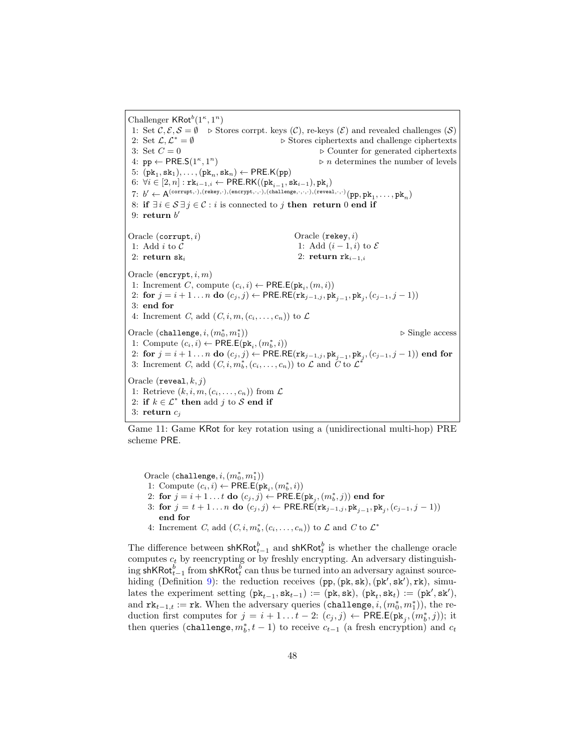<span id="page-47-0"></span>Challenger  $\mathsf{KRot}^b(1^{\kappa}, 1^n)$ 1: Set  $\mathcal{C}, \mathcal{E}, \mathcal{S} = \emptyset$   $\Rightarrow$  Stores corrpt. keys  $(\mathcal{C})$ , re-keys  $(\mathcal{E})$  and revealed challenges  $(\mathcal{S})$ 2: Set  $\mathcal{L}, \mathcal{L}^* = \emptyset$ <sup>∗</sup> = ∅ . Stores ciphertexts and challenge ciphertexts 3: Set  $C = 0$   $\triangleright$  Counter for generated ciphertexts 4:  $pp \leftarrow \text{PRE.S}(1^{\kappa}, 1^n)$  $\triangleright$  *n* determines the number of levels 5:  $(\text{pk}_1, \text{sk}_1), \ldots, (\text{pk}_n, \text{sk}_n) \leftarrow \text{PRE.K}(\text{pp})$ 6:  $\forall i \in [2, n] :$ rk $_{i-1,i}$  ← PRE.RK((pk $_{i-1}$ , sk $_{i-1}$ ), pk $_i$ ) 7:  $b' \leftarrow A^{(corrupt,\cdot),(\text{rekey},\cdot),(\text{encrypt},\cdot,\cdot),(\text{challenge},\cdot,\cdot,\cdot),(\text{reveal},\cdot,\cdot)}(pp, pk_1, \ldots, pk_n)$ 8: if  $\exists i \in S \exists j \in C : i$  is connected to j then return 0 end if 9: return  $b'$ Oracle (corrupt, i) 1: Add  $i$  to  $C$ 2: return  $sk_i$ Oracle  $(rekey, i)$ 1: Add  $(i-1, i)$  to  $\mathcal E$ 2: return r $k_{i-1,i}$ Oracle (encrypt,  $i, m$ ) 1: Increment C, compute  $(c_i, i) \leftarrow \text{PRE.E}(\text{pk}_i, (m, i))$ 2: for  $j = i + 1 ... n$  do  $(c_j, j)$  ← PRE.RE( $\text{rk}_{j-1,j}, \text{pk}_{j-1}, \text{pk}_j, (c_{j-1}, j-1)$ ) 3: end for 4: Increment C, add  $(C, i, m, (c_i, \ldots, c_n))$  to  $\mathcal L$ Oracle (challenge,  $i, (m_0^*, m_1^*)$  $\triangleright$  Single access 1: Compute  $(c_i, i) \leftarrow \mathsf{PRE}\textup{.}\mathsf{E}(\mathtt{pk}_i, (m_b^*, i))$ 2: for  $j = i + 1 \ldots n$  do  $(c_j, j)$  ← PRE.RE(rk $_{j-1,j}$ , pk $_{j-1}$ , pk $_j$ ,  $(c_{j-1}, j-1)$ ) end for 3: Increment C, add  $(C, i, m_b^*, (c_i, \ldots, c_n))$  to  $\mathcal L$  and  $\check{C}$  to  $\mathcal L^*$ Oracle (reveal,  $k, j$ ) 1: Retrieve  $(k, i, m, (c_i, \ldots, c_n))$  from  $\mathcal L$ 2: if  $k \in \mathcal{L}^*$  then add j to S end if 3: return  $c_i$ 

Game 11: Game KRot for key rotation using a (unidirectional multi-hop) PRE scheme PRE.

Oracle  $(\texttt{challenge}, i, (m^*_0, m^*_1))$ 

end for

- 1: Compute  $(c_i, i) \leftarrow \mathsf{PRE}\textup{.}\mathsf{E}(\mathtt{pk}_i, (m_b^*, i))$
- 2: for  $j = i + 1 \dots t$  do  $(c_j, j) \leftarrow \mathsf{PRELE}(\mathrm{pk}_j, (m_b^*, j))$  end for
- 3: for  $j = t + 1 ... n$  do  $(c_j, j)$  ← PRE.RE(rk<sub>j-1,j</sub>, pk<sub>j-1</sub>, pk<sub>j</sub>,  $(c_{j-1}, j 1)$ )
- 4: Increment C, add  $(C, i, m_b^*, (c_i, \ldots, c_n))$  to  $\mathcal L$  and C to  $\mathcal L^*$

The difference between shKRot $_{t-1}^b$  and shKRot $_t^b$  is whether the challenge oracle computes  $c_t$  by reencrypting or by freshly encrypting. An adversary distinguishing shKRot $_{t-1}^b$  from shKRot $_b^b$  can thus be turned into an adversary against source-hiding (Definition [9\)](#page-16-0): the reduction receives  $(pp, (pk, sk), (pk', sk'), rk)$ , simulates the experiment setting  $(\mathbf{pk}_{t-1}, \mathbf{sk}_{t-1}) := (\mathbf{pk}, \mathbf{sk}), (\mathbf{pk}_t, \mathbf{sk}_t) := (\mathbf{pk}', \mathbf{sk}'),$ and  $\mathbf{rk}_{t-1,t} := \mathbf{rk}$ . When the adversary queries (challenge,  $i, (m_0^*, m_1^*)$ ), the reduction first computes for  $j = i + 1 \dots t - 2$ :  $(c_j, j) \leftarrow \text{PRE}(\text{pk}_j, (m_b^*, j))$ ; it then queries (challenge,  $m_b^*, t - 1$ ) to receive  $c_{t-1}$  (a fresh encryption) and  $c_t$